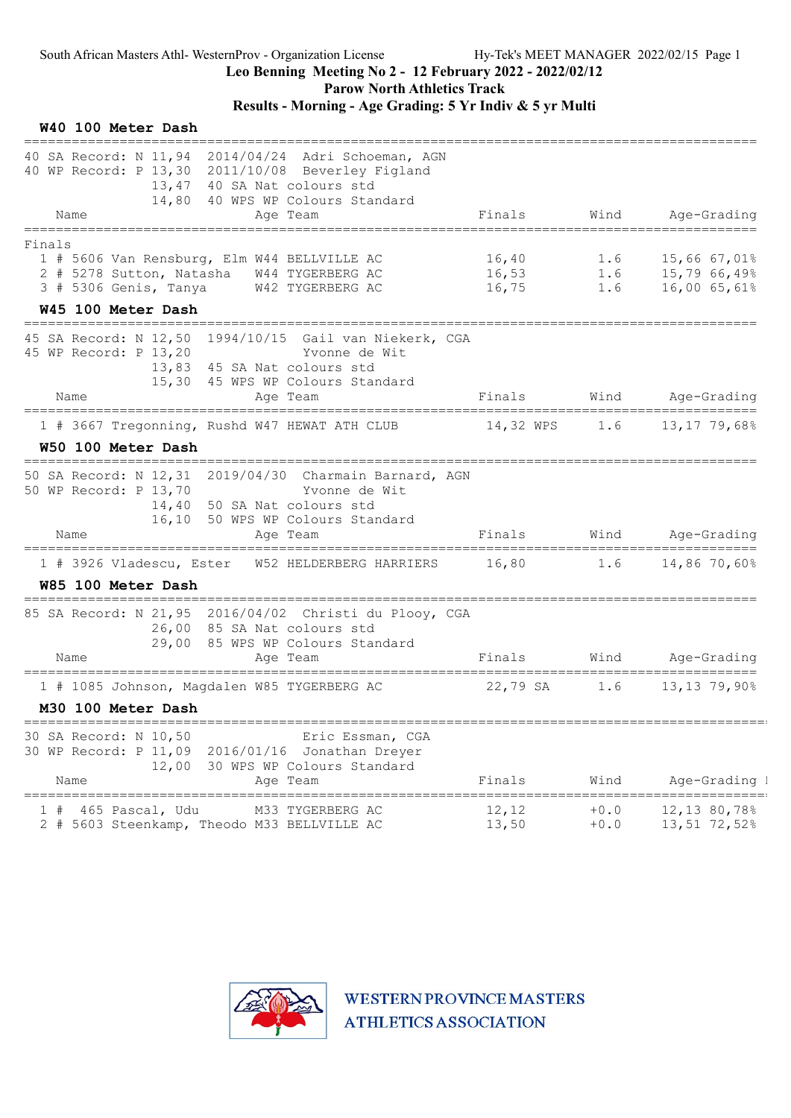Parow North Athletics Track

| W40 100 Meter Dash<br>------------------                                                                                                                                                           |                         |                  |                                                                 |
|----------------------------------------------------------------------------------------------------------------------------------------------------------------------------------------------------|-------------------------|------------------|-----------------------------------------------------------------|
| 40 SA Record: N 11,94 2014/04/24 Adri Schoeman, AGN<br>40 WP Record: P 13,30 2011/10/08 Beverley Figland<br>40 SA Nat colours std<br>13,47<br>14,80 40 WPS WP Colours Standard<br>Name<br>Age Team | Finals                  | Wind             | Age-Grading                                                     |
| ====================<br>--------------                                                                                                                                                             |                         |                  |                                                                 |
| Finals<br>1 # 5606 Van Rensburg, Elm W44 BELLVILLE AC<br>2 # 5278 Sutton, Natasha<br>W44 TYGERBERG AC<br>3 # 5306 Genis, Tanya<br>W42 TYGERBERG AC<br>W45 100 Meter Dash                           | 16,40<br>16,53<br>16,75 | 1.6              | $1.6$ $15,66$ $67,01\%$<br>$1.6$ $15,79$ 66,49%<br>16,00 65,61% |
| 1994/10/15 Gail van Niekerk, CGA<br>45 SA Record: N 12,50<br>45 WP Record: P 13,20<br>Yvonne de Wit<br>13,83 45 SA Nat colours std<br>15,30 45 WPS WP Colours Standard                             |                         |                  | Finals Wind Age-Grading                                         |
| Name<br>Age Team                                                                                                                                                                                   |                         |                  |                                                                 |
| 1 # 3667 Tregonning, Rushd W47 HEWAT ATH CLUB                                                                                                                                                      |                         |                  | 14,32 WPS 1.6 13,17 79,68%                                      |
| W50 100 Meter Dash<br>============================                                                                                                                                                 |                         |                  |                                                                 |
| 50 SA Record: N 12,31 2019/04/30 Charmain Barnard, AGN<br>50 WP Record: P 13,70<br>Yvonne de Wit<br>14,40<br>50 SA Nat colours std<br>16,10 50 WPS WP Colours Standard<br>Name<br>Age Team         | Finals                  |                  | Wind Age-Grading                                                |
| 1 # 3926 Vladescu, Ester W52 HELDERBERG HARRIERS 16,80 1.6                                                                                                                                         |                         |                  | $14,86$ 70,60%                                                  |
| W85 100 Meter Dash                                                                                                                                                                                 |                         |                  |                                                                 |
| 85 SA Record: N 21,95 2016/04/02 Christi du Plooy, CGA<br>26,00 85 SA Nat colours std<br>29,00 85 WPS WP Colours Standard<br>Name<br>Age Team                                                      | Finals                  |                  | Wind Age-Grading                                                |
|                                                                                                                                                                                                    |                         | 1.6              | 13,13 79,90%                                                    |
| 1 # 1085 Johnson, Magdalen W85 TYGERBERG AC<br>M30 100 Meter Dash                                                                                                                                  | 22,79 SA                |                  |                                                                 |
| =====================================<br>30 SA Record: N 10,50<br>Eric Essman, CGA<br>30 WP Record: P 11,09 2016/01/16 Jonathan Dreyer<br>12,00<br>30 WPS WP Colours Standard<br>Name<br>Age Team  | Finals                  | Wind             | Age-Grading 1                                                   |
| M33 TYGERBERG AC<br>465 Pascal, Udu<br>2 # 5603 Steenkamp, Theodo M33 BELLVILLE AC                                                                                                                 | 12, 12<br>13,50         | $+0.0$<br>$+0.0$ | 12,13 80,78%<br>13,51 72,52%                                    |

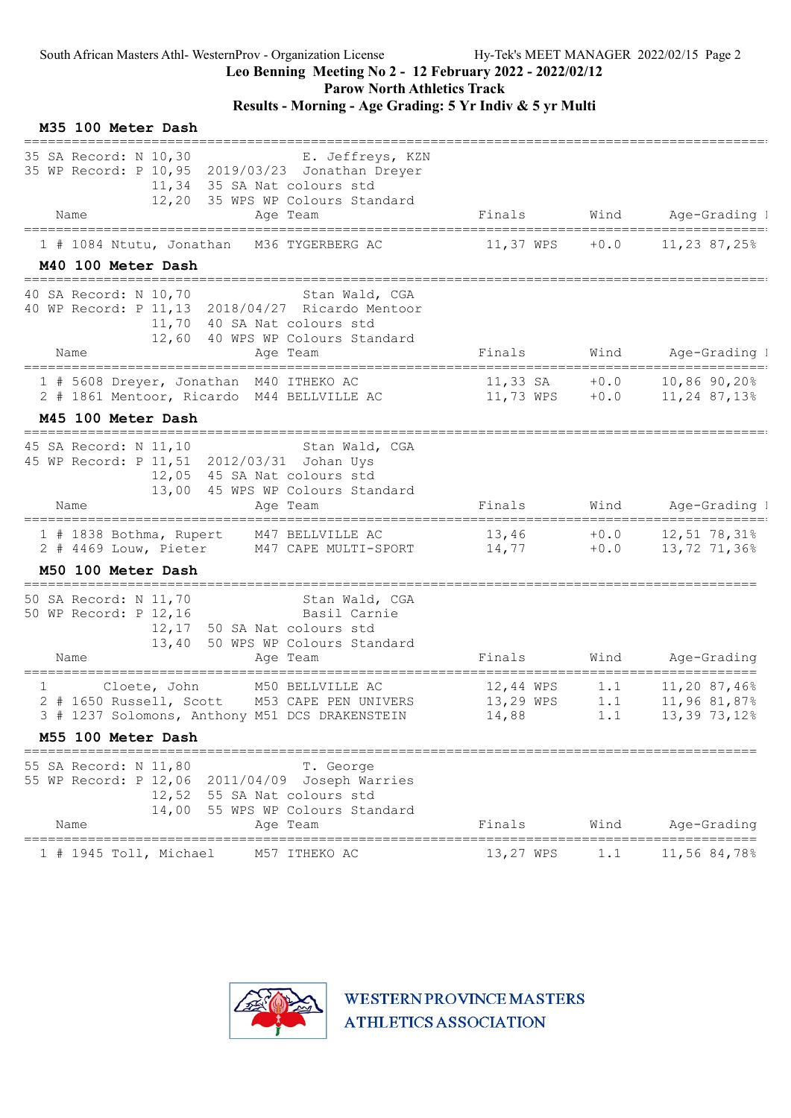### Leo Benning Meeting No 2 - 12 February 2022 - 2022/02/12

Parow North Athletics Track

Results - Morning - Age Grading: 5 Yr Indiv & 5 yr Multi

| M35 100 Meter Dash                                                                                                                                                                                              |                                         |                  |                                                      |
|-----------------------------------------------------------------------------------------------------------------------------------------------------------------------------------------------------------------|-----------------------------------------|------------------|------------------------------------------------------|
| 35 SA Record: N 10,30<br>E. Jeffreys, KZN<br>35 WP Record: P 10,95 2019/03/23 Jonathan Dreyer<br>35 SA Nat colours std<br>11,34<br>12,20 35 WPS WP Colours Standard                                             |                                         |                  |                                                      |
| Age Team<br>Name                                                                                                                                                                                                | Finals                                  | Wind             | Age-Grading 1                                        |
| 1 # 1084 Ntutu, Jonathan<br>M36 TYGERBERG AC<br>M40 100 Meter Dash                                                                                                                                              | 11,37 WPS                               | $+0.0$           | 11,23 87,25%                                         |
| 40 SA Record: N 10,70<br>Stan Wald, CGA<br>40 WP Record: P 11, 13 2018/04/27 Ricardo Mentoor<br>11,70 40 SA Nat colours std<br>12,60 40 WPS WP Colours Standard<br>Name<br>Age Team                             | Finals                                  | Wind             | Age-Grading 1                                        |
| =================================<br>1 # 5608 Dreyer, Jonathan M40 ITHEKO AC<br>2 # 1861 Mentoor, Ricardo M44 BELLVILLE AC                                                                                      | $11,33$ SA $+0.0$<br>$11,73$ WPS $+0.0$ |                  | 10,86 90,20%<br>11,24 87,13%                         |
| M45 100 Meter Dash                                                                                                                                                                                              |                                         |                  |                                                      |
| ==============================<br>45 SA Record: N 11,10<br>Stan Wald, CGA<br>45 WP Record: P 11, 51 2012/03/31 Johan Uys<br>12,05 45 SA Nat colours std<br>13,00 45 WPS WP Colours Standard<br>Name<br>Age Team | Finals                                  | Wind             | Age-Grading 1                                        |
| 1 # 1838 Bothma, Rupert<br>M47 BELLVILLE AC<br>2 # 4469 Louw, Pieter<br>M47 CAPE MULTI-SPORT                                                                                                                    | 13,46<br>14,77                          | $+0.0$<br>$+0.0$ | $12,51$ 78,31%<br>13,72 71,36%                       |
| M50 100 Meter Dash                                                                                                                                                                                              |                                         |                  |                                                      |
| 50 SA Record: N 11,70<br>Stan Wald, CGA<br>50 WP Record: P 12,16<br>Basil Carnie<br>12,17 50 SA Nat colours std<br>13,40<br>50 WPS WP Colours Standard<br>Age Team<br>Name                                      | Finals                                  | Wind             | Age-Grading                                          |
| M50 BELLVILLE AC<br>Cloete, John<br>1<br>2 # 1650 Russell, Scott M53 CAPE PEN UNIVERS<br>3 # 1237 Solomons, Anthony M51 DCS DRAKENSTEIN                                                                         | 12,44 WPS<br>13,29 WPS<br>14,88         | 1.1<br>1.1       | 11,20 87,46%<br>11,96 81,87%<br>$1.1$ 13, 39 73, 12% |
| M55 100 Meter Dash                                                                                                                                                                                              |                                         |                  |                                                      |
| 55 SA Record: N 11,80<br>T. George<br>55 WP Record: P 12,06 2011/04/09 Joseph Warries<br>12,52 55 SA Nat colours std<br>14,00<br>55 WPS WP Colours Standard<br>Name<br>Aqe Team                                 | Finals                                  | Wind             | Age-Grading                                          |
|                                                                                                                                                                                                                 |                                         |                  |                                                      |

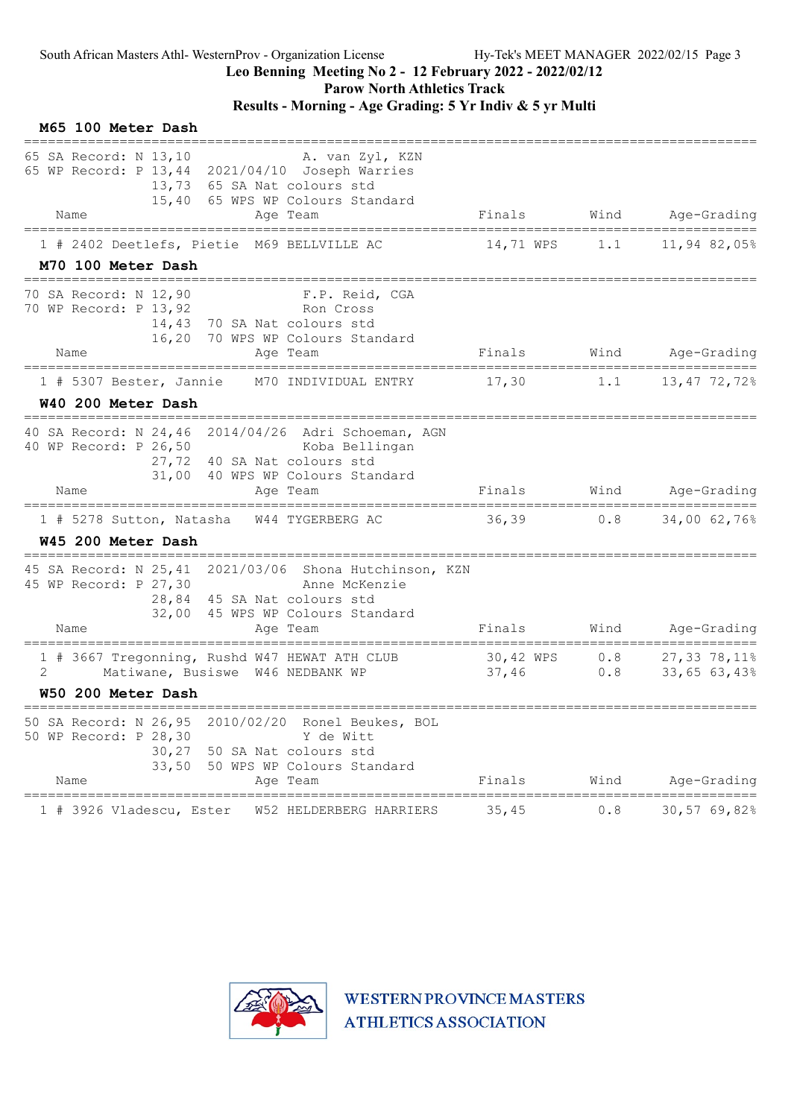#### Leo Benning Meeting No 2 - 12 February 2022 - 2022/02/12

Parow North Athletics Track

### Results - Morning - Age Grading: 5 Yr Indiv & 5 yr Multi

| M65 100 Meter Dash                                                        |                                                                                                                                                         |             |            |                                |
|---------------------------------------------------------------------------|---------------------------------------------------------------------------------------------------------------------------------------------------------|-------------|------------|--------------------------------|
| 65 SA Record: N 13,10<br>Name                                             | A. van Zyl, KZN<br>65 WP Record: P 13,44 2021/04/10 Joseph Warries<br>13,73 65 SA Nat colours std<br>15,40 65 WPS WP Colours Standard<br>Aqe Team       | Finals      | Wind       | Age-Grading                    |
|                                                                           | 1 # 2402 Deetlefs, Pietie M69 BELLVILLE AC                                                                                                              | 14,71 WPS   | 1.1        | 11,94 82,05%                   |
| M70 100 Meter Dash                                                        |                                                                                                                                                         |             |            |                                |
| 70 SA Record: N 12,90<br>70 WP Record: P 13,92                            | F.P. Reid, CGA<br>Ron Cross<br>14,43 70 SA Nat colours std<br>16,20 70 WPS WP Colours Standard                                                          |             |            |                                |
| Name                                                                      | Age Team                                                                                                                                                | Finals      |            | Wind Age-Grading               |
| 1 # 5307 Bester, Jannie                                                   | M70 INDIVIDUAL ENTRY                                                                                                                                    | 17,30       |            | $1.1$ $13,47$ $72,72$          |
| W40 200 Meter Dash                                                        |                                                                                                                                                         |             |            |                                |
| 40 WP Record: P 26,50<br>Name                                             | 40 SA Record: N 24,46 2014/04/26 Adri Schoeman, AGN<br>Koba Bellingan<br>27,72 40 SA Nat colours std<br>31,00 40 WPS WP Colours Standard<br>Aqe Team    | Finals      |            | Wind Age-Grading               |
|                                                                           | 1 # 5278 Sutton, Natasha W44 TYGERBERG AC                                                                                                               | $36,39$ 0.8 |            | 34,00 62,76%                   |
| W45 200 Meter Dash                                                        |                                                                                                                                                         |             |            |                                |
| 45 WP Record: P 27,30<br>Name                                             | 45 SA Record: N 25, 41 2021/03/06 Shona Hutchinson, KZN<br>Anne McKenzie<br>28,84 45 SA Nat colours std<br>32,00 45 WPS WP Colours Standard<br>Age Team | Finals      |            | Wind Age-Grading               |
| 2                                                                         | 1 # 3667 Tregonning, Rushd W47 HEWAT ATH CLUB 30,42 WPS<br>Matiwane, Busiswe W46 NEDBANK WP                                                             | 37,46       | 0.8<br>0.8 | 27,33 78,11%<br>$33,65$ 63,43% |
| W50 200 Meter Dash<br>_____________________                               |                                                                                                                                                         |             |            |                                |
| 50 SA Record: N 26,95<br>50 WP Record: P 28,30<br>30, 27<br>33,50<br>Name | 2010/02/20 Ronel Beukes, BOL<br>Y de Witt<br>50 SA Nat colours std<br>50 WPS WP Colours Standard<br>Age Team                                            | Finals      | Wind       | Age-Grading                    |
| 1 # 3926 Vladescu, Ester                                                  | W52 HELDERBERG HARRIERS                                                                                                                                 | 35,45       | 0.8        | 30,57 69,82%                   |

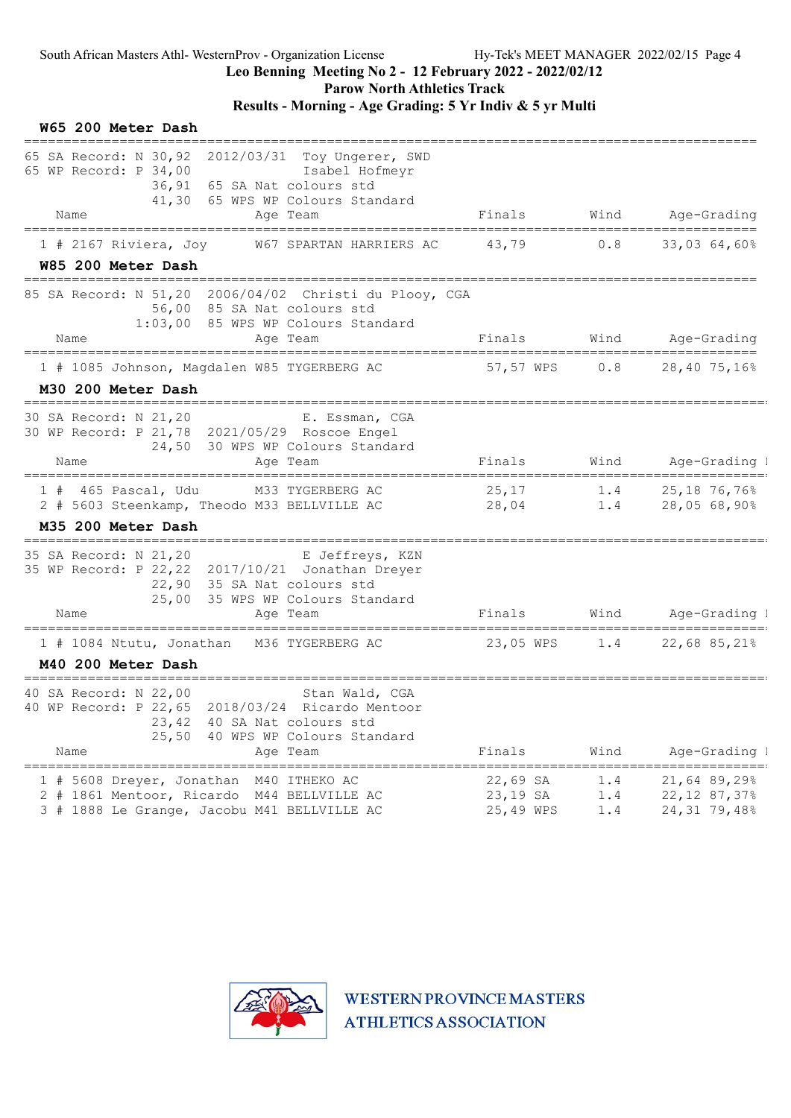#### Leo Benning Meeting No 2 - 12 February 2022 - 2022/02/12

Parow North Athletics Track

#### Results - Morning - Age Grading: 5 Yr Indiv & 5 yr Multi

#### W65 200 Meter Dash ============================================================================================ 65 SA Record: N 30,92 2012/03/31 Toy Ungerer, SWD 65 WP Record: P 34,00 Isabel Hofmeyr 36,91 65 SA Nat colours std 41,30 65 WPS WP Colours Standard Name **Age Team** Age Team Finals Wind Age-Grading ============================================================================================ 1 # 2167 Riviera, Joy W67 SPARTAN HARRIERS AC 43,79 0.8 33,03 64,60% W85 200 Meter Dash ============================================================================================ 85 SA Record: N 51,20 2006/04/02 Christi du Plooy, CGA 56,00 85 SA Nat colours std 1:03,00 85 WPS WP Colours Standard Name Age Team Finals Wind Age-Grading ============================================================================================ 1 # 1085 Johnson, Magdalen W85 TYGERBERG AC 57,57 WPS 0.8 28,40 75,16% M30 200 Meter Dash =============================================================================================== E. Essman, CGA 30 WP Record: P 21,78 2021/05/29 Roscoe Engel 24,50 30 WPS WP Colours Standard Name Age Team Finals Wind Age-Grading H# =============================================================================================== 1 # 465 Pascal, Udu M33 TYGERBERG AC 25,17 1.4 25,18 76,76% 2 2 # 5603 Steenkamp, Theodo M33 BELLVILLE AC M35 200 Meter Dash =============================================================================================== 35 SA Record: N 21,20 E Jeffreys, KZN 35 WP Record: P 22,22 2017/10/21 Jonathan Dreyer 22,90 35 SA Nat colours std 25,00 35 WPS WP Colours Standard Name **Age Team Replace Age-Grading I** Reserve Age Team Finals Wind Age-Grading I =============================================================================================== 1 # 1084 Ntutu, Jonathan M36 TYGERBERG AC 23,05 WPS 1.4 22,68 85,21% 2 M40 200 Meter Dash =============================================================================================== 40 SA Record: N 22,00 Stan Wald, CGA 40 WP Record: P 22,65 2018/03/24 Ricardo Mentoor 23,42 40 SA Nat colours std 25,50 40 WPS WP Colours Standard Name Ream Age Team Finals Wind Age-Grading I =============================================================================================== 1 # 5608 Dreyer, Jonathan M40 ITHEKO AC 2 # 1861 Mentoor, Ricardo M44 BELLVILLE AC 23,19 SA 1.4 22,12 87,37% 2 3 # 1888 Le Grange, Jacobu M41 BELLVILLE AC 25,49 WPS 1.4 24,31 79,48% 2

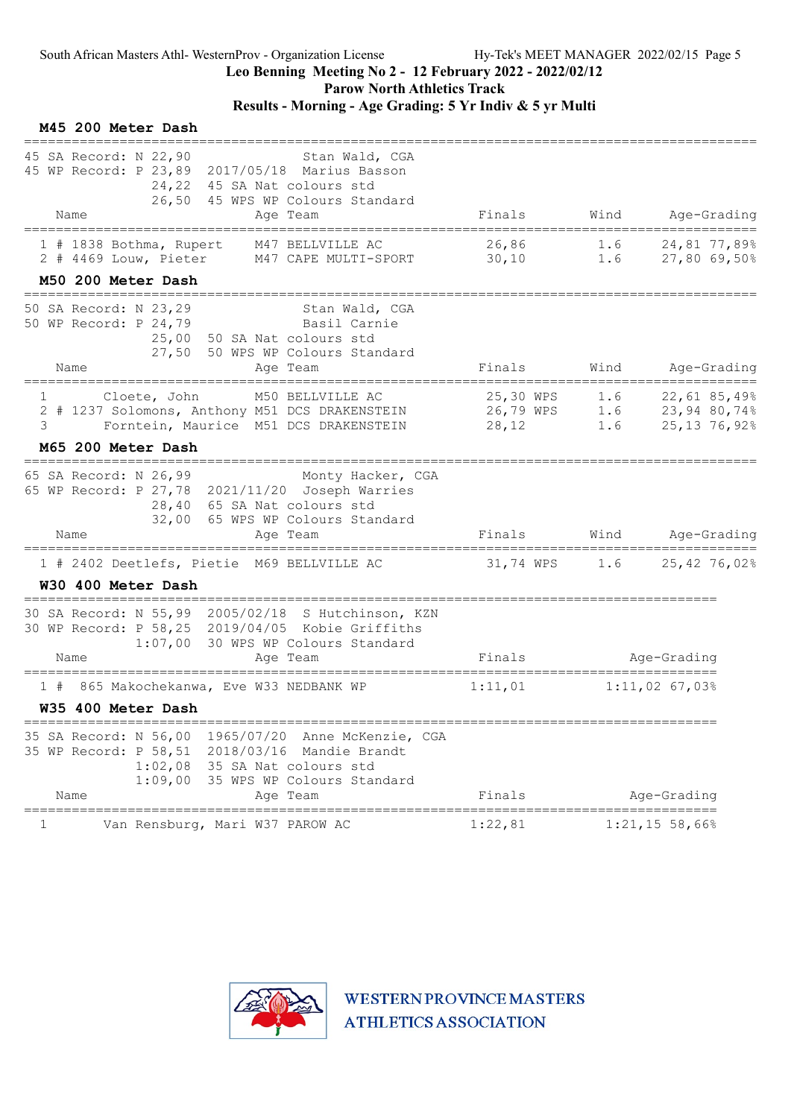Parow North Athletics Track

### Results - Morning - Age Grading: 5 Yr Indiv & 5 yr Multi

| M45 200 Meter Dash                                                                                                                                                                                                           |                            |     |                                                   |
|------------------------------------------------------------------------------------------------------------------------------------------------------------------------------------------------------------------------------|----------------------------|-----|---------------------------------------------------|
| 45 SA Record: N 22,90<br>Stan Wald, CGA<br>45 WP Record: P 23,89 2017/05/18 Marius Basson<br>24,22 45 SA Nat colours std<br>26,50 45 WPS WP Colours Standard<br>Age Team<br>Name                                             | Finals                     |     | Wind Age-Grading                                  |
| 1 # 1838 Bothma, Rupert<br>M47 BELLVILLE AC<br>M47 CAPE MULTI-SPORT 30,10 1.6 27,80 69,50%<br>2 # 4469 Louw, Pieter<br>M50 200 Meter Dash                                                                                    | 26,86                      | 1.6 | 24,81 77,89%                                      |
| 50 SA Record: N 23,29<br>Stan Wald, CGA<br>50 WP Record: P 24,79 Basil Carnie<br>25,00 50 SA Nat colours std<br>27,50 50 WPS WP Colours Standard<br>Name<br>Age Team                                                         | Finals                     |     | Wind Age-Grading                                  |
| ==================================<br>M50 BELLVILLE AC<br>Cloete, John<br>$1 \qquad \qquad$<br>2 # 1237 Solomons, Anthony M51 DCS DRAKENSTEIN 26,79 WPS 1.6 23,94 80,74%<br>Forntein, Maurice M51 DCS DRAKENSTEIN 28,12<br>3 |                            |     | 25,30 WPS 1.6 22,61 85,49%<br>$1.6$ 25,13 76,92%  |
| M65 200 Meter Dash                                                                                                                                                                                                           |                            |     |                                                   |
| 65 SA Record: N 26,99<br>Monty Hacker, CGA<br>65 WP Record: P 27,78 2021/11/20 Joseph Warries<br>28,40 65 SA Nat colours std<br>32,00 65 WPS WP Colours Standard<br>Name<br>Age Team                                         |                            |     | Finals Wind Age-Grading                           |
| 1 # 2402 Deetlefs, Pietie M69 BELLVILLE AC<br>W30 400 Meter Dash                                                                                                                                                             | 31,74 WPS 1.6 25,42 76,02% |     |                                                   |
| 30 SA Record: N 55,99 2005/02/18 S Hutchinson, KZN<br>30 WP Record: P 58,25 2019/04/05 Kobie Griffiths<br>1:07,00 30 WPS WP Colours Standard<br>Age Team<br>Name                                                             | Finals                     |     | Age-Grading                                       |
| 865 Makochekanwa, Eve W33 NEDBANK WP<br>1#<br>W35 400 Meter Dash                                                                                                                                                             | 1:11,01                    |     | _____________________________<br>$1:11,02$ 67,03% |
| 35 SA Record: N 56,00 1965/07/20<br>Anne McKenzie, CGA<br>35 WP Record: P 58,51 2018/03/16 Mandie Brandt<br>1:02,08 35 SA Nat colours std<br>1:09,00 35 WPS WP Colours Standard<br>Name<br>Age Team                          | Finals                     |     | Age-Grading                                       |
| Van Rensburg, Mari W37 PAROW AC                                                                                                                                                                                              | 1:22,81                    |     | $1:21,15$ 58,66%                                  |

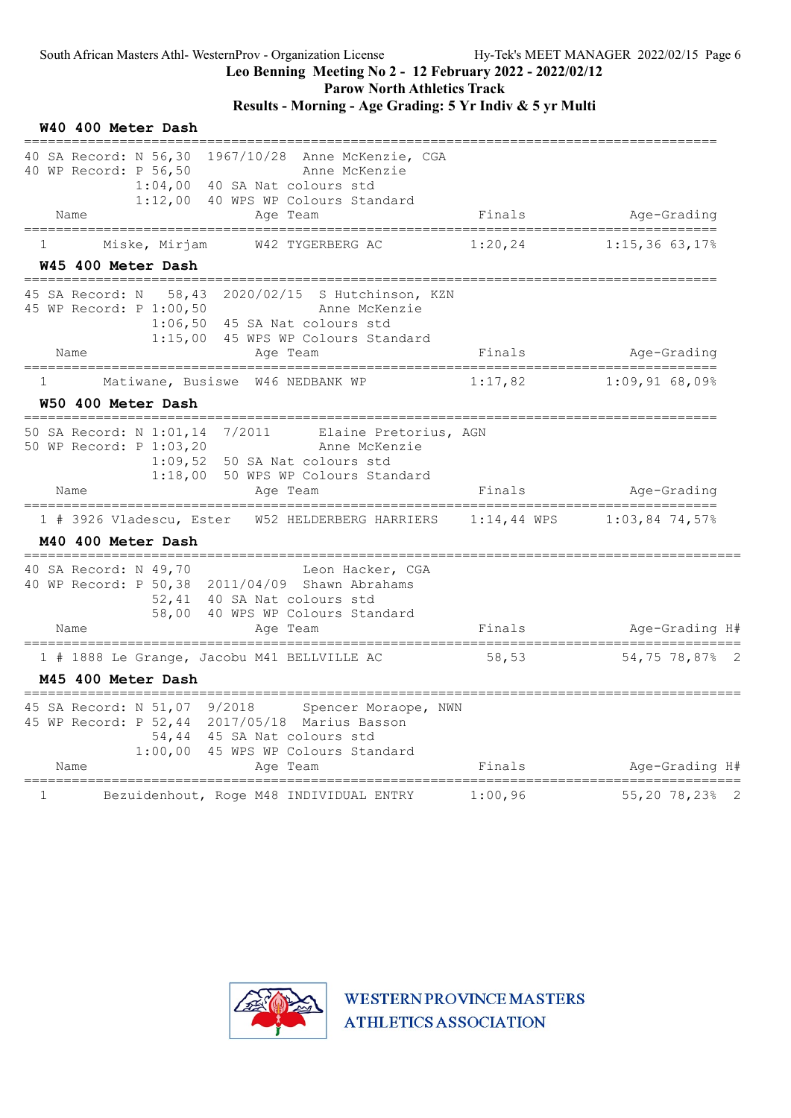#### Leo Benning Meeting No 2 - 12 February 2022 - 2022/02/12

Parow North Athletics Track

### Results - Morning - Age Grading: 5 Yr Indiv & 5 yr Multi

| W40 400 Meter Dash                                                                                                                                                                                                    |               |                  |
|-----------------------------------------------------------------------------------------------------------------------------------------------------------------------------------------------------------------------|---------------|------------------|
| 40 SA Record: N 56,30<br>1967/10/28 Anne McKenzie, CGA<br>40 WP Record: P 56,50<br>Anne McKenzie<br>$1:04,00$ 40 SA Nat colours std<br>1:12,00 40 WPS WP Colours Standard<br>Name<br>Age Team                         | Finals        | Age-Grading      |
| Miske, Mirjam<br>W42 TYGERBERG AC<br>1<br>W45 400 Meter Dash                                                                                                                                                          | 1:20,24       | $1:15,36$ 63,17% |
| 2020/02/15<br>S Hutchinson, KZN<br>58,43<br>45 SA Record: N<br>45 WP Record: P 1:00,50<br>Anne McKenzie<br>$1:06,50$ 45 SA Nat colours std<br>1:15,00<br>45 WPS WP Colours Standard<br>Name<br>Age Team               | Finals        | Age-Grading      |
| Matiwane, Busiswe W46 NEDBANK WP<br>$\mathbf{1}$                                                                                                                                                                      | 1:17,82       | 1:09,9168,098    |
| W50 400 Meter Dash                                                                                                                                                                                                    |               |                  |
| 50 SA Record: N 1:01,14<br>7/2011<br>Elaine Pretorius, AGN<br>50 WP Record: P 1:03,20<br>Anne McKenzie<br>$1:09,52$ 50 SA Nat colours std<br>1:18,00 50 WPS WP Colours Standard<br>Name<br>Age Team                   | Finals        | Age-Grading      |
| 1 # 3926 Vladescu, Ester W52 HELDERBERG HARRIERS<br>M40 400 Meter Dash                                                                                                                                                | $1:14,44$ WPS | $1:03,84$ 74,57% |
| ==============================<br>40 SA Record: N 49,70<br>Leon Hacker, CGA<br>40 WP Record: P 50,38 2011/04/09 Shawn Abrahams<br>52,41 40 SA Nat colours std<br>58,00 40 WPS WP Colours Standard<br>Name<br>Age Team | Finals        | Age-Grading H#   |
| 1 # 1888 Le Grange, Jacobu M41 BELLVILLE AC                                                                                                                                                                           | 58,53         | 54,75 78,87% 2   |
| M45 400 Meter Dash                                                                                                                                                                                                    |               |                  |
| 45 SA Record: N 51,07 9/2018<br>Spencer Moraope, NWN<br>45 WP Record: P 52,44 2017/05/18 Marius Basson<br>54,44 45 SA Nat colours std<br>1:00,00<br>45 WPS WP Colours Standard<br>Name<br>Age Team                    | Finals        | Age-Grading H#   |
| $\mathbf 1$<br>Bezuidenhout, Roge M48 INDIVIDUAL ENTRY                                                                                                                                                                | 1:00,96       | 55,20 78,23% 2   |

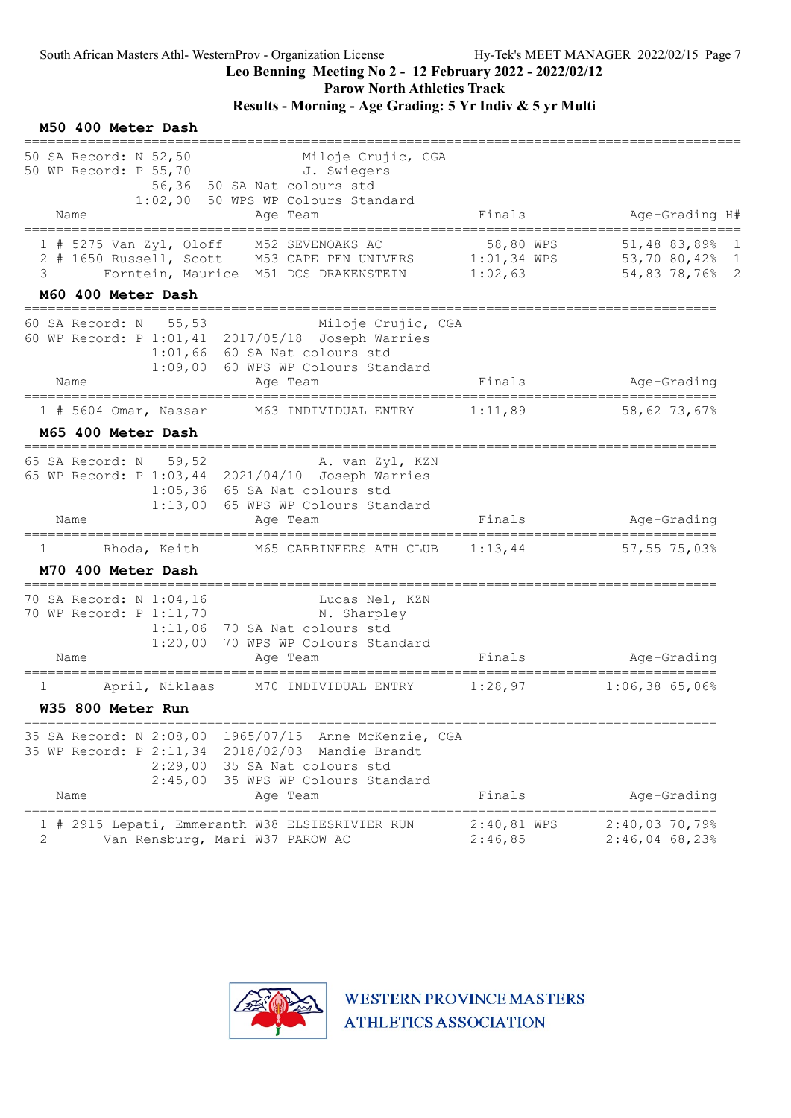Parow North Athletics Track

### Results - Morning - Age Grading: 5 Yr Indiv & 5 yr Multi

#### M50 400 Meter Dash ========================================================================================== 50 SA Record: N 52,50 Miloje Crujic, CGA 50 WP Record: P 55,70 J. Swiegers 56,36 50 SA Nat colours std 1:02,00 50 WPS WP Colours Standard Name **Age Team** Age Team Finals Age-Grading H# ========================================================================================== 1 # 5275 Van Zyl, Oloff M52 SEVENOAKS AC 58,80 WPS 51,48 83,89% 1 2 # 1650 Russell, Scott M53 CAPE PEN UNIVERS 1:01,34 WPS 53,70 80,42% 1 3 Forntein, Maurice M51 DCS DRAKENSTEIN 1:02,63 54,83 78,76% 2 M60 400 Meter Dash ======================================================================================= 60 SA Record: N 55,53 Miloje Crujic, CGA 60 WP Record: P 1:01,41 2017/05/18 Joseph Warries 1:01,66 60 SA Nat colours std 1:09,00 60 WPS WP Colours Standard Name Age Team Age Team Finals Age-Grading ======================================================================================= 1 # 5604 Omar, Nassar M63 INDIVIDUAL ENTRY 1:11,89 58,62 73,67% M65 400 Meter Dash ======================================================================================= 65 SA Record: N 59,52 A. van Zyl, KZN 65 WP Record: P 1:03,44 2021/04/10 Joseph Warries 1:05,36 65 SA Nat colours std 1:13,00 65 WPS WP Colours Standard Name **Age Team** Age Team Finals Age-Grading ======================================================================================= 1 Rhoda, Keith M65 CARBINEERS ATH CLUB M70 400 Meter Dash ======================================================================================= 70 SA Record: N 1:04,16 Lucas Nel, KZN 70 WP Record: P 1:11,70 N. Sharpley 1:11,06 70 SA Nat colours std 1:20,00 70 WPS WP Colours Standard Name **Age Team** Age Team Finals Age-Grading ======================================================================================= 1 April, Niklaas M70 INDIVIDUAL ENTRY 1:28,97 1:06,38 65,06% W35 800 Meter Run ======================================================================================= 35 SA Record: N 2:08,00 1965/07/15 Anne McKenzie, CGA 35 WP Record: P 2:11,34 2018/02/03 Mandie Brandt 2:29,00 35 SA Nat colours std 2:45,00 35 WPS WP Colours Standard Name **Age Team** Age Team Finals Age-Grading ======================================================================================= 1 # 2915 Lepati, Emmeranth W38 ELSIESRIVIER RUN 2:40,81 WPS 2:40,03 70,79%<br>2 Van Rensburg, Mari W37 PAROW AC 2:46,85 2:46,04 68,23% 2 Van Rensburg, Mari W37 PAROW AC 2:46,85 2:46,04 68,23%

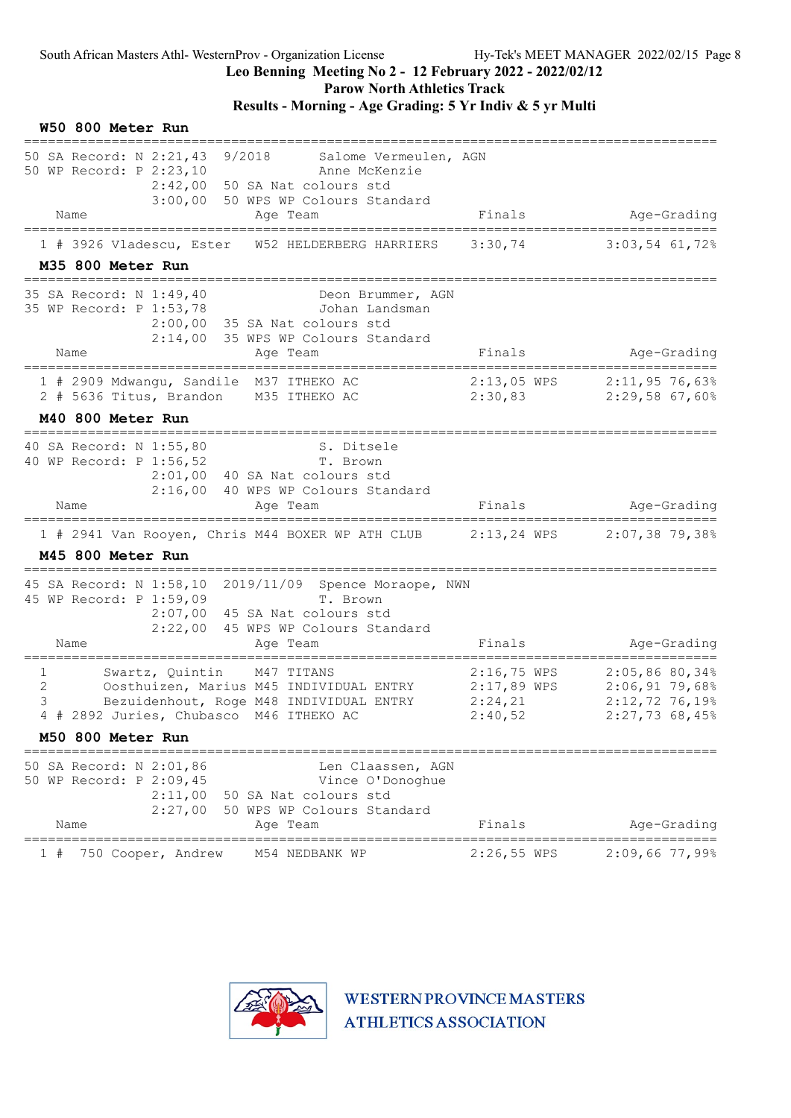# Leo Benning Meeting No 2 - 12 February 2022 - 2022/02/12

Parow North Athletics Track

### Results - Morning - Age Grading: 5 Yr Indiv & 5 yr Multi

| 50 SA Record: N 2:21,43 9/2018 Salome Vermeulen, AGN<br>50 WP Record: P 2:23,10<br>Anne McKenzie<br>2:42,00 50 SA Nat colours std<br>3:00,00 50 WPS WP Colours Standard<br>Finals<br>Name<br>Age Team<br>3:30,74<br>1 # 3926 Vladescu, Ester<br>W52 HELDERBERG HARRIERS<br>M35 800 Meter Run<br>=====================<br>35 SA Record: N 1:49,40<br>Deon Brummer, AGN<br>35 WP Record: P 1:53,78<br>Johan Landsman<br>2:00,00 35 SA Nat colours std<br>2:14,00 35 WPS WP Colours Standard<br>Finals<br>Name<br>Age Team<br>-------------------------<br>$2:13,05$ WPS<br>1 # 2909 Mdwangu, Sandile M37 ITHEKO AC<br>2 # 5636 Titus, Brandon M35 ITHEKO AC<br>2:30,83<br>M40 800 Meter Run<br>=================<br>40 SA Record: N 1:55,80<br>S. Ditsele<br>40 WP Record: P 1:56,52<br>T. Brown<br>2:01,00 40 SA Nat colours std<br>2:16,00 40 WPS WP Colours Standard<br>Finals<br>Name<br>Age Team<br>1 # 2941 Van Rooyen, Chris M44 BOXER WP ATH CLUB 2:13,24 WPS<br>M45 800 Meter Run<br>========================<br>45 SA Record: N 1:58,10 2019/11/09 Spence Moraope, NWN<br>45 WP Record: P 1:59,09<br>T. Brown<br>2:07,00 45 SA Nat colours std<br>2:22,00 45 WPS WP Colours Standard<br>Finals<br>Name<br>Age Team<br>$2:16,75$ WPS<br>Swartz, Quintin M47 TITANS | W50 800 Meter Run |  |                                                                        |
|---------------------------------------------------------------------------------------------------------------------------------------------------------------------------------------------------------------------------------------------------------------------------------------------------------------------------------------------------------------------------------------------------------------------------------------------------------------------------------------------------------------------------------------------------------------------------------------------------------------------------------------------------------------------------------------------------------------------------------------------------------------------------------------------------------------------------------------------------------------------------------------------------------------------------------------------------------------------------------------------------------------------------------------------------------------------------------------------------------------------------------------------------------------------------------------------------------------------------------------------------------------------------|-------------------|--|------------------------------------------------------------------------|
|                                                                                                                                                                                                                                                                                                                                                                                                                                                                                                                                                                                                                                                                                                                                                                                                                                                                                                                                                                                                                                                                                                                                                                                                                                                                           |                   |  |                                                                        |
|                                                                                                                                                                                                                                                                                                                                                                                                                                                                                                                                                                                                                                                                                                                                                                                                                                                                                                                                                                                                                                                                                                                                                                                                                                                                           |                   |  | Age-Grading                                                            |
|                                                                                                                                                                                                                                                                                                                                                                                                                                                                                                                                                                                                                                                                                                                                                                                                                                                                                                                                                                                                                                                                                                                                                                                                                                                                           |                   |  | $3:03,54$ 61,72%                                                       |
|                                                                                                                                                                                                                                                                                                                                                                                                                                                                                                                                                                                                                                                                                                                                                                                                                                                                                                                                                                                                                                                                                                                                                                                                                                                                           |                   |  | Age-Grading                                                            |
|                                                                                                                                                                                                                                                                                                                                                                                                                                                                                                                                                                                                                                                                                                                                                                                                                                                                                                                                                                                                                                                                                                                                                                                                                                                                           |                   |  | $2:11,95$ 76,63%<br>2:29,5867,60%                                      |
|                                                                                                                                                                                                                                                                                                                                                                                                                                                                                                                                                                                                                                                                                                                                                                                                                                                                                                                                                                                                                                                                                                                                                                                                                                                                           |                   |  |                                                                        |
|                                                                                                                                                                                                                                                                                                                                                                                                                                                                                                                                                                                                                                                                                                                                                                                                                                                                                                                                                                                                                                                                                                                                                                                                                                                                           |                   |  |                                                                        |
|                                                                                                                                                                                                                                                                                                                                                                                                                                                                                                                                                                                                                                                                                                                                                                                                                                                                                                                                                                                                                                                                                                                                                                                                                                                                           |                   |  | Age-Grading                                                            |
|                                                                                                                                                                                                                                                                                                                                                                                                                                                                                                                                                                                                                                                                                                                                                                                                                                                                                                                                                                                                                                                                                                                                                                                                                                                                           |                   |  | $2:07,38$ 79,38%                                                       |
|                                                                                                                                                                                                                                                                                                                                                                                                                                                                                                                                                                                                                                                                                                                                                                                                                                                                                                                                                                                                                                                                                                                                                                                                                                                                           |                   |  |                                                                        |
|                                                                                                                                                                                                                                                                                                                                                                                                                                                                                                                                                                                                                                                                                                                                                                                                                                                                                                                                                                                                                                                                                                                                                                                                                                                                           |                   |  | Age-Grading                                                            |
| $\mathbf{2}$<br>$2:17,89$ WPS<br>Oosthuizen, Marius M45 INDIVIDUAL ENTRY<br>3<br>Bezuidenhout, Roge M48 INDIVIDUAL ENTRY<br>2:24,21<br>4 # 2892 Juries, Chubasco M46 ITHEKO AC<br>2:40,52                                                                                                                                                                                                                                                                                                                                                                                                                                                                                                                                                                                                                                                                                                                                                                                                                                                                                                                                                                                                                                                                                 | 1                 |  | 2:05,8680,34%<br>$2:06,91$ 79,68%<br>$2:12,72$ 76,19%<br>2:27,7368,45% |
| M50 800 Meter Run                                                                                                                                                                                                                                                                                                                                                                                                                                                                                                                                                                                                                                                                                                                                                                                                                                                                                                                                                                                                                                                                                                                                                                                                                                                         |                   |  |                                                                        |
| 50 SA Record: N 2:01,86<br>Len Claassen, AGN<br>50 WP Record: P 2:09,45<br>Vince O'Donoghue<br>$2:11,00$ 50 SA Nat colours std<br>2:27,00 50 WPS WP Colours Standard<br>Finals<br>Name<br>Age Team                                                                                                                                                                                                                                                                                                                                                                                                                                                                                                                                                                                                                                                                                                                                                                                                                                                                                                                                                                                                                                                                        |                   |  | Age-Grading                                                            |
| $======$<br>============<br>=============<br>__________<br>750 Cooper, Andrew<br>$2:26,55$ WPS<br>M54 NEDBANK WP<br>$1 +$                                                                                                                                                                                                                                                                                                                                                                                                                                                                                                                                                                                                                                                                                                                                                                                                                                                                                                                                                                                                                                                                                                                                                 |                   |  | $2:09,66$ 77,99%                                                       |

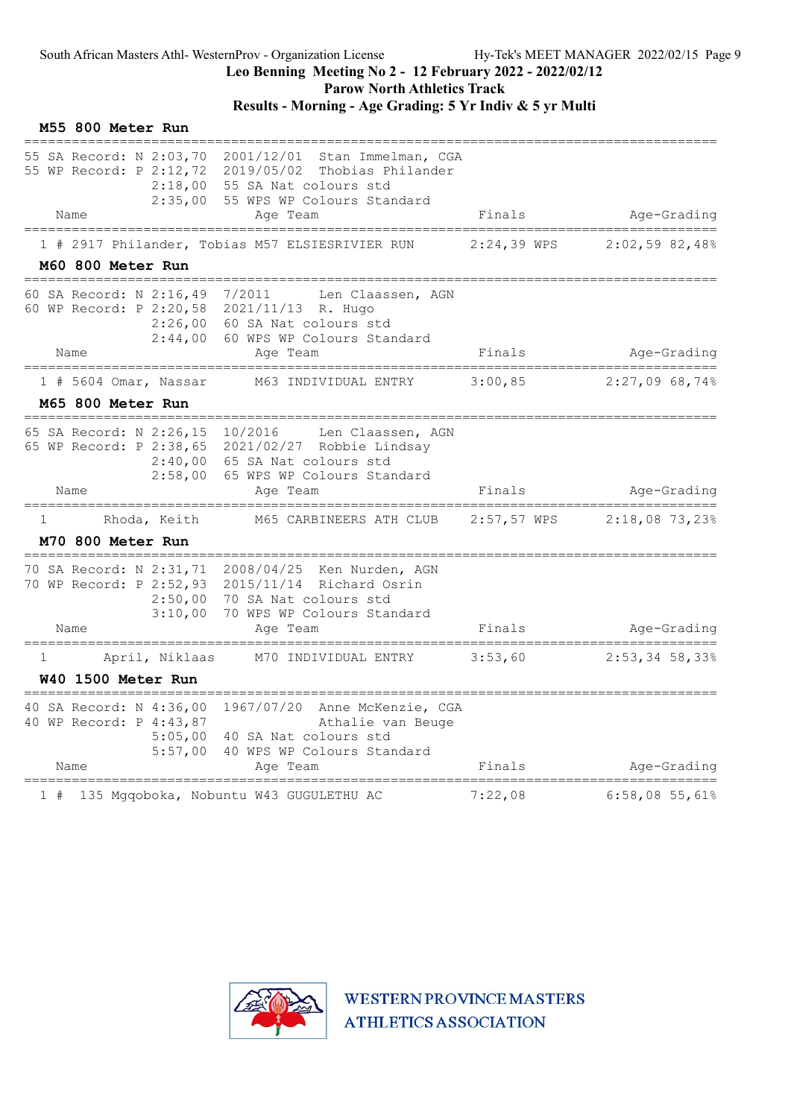Parow North Athletics Track

|    | M55 800 Meter Run                                          |                |                                                                                                                                                                                     |               |                                                  |
|----|------------------------------------------------------------|----------------|-------------------------------------------------------------------------------------------------------------------------------------------------------------------------------------|---------------|--------------------------------------------------|
|    | 55 SA Record: N 2:03,70                                    |                | 2001/12/01<br>Stan Immelman, CGA<br>55 WP Record: P 2:12,72 2019/05/02 Thobias Philander<br>2:18,00 55 SA Nat colours std<br>2:35,00 55 WPS WP Colours Standard                     |               |                                                  |
|    | Name                                                       |                | Age Team                                                                                                                                                                            | Finals        | Age-Grading                                      |
|    | M60 800 Meter Run                                          |                | 1 # 2917 Philander, Tobias M57 ELSIESRIVIER RUN                                                                                                                                     | 2:24,39 WPS   | 2:02,5982,48%                                    |
|    | 60 SA Record: N 2:16,49<br>Name                            | 2:44,00        | 7/2011<br>Len Claassen, AGN<br>60 WP Record: P 2:20,58 2021/11/13 R. Hugo<br>2:26,00 60 SA Nat colours std<br>60 WPS WP Colours Standard<br>Age Team                                | Finals        | Age-Grading                                      |
|    | ==================<br>$1$ # 5604 Omar, Nassar              |                | M63 INDIVIDUAL ENTRY                                                                                                                                                                | 3:00,85       | =======================<br>2:27,0968,74%         |
|    | M65 800 Meter Run                                          |                |                                                                                                                                                                                     |               |                                                  |
|    | Name                                                       | 2:58,00        | 65 SA Record: N 2:26,15 10/2016 Len Claassen, AGN<br>65 WP Record: P 2:38,65 2021/02/27 Robbie Lindsay<br>$2:40,00$ 65 SA Nat colours std<br>65 WPS WP Colours Standard<br>Age Team | Finals        | Age-Grading                                      |
| 1  | M70 800 Meter Run                                          | Rhoda, Keith   | M65 CARBINEERS ATH CLUB                                                                                                                                                             | $2:57,57$ WPS | $2:18,08$ 73,23%                                 |
|    | ___________<br>70 SA Record: N 2:31,71<br>Name             | 3:10,00        | 2008/04/25 Ken Nurden, AGN<br>70 WP Record: P 2:52,93 2015/11/14 Richard Osrin<br>2:50,00 70 SA Nat colours std<br>70 WPS WP Colours Standard<br>Age Team                           | Finals        | Age-Grading                                      |
| 1  | W40 1500 Meter Run<br>================                     | April, Niklaas | M70 INDIVIDUAL ENTRY                                                                                                                                                                | 3:53,60       | ============================<br>$2:53,34$ 58,33% |
|    | 40 SA Record: N 4:36,00<br>40 WP Record: P 4:43,87<br>Name | 5:57,00        | 1967/07/20 Anne McKenzie, CGA<br>Athalie van Beuge<br>5:05,00 40 SA Nat colours std<br>40 WPS WP Colours Standard<br>Age Team                                                       | Finals        | Age-Grading                                      |
| 1# |                                                            |                | 135 Mgqoboka, Nobuntu W43 GUGULETHU AC                                                                                                                                              | 7:22,08       | 6:58,0855,618                                    |

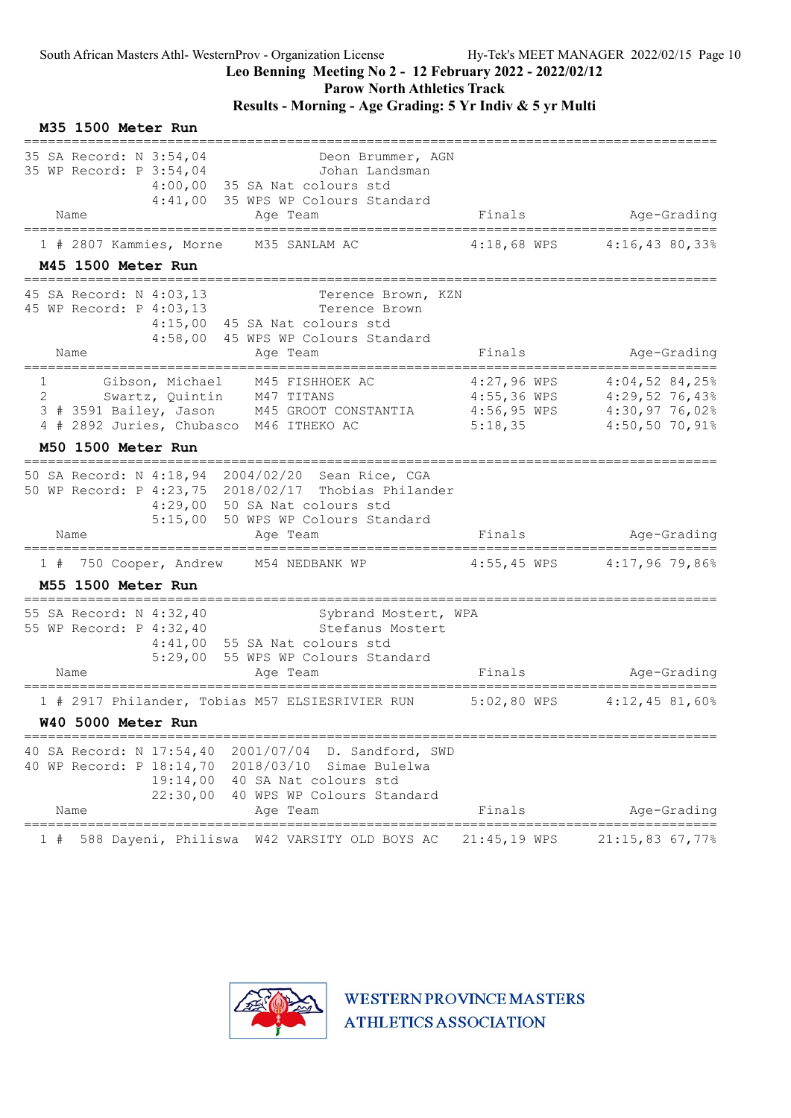### Leo Benning Meeting No 2 - 12 February 2022 - 2022/02/12

Parow North Athletics Track

### Results - Morning - Age Grading: 5 Yr Indiv & 5 yr Multi

| M35 1500 Meter Run                                                                                                                                                                                                      |                        |                                                                    |
|-------------------------------------------------------------------------------------------------------------------------------------------------------------------------------------------------------------------------|------------------------|--------------------------------------------------------------------|
| 35 SA Record: N 3:54,04<br>Deon Brummer, AGN<br>35 WP Record: P 3:54,04<br>Johan Landsman<br>$4:00,00$ 35 SA Nat colours std<br>4:41,00 35 WPS WP Colours Standard<br>Age Team<br>Name                                  | Finals                 | Age-Grading                                                        |
| ======================<br>1 # 2807 Kammies, Morne<br>M35 SANLAM AC<br>M45 1500 Meter Run                                                                                                                                | $4:18,68$ WPS          | 4:16,4380,338                                                      |
| 45 SA Record: N 4:03,13<br>Terence Brown, KZN<br>45 WP Record: P 4:03,13<br>Terence Brown<br>4:15,00 45 SA Nat colours std<br>4:58,00 45 WPS WP Colours Standard<br>Name<br>Age Team                                    | Finals                 | Age-Grading                                                        |
| Gibson, Michael<br>$1 \quad \blacksquare$<br>M45 FISHHOEK AC<br>Swartz, Quintin M47 TITANS<br>2<br>M45 GROOT CONSTANTIA 4:56,95 WPS 4:30,97 76,02%<br>3 # 3591 Bailey, Jason<br>4 # 2892 Juries, Chubasco M46 ITHEKO AC | 4:27,96 WPS<br>5:18,35 | $4:04,52$ 84,25%<br>4:55,36 WPS 4:29,52 76,43%<br>$4:50,50$ 70,91% |
| M50 1500 Meter Run<br>;=================================                                                                                                                                                                |                        |                                                                    |
| 50 SA Record: N 4:18,94 2004/02/20 Sean Rice, CGA<br>50 WP Record: P 4:23,75 2018/02/17 Thobias Philander<br>4:29,00 50 SA Nat colours std<br>5:15,00 50 WPS WP Colours Standard<br>Name<br>Age Team                    | Finals                 | Age-Grading                                                        |
| 750 Cooper, Andrew M54 NEDBANK WP<br>1#<br><b>M55 1500 Meter Run</b>                                                                                                                                                    |                        | 4:55,45 WPS 4:17,96 79,86%                                         |
| 55 SA Record: N 4:32,40<br>Sybrand Mostert, WPA<br>55 WP Record: P 4:32,40<br>Stefanus Mostert<br>$4:41,00$ 55 SA Nat colours std<br>5:29,00 55 WPS WP Colours Standard<br>Name<br>Age Team                             | Finals                 | Age-Grading                                                        |
| ======================<br>1 # 2917 Philander, Tobias M57 ELSIESRIVIER RUN<br><b>W40 5000 Meter Run</b>                                                                                                                  | $5:02,80$ WPS          | _________________________<br>$4:12$ , $45$ 81,60%                  |
| 40 SA Record: N 17:54,40<br>2001/07/04<br>D. Sandford, SWD<br>40 WP Record: P 18:14,70 2018/03/10<br>Simae Bulelwa<br>19:14,00 40 SA Nat colours std<br>22:30,00<br>40 WPS WP Colours Standard<br>Name<br>Age Team      | Finals                 | Age-Grading                                                        |
| ========================<br>588 Dayeni, Philiswa<br>W42 VARSITY OLD BOYS AC<br>1#                                                                                                                                       | 21:45,19 WPS           | $21:15,83$ 67,77%                                                  |

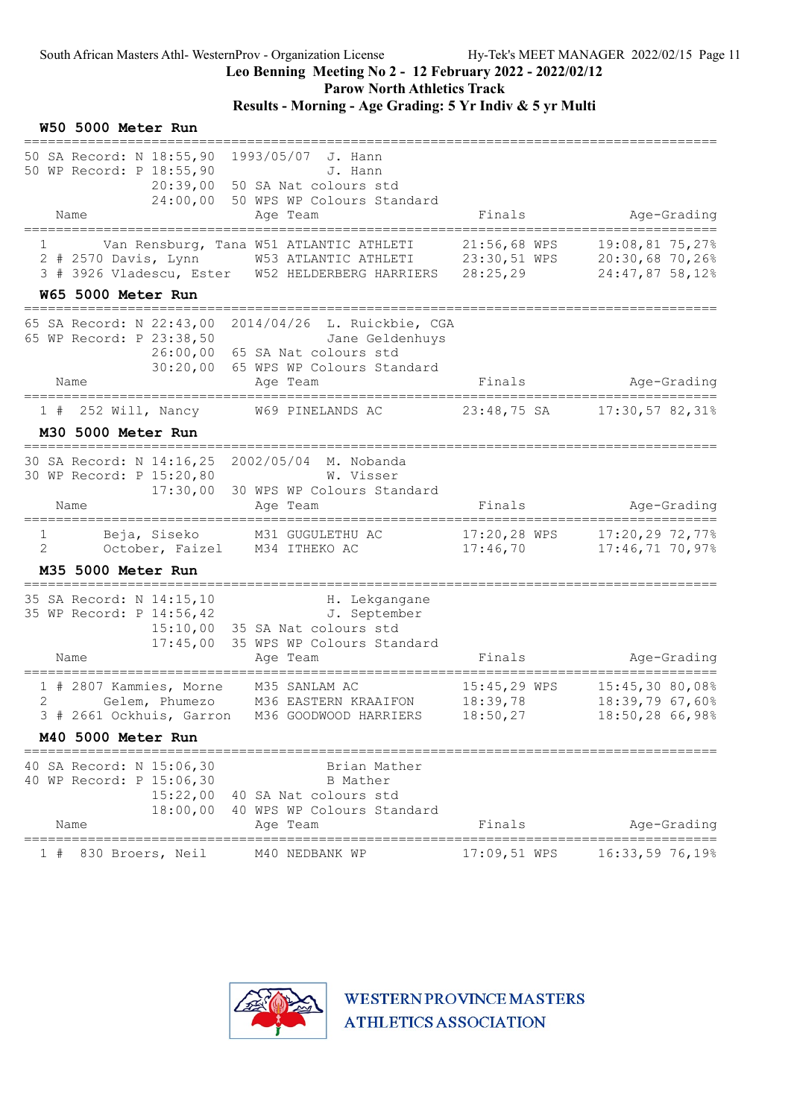Parow North Athletics Track

### Results - Morning - Age Grading: 5 Yr Indiv & 5 yr Multi

#### W50 5000 Meter Run ======================================================================================= 50 SA Record: N 18:55,90 1993/05/07 J. Hann 50 WP Record: P 18:55,90 J. Hann 20:39,00 50 SA Nat colours std 24:00,00 50 WPS WP Colours Standard Name Age Team Age Team Finals Age-Grading ======================================================================================= 1 Van Rensburg, Tana W51 ATLANTIC ATHLETI 21:56,68 WPS 19:08,81 75,27% 2 # 2570 Davis, Lynn W53 ATLANTIC ATHLETI 23:30,51 WPS 20:30,68 70,26% 3 # 3926 Vladescu, Ester W52 HELDERBERG HARRIERS 28:25,29 24:47,87 58,12% W65 5000 Meter Run ======================================================================================= 65 SA Record: N 22:43,00 2014/04/26 L. Ruickbie, CGA 65 WP Record: P 23:38,50 Jane Geldenhuys 26:00,00 65 SA Nat colours std 30:20,00 65 WPS WP Colours Standard Name Research Age Team Research Research Research Finals Age-Grading ======================================================================================= 1 # 252 Will, Nancy W69 PINELANDS AC M30 5000 Meter Run ======================================================================================= 30 SA Record: N 14:16,25 2002/05/04 M. Nobanda 30 WP Record: P 15:20,80 W. Visser 17:30,00 30 WPS WP Colours Standard Name **Age Team** Age Team Finals Age-Grading ======================================================================================= 1 Beja, Siseko M31 GUGULETHU AC 17:20,28 WPS 17:20,29 72,77% 2 October, Faizel M34 ITHEKO AC 17:46,70 17:46,71 70,97% M35 5000 Meter Run ======================================================================================= 35 SA Record: N 14:15,10 H. Lekgangane 35 WP Record: P 14:56,42 J. September 15:10,00 35 SA Nat colours std 17:45,00 35 WPS WP Colours Standard Name Age Team Age Team Finals Age-Grading ======================================================================================= 1 # 2807 Kammies, Morne M35 SANLAM AC 15:45,29 WPS 15:45,30 80,08% 2 Gelem, Phumezo M36 EASTERN KRAAIFON 18:39,78 18:39,79 67,60% 3 # 2661 Ockhuis, Garron M36 GOODWOOD HARRIERS 18:50,27 18:50,28 66,98% M40 5000 Meter Run ======================================================================================= 40 SA Record: N 15:06,30 Brian Mather 40 WP Record: P 15:06,30 B Mather 15:22,00 40 SA Nat colours std 18:00,00 40 WPS WP Colours Standard<br>Name Age Team Finals Age-Grading ======================================================================================= 1 # 830 Broers, Neil M40 NEDBANK WP

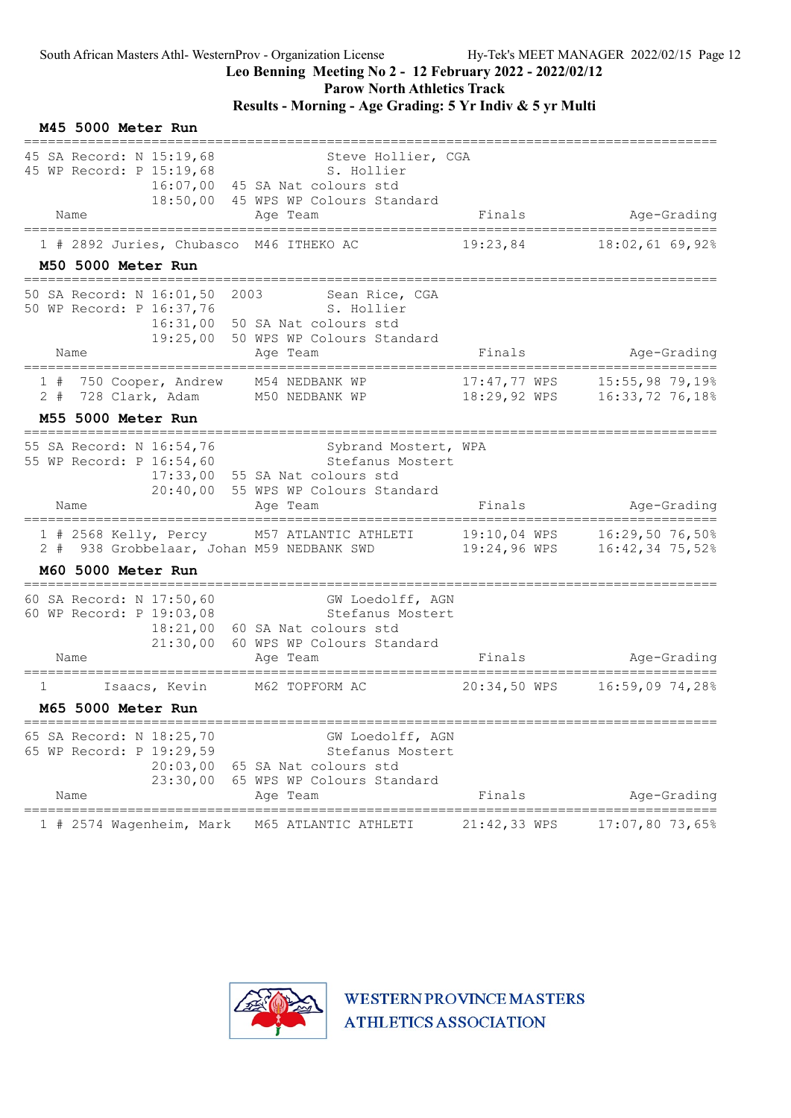#### Leo Benning Meeting No 2 - 12 February 2022 - 2022/02/12

Parow North Athletics Track

### Results - Morning - Age Grading: 5 Yr Indiv & 5 yr Multi

| M45 5000 Meter Run                                                                   |                                                                                                                               |                              |                                    |
|--------------------------------------------------------------------------------------|-------------------------------------------------------------------------------------------------------------------------------|------------------------------|------------------------------------|
| 45 SA Record: N 15:19,68<br>45 WP Record: P 15:19,68<br>16:07,00<br>Name             | Steve Hollier, CGA<br>S. Hollier<br>45 SA Nat colours std<br>18:50,00 45 WPS WP Colours Standard<br>Age Team                  | Finals                       | Age-Grading                        |
| ==================<br>1 # 2892 Juries, Chubasco M46 ITHEKO AC                        |                                                                                                                               | 19:23,84                     | 18:02,61 69,92%                    |
| M50 5000 Meter Run                                                                   |                                                                                                                               |                              |                                    |
| 50 SA Record: N 16:01,50<br>2003<br>50 WP Record: P 16:37,76<br>19:25,00             | Sean Rice, CGA<br>S. Hollier<br>16:31,00 50 SA Nat colours std<br>50 WPS WP Colours Standard                                  |                              |                                    |
| Name                                                                                 | Age Team                                                                                                                      | Finals                       | Age-Grading                        |
| 1 # 750 Cooper, Andrew<br>728 Clark, Adam<br>2#                                      | M54 NEDBANK WP<br>M50 NEDBANK WP                                                                                              | 17:47,77 WPS<br>18:29,92 WPS | 15:55,98 79,19%<br>16:33,72 76,18% |
| M55 5000 Meter Run                                                                   |                                                                                                                               |                              |                                    |
| 55 SA Record: N 16:54,76<br>55 WP Record: P 16:54,60<br>Name                         | Sybrand Mostert, WPA<br>Stefanus Mostert<br>17:33,00 55 SA Nat colours std<br>20:40,00 55 WPS WP Colours Standard<br>Age Team | Finals                       | Age-Grading                        |
| 2#                                                                                   | 1 # 2568 Kelly, Percy M57 ATLANTIC ATHLETI 19:10,04 WPS<br>938 Grobbelaar, Johan M59 NEDBANK SWD                              | 19:24,96 WPS                 | 16:29,50 76,50%<br>16:42,34 75,52% |
| M60 5000 Meter Run                                                                   |                                                                                                                               |                              |                                    |
| 60 SA Record: N 17:50,60<br>60 WP Record: P 19:03,08<br>18:21,00<br>21:30.00<br>Name | GW Loedolff, AGN<br>Stefanus Mostert<br>60 SA Nat colours std<br>60 WPS WP Colours Standard<br>Age Team                       | Finals                       | Age-Grading                        |
| Isaacs, Kevin<br>1                                                                   | M62 TOPFORM AC                                                                                                                | 20:34,50 WPS                 | 16:59,09 74,28%                    |
| M65 5000 Meter Run                                                                   |                                                                                                                               |                              |                                    |
| 65 SA Record: N 18:25,70<br>65 WP Record: P 19:29,59<br>20:03,00<br>23:30,00<br>Name | GW Loedolff, AGN<br>Stefanus Mostert<br>65 SA Nat colours std<br>65 WPS WP Colours Standard<br>Age Team                       | Finals                       | Age-Grading                        |
| ===============<br>1 # 2574 Wagenheim, Mark                                          | —————<br>M65 ATLANTIC ATHLETI                                                                                                 | 21:42,33 WPS                 | $17:07,80$ 73,65%                  |

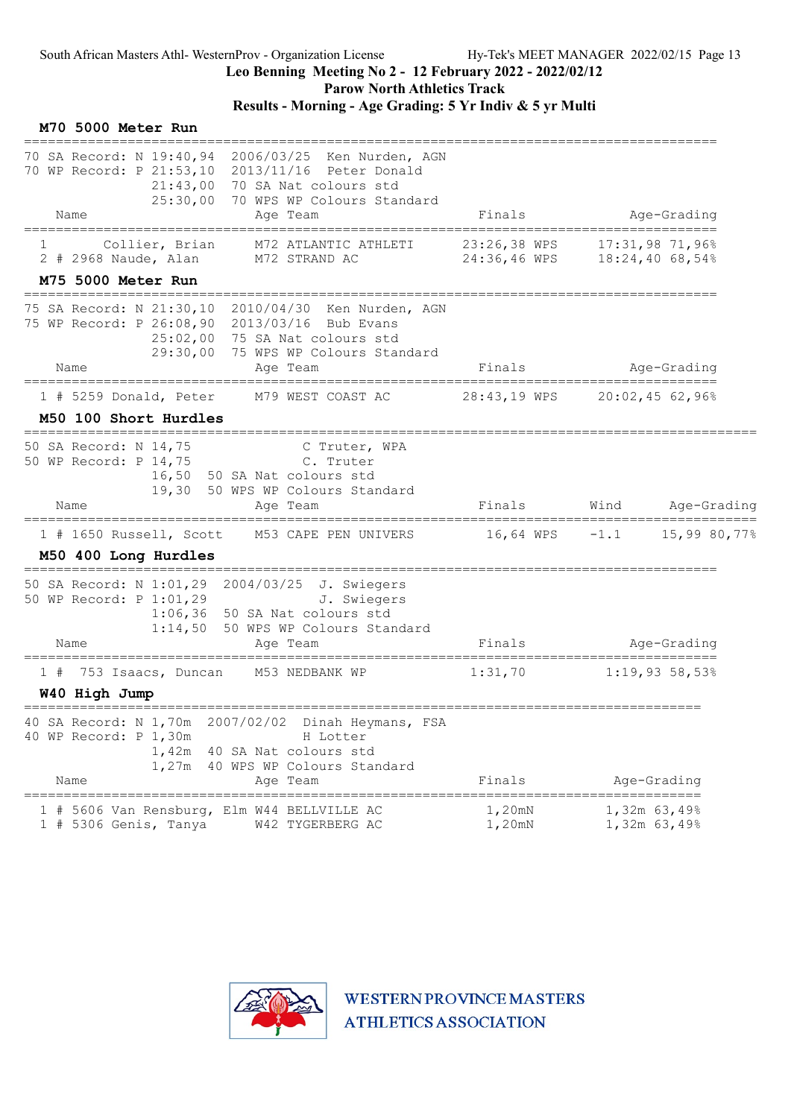Parow North Athletics Track

| M70 5000 Meter Run                                                                                                                                                                                   |                                                                                  |
|------------------------------------------------------------------------------------------------------------------------------------------------------------------------------------------------------|----------------------------------------------------------------------------------|
| 70 SA Record: N 19:40,94 2006/03/25 Ken Nurden, AGN<br>70 WP Record: P 21:53,10 2013/11/16 Peter Donald<br>21:43,00 70 SA Nat colours std<br>25:30,00 70 WPS WP Colours Standard<br>Age Team<br>Name | Age-Grading<br>Finals                                                            |
| ==================<br>Collier, Brian<br>M72 ATLANTIC ATHLETI                                                                                                                                         | ==================================<br>23:26,38 WPS<br>$17:31,98$ 71,96%          |
| M72 STRAND AC<br>2 # 2968 Naude, Alan                                                                                                                                                                | 24:36,46 WPS 18:24,40 68,54%                                                     |
| M75 5000 Meter Run<br>;====================================                                                                                                                                          |                                                                                  |
| 75 SA Record: N 21:30,10 2010/04/30 Ken Nurden, AGN<br>75 WP Record: P 26:08,90 2013/03/16 Bub Evans<br>25:02,00 75 SA Nat colours std<br>29:30,00 75 WPS WP Colours Standard                        |                                                                                  |
| Name<br>Age Team<br>====================================                                                                                                                                             | Finals<br>Age-Grading                                                            |
| M79 WEST COAST AC<br>$1$ # 5259 Donald, Peter                                                                                                                                                        | 28:43,19 WPS 20:02,45 62,96%                                                     |
| M50 100 Short Hurdles                                                                                                                                                                                |                                                                                  |
| 50 SA Record: N 14,75<br>C Truter, WPA<br>50 WP Record: P 14,75<br>C. Truter<br>16,50 50 SA Nat colours std<br>19,30 50 WPS WP Colours Standard<br>Name<br>Age Team                                  | Finals<br>Wind Age-Grading                                                       |
| $1$ # 1650 Russell, Scott<br>M50 400 Long Hurdles                                                                                                                                                    | M53 CAPE PEN UNIVERS       16,64 WPS   -1.1    15,99 80,77%                      |
| 50 SA Record: N 1:01,29 2004/03/25 J. Swiegers<br>50 WP Record: P 1:01,29<br>J. Swiegers<br>$1:06,36$ 50 SA Nat colours std<br>1:14,50 50 WPS WP Colours Standard<br>Age Team<br>Name                | ==========================<br>Finals<br>Age-Grading                              |
| M53 NEDBANK WP<br>1#<br>753 Isaacs, Duncan                                                                                                                                                           | 1:31,70<br>1:19,9358,53%                                                         |
| W40 High Jump                                                                                                                                                                                        |                                                                                  |
| 40 SA Record: N 1,70m<br>2007/02/02<br>Dinah Heymans, FSA<br>40 WP Record: P 1,30m<br>H Lotter<br>40 SA Nat colours std<br>1,42m<br>40 WPS WP Colours Standard<br>1,27m<br>Age Team<br>Name          | Finals<br>Age-Grading                                                            |
| -----------------<br>5606 Van Rensburg, Elm W44 BELLVILLE AC<br>1 # 5306 Genis, Tanya<br>W42 TYGERBERG AC                                                                                            | ===============<br>=========<br>1,20mN<br>1,32m 63,49%<br>1,20mN<br>1,32m 63,49% |

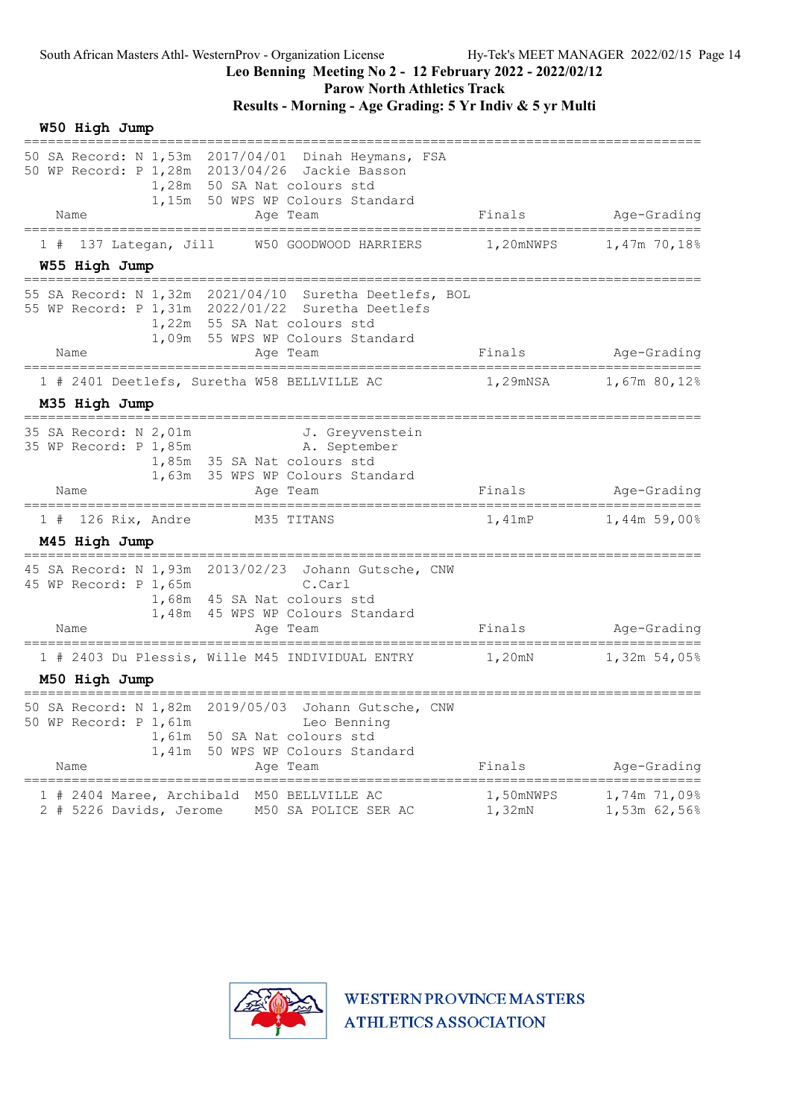Parow North Athletics Track

Results - Morning - Age Grading: 5 Yr Indiv & 5 yr Multi

W50 High Jump ===================================================================================== 50 SA Record: N 1,53m 2017/04/01 Dinah Heymans, FSA 50 WP Record: P 1,28m 2013/04/26 Jackie Basson 1,28m 50 SA Nat colours std 1,15m 50 WPS WP Colours Standard Name Research Age Team Research Rinals Age-Grading ===================================================================================== 1 # 137 Lategan, Jill W50 GOODWOOD HARRIERS W55 High Jump ===================================================================================== 55 SA Record: N 1,32m 2021/04/10 Suretha Deetlefs, BOL 55 WP Record: P 1,31m 2022/01/22 Suretha Deetlefs 1,22m 55 SA Nat colours std 1,09m 55 WPS WP Colours Standard Name Age Team Age Team Age Team Age Team Age Team Finals Age-Grading ===================================================================================== 1 # 2401 Deetlefs, Suretha W58 BELLVILLE AC 1,29mNSA 1,67m 80,12% M35 High Jump ===================================================================================== 35 SA Record: N 2,01m<br>35 WP Record: P 1,85m<br>A. September 35 WP Record: P 1,85m A. September 1,85m 35 SA Nat colours std 1,63m 35 WPS WP Colours Standard Name **Age Team** Age Team Finals Age-Grading =====================================================================================  $1$  # 126 Rix, Andre M45 High Jump ===================================================================================== 45 SA Record: N 1,93m 2013/02/23 Johann Gutsche, CNW 45 WP Record: P 1,65m C.Carl 1,68m 45 SA Nat colours std 1,48m 45 WPS WP Colours Standard Name Age Team Finals Age-Grading ===================================================================================== 1 # 2403 Du Plessis, Wille M45 INDIVIDUAL ENTRY M50 High Jump ===================================================================================== 50 SA Record: N 1,82m 2019/05/03 Johann Gutsche, CNW 50 WP Record: P 1,61m Leo Benning 1,61m 50 SA Nat colours std 1,41m 50 WPS WP Colours Standard L,41M JU WES WE COLOULS SCALLARY MENSION FINALS Age-Grading ===================================================================================== 1 # 2404 Maree, Archibald M50 BELLVILLE AC 1,50mNWPS 1,74m 71,09% 2 # 5226 Davids, Jerome M50 SA POLICE SER AC 1,32mN 1,53m 62,56%

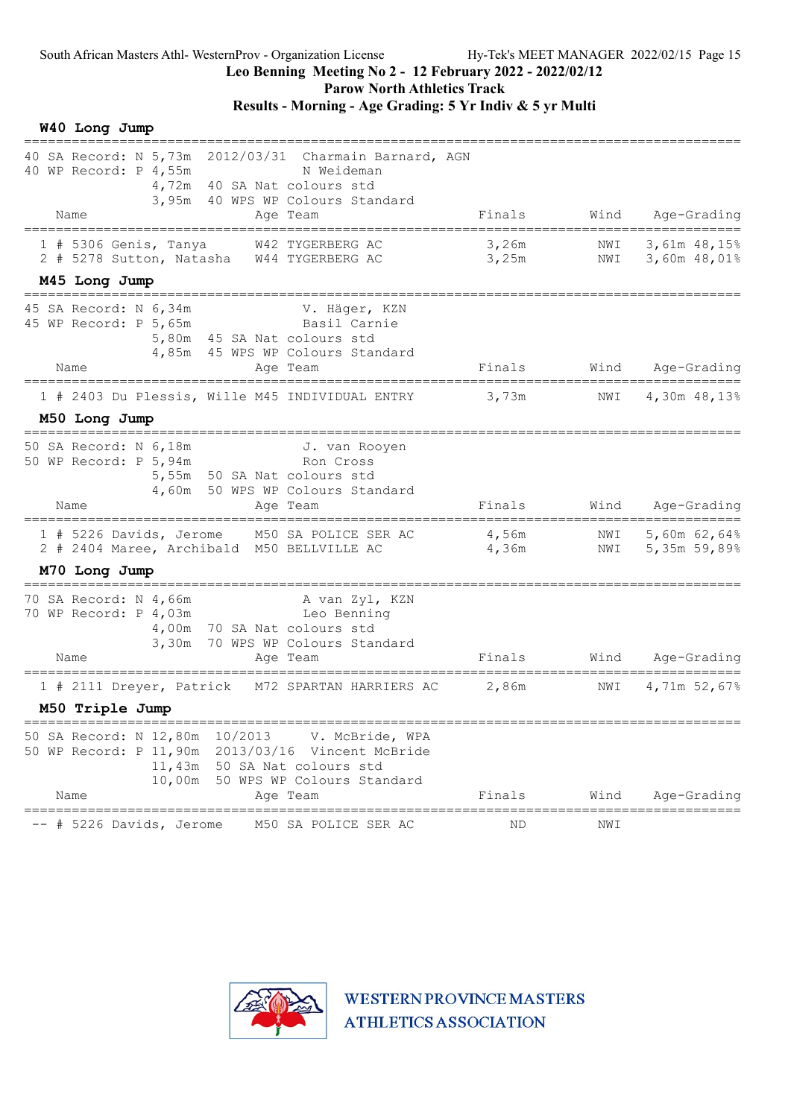Parow North Athletics Track

### Results - Morning - Age Grading: 5 Yr Indiv & 5 yr Multi

W40 Long Jump

| 40 SA Record: N 5,73m 2012/03/31 Charmain Barnard, AGN<br>40 WP Record: P 4,55m<br>N Weideman<br>4,72m 40 SA Nat colours std<br>3,95m 40 WPS WP Colours Standard                                                                           |                |            |                                  |
|--------------------------------------------------------------------------------------------------------------------------------------------------------------------------------------------------------------------------------------------|----------------|------------|----------------------------------|
| Name<br>Age Team                                                                                                                                                                                                                           | Finals         | Wind       | Age-Grading                      |
| 1 # 5306 Genis, Tanya W42 TYGERBERG AC<br>2 # 5278 Sutton, Natasha W44 TYGERBERG AC                                                                                                                                                        | 3,26m<br>3,25m | NWI        | NWI 3,61m 48,15%<br>3,60m 48,01% |
| M45 Long Jump                                                                                                                                                                                                                              |                |            |                                  |
| 45 SA Record: N 6,34m<br>V. Häger, KZN<br>Basil Carnie<br>45 WP Record: P 5,65m<br>5,80m 45 SA Nat colours std<br>4,85m 45 WPS WP Colours Standard                                                                                         |                |            |                                  |
| Name<br>Age Team                                                                                                                                                                                                                           | Finals         |            | Wind Age-Grading                 |
| 1 # 2403 Du Plessis, Wille M45 INDIVIDUAL ENTRY                                                                                                                                                                                            | 3,73m          | NWI        | 4,30m 48,13%                     |
| M50 Long Jump                                                                                                                                                                                                                              |                |            |                                  |
| 50 SA Record: N 6,18m<br>J. van Rooyen<br>50 WP Record: P 5,94m<br>Ron Cross<br>5,55m 50 SA Nat colours std<br>4,60m 50 WPS WP Colours Standard                                                                                            |                |            |                                  |
| Name<br>Age Team                                                                                                                                                                                                                           | Finals         | Wind       | Age-Grading                      |
| 1 # 5226 Davids, Jerome M50 SA POLICE SER AC<br>2 # 2404 Maree, Archibald M50 BELLVILLE AC                                                                                                                                                 | 4,56m<br>4,36m | NWI<br>NWI | 5,60m 62,64%<br>5,35m 59,89%     |
| M70 Long Jump                                                                                                                                                                                                                              |                |            |                                  |
| 70 SA Record: N 4,66m A van Zyl, KZN<br>70 WP Record: P 4,03m Leo Benning<br>4,00m 70 SA Nat colours std<br>3,30m 70 WPS WP Colours Standard<br>Name<br>Age Team                                                                           | Finals         | Wind       | Age-Grading                      |
| 1 # 2111 Dreyer, Patrick M72 SPARTAN HARRIERS AC                                                                                                                                                                                           | 2,86m          | NWI        | 4,71m 52,67%                     |
| M50 Triple Jump                                                                                                                                                                                                                            |                |            |                                  |
| ===========================<br>10/2013<br>50 SA Record: N 12,80m<br>V. McBride, WPA<br>50 WP Record: P 11,90m<br>2013/03/16 Vincent McBride<br>50 SA Nat colours std<br>11,43m<br>10,00m<br>50 WPS WP Colours Standard<br>Age Team<br>Name | Finals         | Wind       | Age-Grading                      |
|                                                                                                                                                                                                                                            |                |            |                                  |
| M50 SA POLICE SER AC<br>-- # 5226 Davids, Jerome                                                                                                                                                                                           | ΝD             | NWI        |                                  |

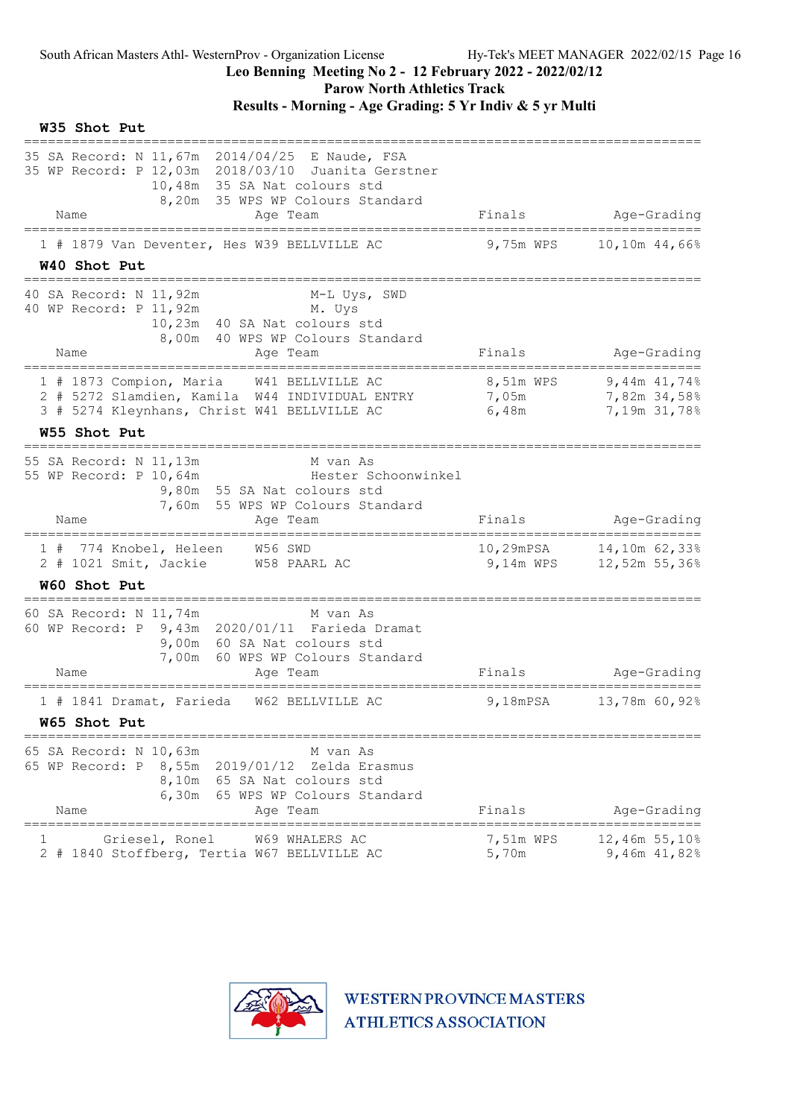Parow North Athletics Track

| W35 Shot Put                                                                                                                                                                                 |                             |                                                  |
|----------------------------------------------------------------------------------------------------------------------------------------------------------------------------------------------|-----------------------------|--------------------------------------------------|
| 35 SA Record: N 11,67m 2014/04/25 E Naude, FSA<br>35 WP Record: P 12,03m 2018/03/10 Juanita Gerstner<br>10,48m 35 SA Nat colours std<br>8,20m 35 WPS WP Colours Standard<br>Name<br>Age Team | Finals                      | Age-Grading                                      |
| 1 # 1879 Van Deventer, Hes W39 BELLVILLE AC<br>W40 Shot Put                                                                                                                                  | 9,75m WPS                   | 10,10m 44,66%                                    |
| 40 SA Record: N 11,92m<br>M-L Uys, SWD<br>40 WP Record: P 11,92m<br>M. Uys<br>10,23m 40 SA Nat colours std<br>8,00m 40 WPS WP Colours Standard<br>Name<br>Age Team                           | Finals                      | Age-Grading                                      |
| 1 # 1873 Compion, Maria W41 BELLVILLE AC<br>2 # 5272 Slamdien, Kamila W44 INDIVIDUAL ENTRY<br>3 # 5274 Kleynhans, Christ W41 BELLVILLE AC                                                    | 8,51m WPS<br>7,05m<br>6,48m | $9,44m$ $41,748$<br>7,82m 34,58%<br>7,19m 31,78% |
| W55 Shot Put                                                                                                                                                                                 |                             |                                                  |
| 55 SA Record: N 11,13m<br>M van As<br>55 WP Record: P 10,64m<br>Hester Schoonwinkel<br>9,80m 55 SA Nat colours std<br>7,60m 55 WPS WP Colours Standard                                       | Finals                      |                                                  |
| Name<br>Age Team                                                                                                                                                                             |                             | Age-Grading                                      |
| 1 # 774 Knobel, Heleen<br>$W56$ SWD<br>2 # 1021 Smit, Jackie W58 PAARL AC                                                                                                                    | 10,29mPSA<br>9,14m WPS      | 14,10m 62,33%<br>12,52m 55,36%                   |
| W60 Shot Put                                                                                                                                                                                 |                             |                                                  |
| 60 SA Record: N 11,74m<br>M van As<br>60 WP Record: P 9,43m 2020/01/11 Farieda Dramat<br>9,00m 60 SA Nat colours std<br>7,00m 60 WPS WP Colours Standard<br>Age Team<br>Name                 | Finals                      | Age-Grading                                      |
| 1 # 1841 Dramat, Farieda W62 BELLVILLE AC                                                                                                                                                    | $9,18$ m $PSA$              | 13,78m 60,92%                                    |
| W65 Shot Put                                                                                                                                                                                 |                             |                                                  |
| 65 SA Record: N 10,63m<br>M van As<br>65 WP Record: P<br>8,55m 2019/01/12<br>Zelda Erasmus<br>8,10m 65 SA Nat colours std<br>6,30m 65 WPS WP Colours Standard<br>Name<br>Age Team            | Finals                      | Age-Grading                                      |
| Griesel, Ronel<br>W69 WHALERS AC<br>2 # 1840 Stoffberg, Tertia W67 BELLVILLE AC                                                                                                              | 7,51m WPS<br>5,70m          | 12,46m 55,10%<br>9,46m $41,82%$                  |

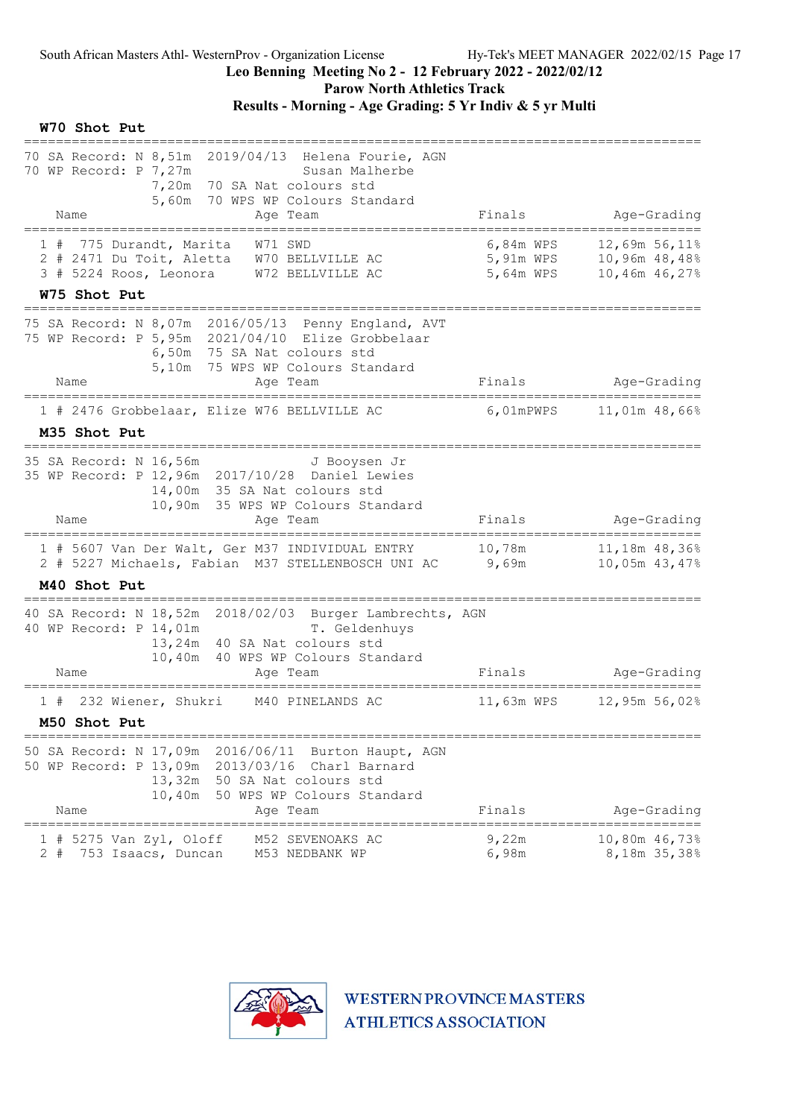Parow North Athletics Track

# Results - Morning - Age Grading: 5 Yr Indiv & 5 yr Multi

#### W70 Shot Put

| 70 SA Record: N 8,51m 2019/04/13 Helena Fourie, AGN<br>70 WP Record: P 7,27m<br>Susan Malherbe<br>7,20m 70 SA Nat colours std<br>5,60m 70 WPS WP Colours Standard<br>Name<br>Age Team                             | Finals                              | Age-Grading                                     |
|-------------------------------------------------------------------------------------------------------------------------------------------------------------------------------------------------------------------|-------------------------------------|-------------------------------------------------|
| __________________<br>-------------------                                                                                                                                                                         |                                     |                                                 |
| 775 Durandt, Marita<br>1#<br>W71 SWD<br>2 # 2471 Du Toit, Aletta W70 BELLVILLE AC<br>3 # 5224 Roos, Leonora W72 BELLVILLE AC                                                                                      | 6,84m WPS<br>5,91m WPS<br>5,64m WPS | 12,69m 56,11%<br>10,96m 48,48%<br>10,46m 46,27% |
| W75 Shot Put                                                                                                                                                                                                      |                                     |                                                 |
| 75 SA Record: N 8,07m 2016/05/13 Penny England, AVT<br>75 WP Record: P 5,95m 2021/04/10 Elize Grobbelaar<br>6,50m 75 SA Nat colours std<br>5,10m 75 WPS WP Colours Standard                                       |                                     |                                                 |
| Name<br>Aqe Team                                                                                                                                                                                                  | Finals                              | Age-Grading                                     |
| 1 # 2476 Grobbelaar, Elize W76 BELLVILLE AC<br>M35 Shot Put                                                                                                                                                       | 6,01mPWPS                           | 11,01m 48,66%                                   |
| ___________________________<br>35 SA Record: N 16,56m<br>J Booysen Jr<br>35 WP Record: P 12,96m 2017/10/28 Daniel Lewies<br>14,00m 35 SA Nat colours std<br>10,90m 35 WPS WP Colours Standard<br>Name<br>Age Team | Finals                              | Age-Grading                                     |
| -----------------                                                                                                                                                                                                 |                                     | -------------------------------                 |
| 1 # 5607 Van Der Walt, Ger M37 INDIVIDUAL ENTRY<br>2 # 5227 Michaels, Fabian M37 STELLENBOSCH UNI AC 9,69m                                                                                                        |                                     | 10,05m 43,47%                                   |
| M40 Shot Put                                                                                                                                                                                                      |                                     |                                                 |
| 40 SA Record: N 18,52m 2018/02/03 Burger Lambrechts, AGN<br>40 WP Record: P 14,01m<br>T. Geldenhuys<br>13,24m 40 SA Nat colours std<br>10,40m 40 WPS WP Colours Standard                                          |                                     |                                                 |
| Name<br>Age Team<br>==================                                                                                                                                                                            | Finals                              | Age-Grading                                     |
| 232 Wiener, Shukri M40 PINELANDS AC<br>1#<br>M50 Shot Put                                                                                                                                                         | 11,63m WPS                          | 12,95m 56,02%                                   |
|                                                                                                                                                                                                                   |                                     |                                                 |
| 50 SA Record: N 17,09m<br>2016/06/11<br>Burton Haupt, AGN<br>50 WP Record: P 13,09m 2013/03/16 Charl Barnard<br>13,32m 50 SA Nat colours std<br>10,40m<br>50 WPS WP Colours Standard                              | Finals                              | Age-Grading                                     |
| Name<br>Aqe Team<br>$=$ $=$ $=$ $=$ $=$                                                                                                                                                                           |                                     |                                                 |
| 5275 Van Zyl, Oloff<br>M52 SEVENOAKS AC<br>$2 +$<br>753 Isaacs, Duncan<br>M53 NEDBANK WP                                                                                                                          | 9,22m<br>6,98m                      | 10,80m 46,73%<br>8,18m 35,38%                   |

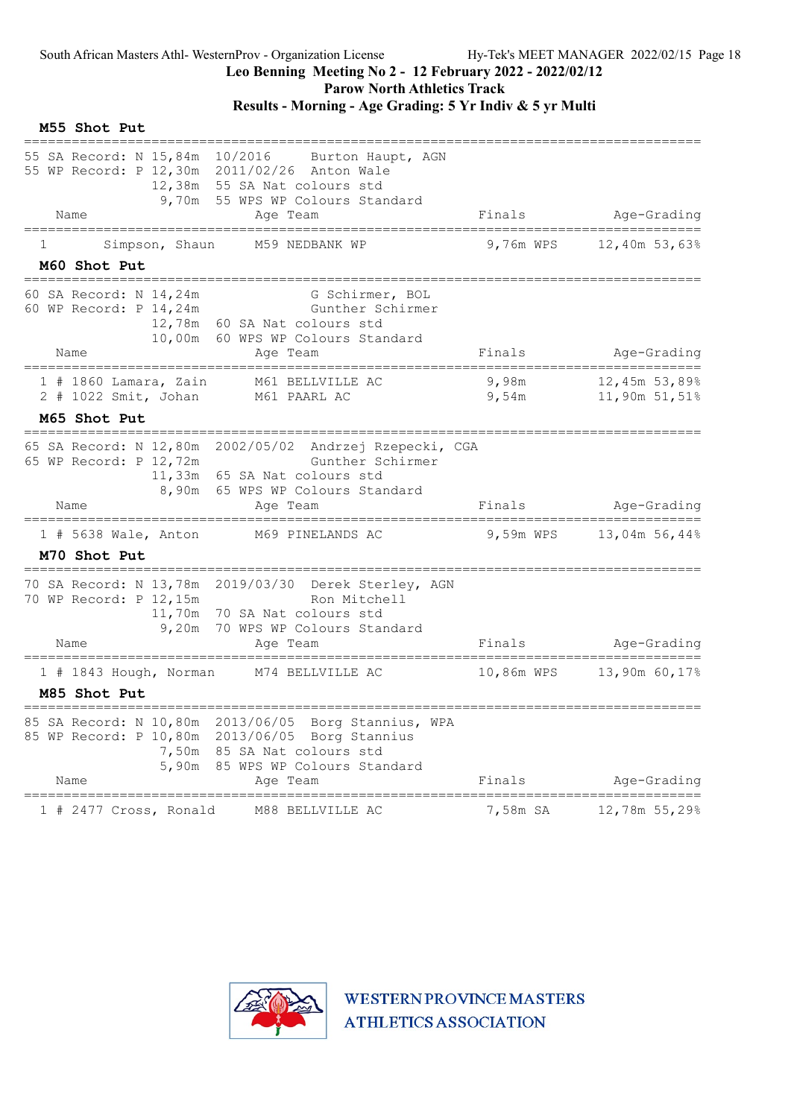# Leo Benning Meeting No 2 - 12 February 2022 - 2022/02/12

Parow North Athletics Track

Results - Morning - Age Grading: 5 Yr Indiv & 5 yr Multi

| M55 Shot Put                                                 |                                                                                                                                                             |                                |                                              |
|--------------------------------------------------------------|-------------------------------------------------------------------------------------------------------------------------------------------------------------|--------------------------------|----------------------------------------------|
| 55 SA Record: N 15,84m 10/2016<br>Name                       | Burton Haupt, AGN<br>55 WP Record: P 12,30m 2011/02/26 Anton Wale<br>12,38m 55 SA Nat colours std<br>9,70m 55 WPS WP Colours Standard<br>Age Team           | Finals                         | Age-Grading                                  |
| ======================<br>Simpson, Shaun<br>ı.               | M59 NEDBANK WP                                                                                                                                              | 9,76m WPS                      | ===========================<br>12,40m 53,63% |
| M60 Shot Put                                                 |                                                                                                                                                             |                                |                                              |
| 60 SA Record: N 14,24m<br>60 WP Record: P 14,24m             | G Schirmer, BOL<br>Gunther Schirmer<br>12,78m 60 SA Nat colours std<br>10,00m 60 WPS WP Colours Standard                                                    |                                |                                              |
| Name                                                         | Age Team                                                                                                                                                    | Finals                         | Age-Grading                                  |
| $1$ # 1860 Lamara, Zain<br>2 # 1022 Smit, Johan M61 PAARL AC | M61 BELLVILLE AC                                                                                                                                            | 9,98m<br>9,54m                 | 12,45m 53,89%<br>11,90m 51,51%               |
| M65 Shot Put                                                 |                                                                                                                                                             |                                |                                              |
| 65 WP Record: P 12,72m<br>Name                               | 65 SA Record: N 12,80m 2002/05/02 Andrzej Rzepecki, CGA<br>Gunther Schirmer<br>11,33m 65 SA Nat colours std<br>8,90m 65 WPS WP Colours Standard<br>Age Team | Finals                         | Age-Grading                                  |
|                                                              | 1 # 5638 Wale, Anton M69 PINELANDS AC                                                                                                                       |                                | 9,59m WPS 13,04m 56,44%                      |
| M70 Shot Put                                                 |                                                                                                                                                             |                                |                                              |
| 70 WP Record: P 12,15m<br>Name                               | 70 SA Record: N 13,78m 2019/03/30 Derek Sterley, AGN<br>Ron Mitchell<br>11,70m 70 SA Nat colours std<br>9,20m 70 WPS WP Colours Standard<br>Age Team        | Finals                         | Age-Grading                                  |
| 1 # 1843 Hough, Norman                                       | M74 BELLVILLE AC                                                                                                                                            | 10,86m WPS                     | 13,90m 60,17%                                |
| M85 Shot Put                                                 |                                                                                                                                                             |                                |                                              |
| 85 SA Record: N 10,80m<br>5,90m<br>Name                      | 2013/06/05 Borg Stannius, WPA<br>85 WP Record: P 10,80m 2013/06/05 Borg Stannius<br>7,50m 85 SA Nat colours std<br>85 WPS WP Colours Standard<br>Age Team   | Finals                         | Age-Grading                                  |
| ====================<br>1 # 2477 Cross, Ronald               | M88 BELLVILLE AC                                                                                                                                            | ==================<br>7,58m SA | 12,78m 55,29%                                |

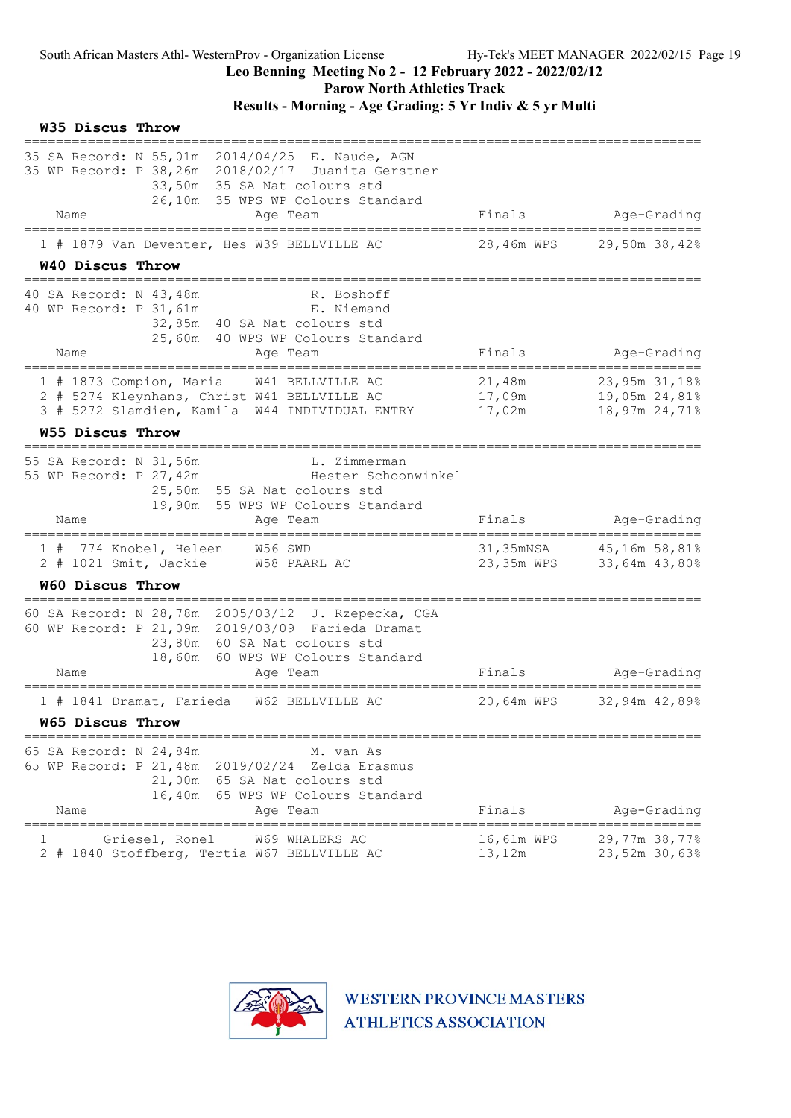Parow North Athletics Track

Results - Morning - Age Grading: 5 Yr Indiv & 5 yr Multi

| W35 Discus Throw |                                                                                                                                                                                         |                            |                                                 |
|------------------|-----------------------------------------------------------------------------------------------------------------------------------------------------------------------------------------|----------------------------|-------------------------------------------------|
| Name             | 35 SA Record: N 55,01m 2014/04/25 E. Naude, AGN<br>35 WP Record: P 38,26m 2018/02/17 Juanita Gerstner<br>33,50m 35 SA Nat colours std<br>26,10m 35 WPS WP Colours Standard<br>Age Team  | Finals                     | Age-Grading                                     |
|                  | 1 # 1879 Van Deventer, Hes W39 BELLVILLE AC                                                                                                                                             | 28,46m WPS                 | 29,50m 38,42%                                   |
| W40 Discus Throw |                                                                                                                                                                                         |                            |                                                 |
|                  | 40 SA Record: N 43,48m<br>R. Boshoff<br>40 WP Record: P 31, 61m<br>E. Niemand<br>32,85m 40 SA Nat colours std<br>25,60m 40 WPS WP Colours Standard                                      |                            |                                                 |
| Name             | Age Team                                                                                                                                                                                | Finals                     | Age-Grading                                     |
|                  | 1 # 1873 Compion, Maria<br>W41 BELLVILLE AC<br>2 # 5274 Kleynhans, Christ W41 BELLVILLE AC<br>3 # 5272 Slamdien, Kamila W44 INDIVIDUAL ENTRY                                            | 21,48m<br>17,09m<br>17,02m | 23,95m 31,18%<br>19,05m 24,81%<br>18,97m 24,71% |
| W55 Discus Throw |                                                                                                                                                                                         |                            |                                                 |
| Name             | 55 SA Record: N 31,56m<br>L. Zimmerman<br>55 WP Record: P 27,42m<br>Hester Schoonwinkel<br>25,50m 55 SA Nat colours std<br>19,90m 55 WPS WP Colours Standard<br>Age Team                | Finals                     | Age-Grading                                     |
|                  |                                                                                                                                                                                         |                            |                                                 |
|                  | 1 # 774 Knobel, Heleen<br>W56 SWD<br>2 # 1021 Smit, Jackie W58 PAARL AC                                                                                                                 | 23,35m WPS                 | 31,35mNSA 45,16m 58,81%<br>33,64m 43,80%        |
| W60 Discus Throw |                                                                                                                                                                                         |                            |                                                 |
| Name             | 60 SA Record: N 28,78m 2005/03/12 J. Rzepecka, CGA<br>60 WP Record: P 21,09m 2019/03/09 Farieda Dramat<br>23,80m 60 SA Nat colours std<br>18,60m 60 WPS WP Colours Standard<br>Age Team | Finals                     | Age-Grading                                     |
|                  |                                                                                                                                                                                         | 20,64m WPS                 | 32,94m 42,89%                                   |
| W65 Discus Throw | 1 # 1841 Dramat, Farieda W62 BELLVILLE AC                                                                                                                                               |                            |                                                 |
|                  |                                                                                                                                                                                         |                            |                                                 |
| Name             | 65 SA Record: N 24,84m<br>M. van As<br>65 WP Record: P 21,48m 2019/02/24<br>Zelda Erasmus<br>21,00m 65 SA Nat colours std<br>16,40m<br>65 WPS WP Colours Standard<br>Age Team           | Finals<br>---------------  | Age-Grading                                     |
|                  | Griesel, Ronel<br>W69 WHALERS AC<br>2 # 1840 Stoffberg, Tertia W67 BELLVILLE AC                                                                                                         | 16,61m WPS<br>13,12m       | 29,77m 38,77%<br>23,52m 30,63%                  |

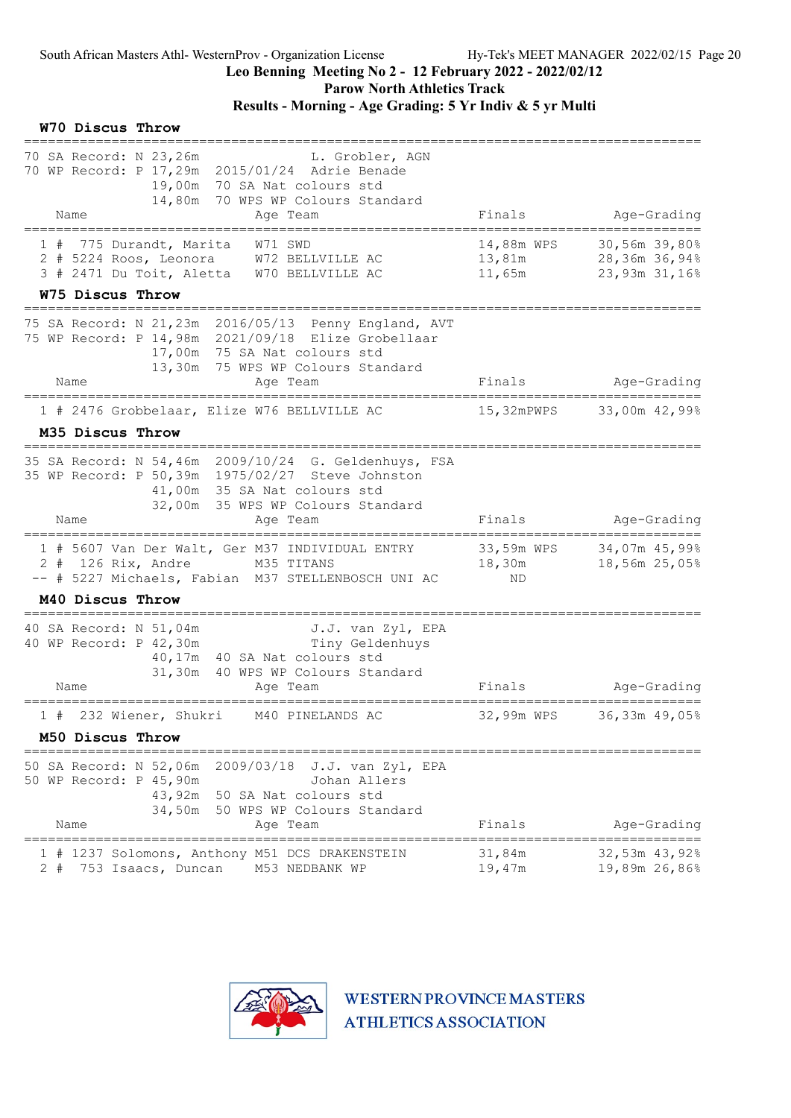W70 Discus Throw

### Leo Benning Meeting No 2 - 12 February 2022 - 2022/02/12

Parow North Athletics Track

### Results - Morning - Age Grading: 5 Yr Indiv & 5 yr Multi

| 70 SA Record: N 23,26m<br>L. Grobler, AGN<br>70 WP Record: P 17,29m 2015/01/24 Adrie Benade<br>19,00m 70 SA Nat colours std<br>14,80m 70 WPS WP Colours Standard                                  |                                         |                                                 |
|---------------------------------------------------------------------------------------------------------------------------------------------------------------------------------------------------|-----------------------------------------|-------------------------------------------------|
| Name<br>Age Team                                                                                                                                                                                  | Finals                                  | Age-Grading                                     |
| 775 Durandt, Marita<br>W71 SWD<br>1#<br>2 # 5224 Roos, Leonora W72 BELLVILLE AC<br>3 # 2471 Du Toit, Aletta W70 BELLVILLE AC                                                                      | 14,88m WPS<br>13,81m<br>11,65m          | 30,56m 39,80%<br>28,36m 36,94%<br>23,93m 31,16% |
| W75 Discus Throw                                                                                                                                                                                  |                                         |                                                 |
| 75 SA Record: N 21,23m 2016/05/13 Penny England, AVT<br>75 WP Record: P 14,98m 2021/09/18 Elize Grobellaar<br>17,00m 75 SA Nat colours std<br>13,30m 75 WPS WP Colours Standard                   |                                         |                                                 |
| Name<br>Age Team                                                                                                                                                                                  | Finals                                  | Age-Grading                                     |
| 1 # 2476 Grobbelaar, Elize W76 BELLVILLE AC                                                                                                                                                       | 15,32mPWPS                              | 33,00m 42,99%                                   |
| M35 Discus Throw                                                                                                                                                                                  |                                         |                                                 |
| 35 SA Record: N 54,46m 2009/10/24 G. Geldenhuys, FSA<br>35 WP Record: P 50,39m 1975/02/27 Steve Johnston<br>41,00m 35 SA Nat colours std<br>32,00m 35 WPS WP Colours Standard<br>Name<br>Age Team | Finals                                  | Age-Grading                                     |
|                                                                                                                                                                                                   |                                         |                                                 |
| 1 # 5607 Van Der Walt, Ger M37 INDIVIDUAL ENTRY<br>2 # 126 Rix, Andre M35 TITANS<br>-- # 5227 Michaels, Fabian M37 STELLENBOSCH UNI AC                                                            | 33,59m WPS<br>18,30m<br>ND              | 34,07m 45,99%<br>18,56m 25,05%                  |
| M40 Discus Throw                                                                                                                                                                                  |                                         |                                                 |
| 40 SA Record: N 51,04m<br>J.J. van Zyl, EPA<br>Tiny Geldenhuys<br>40 WP Record: P 42,30m<br>40,17m 40 SA Nat colours std<br>31,30m 40 WPS WP Colours Standard<br>Name<br>Age Team                 | Finals                                  | Age-Grading                                     |
|                                                                                                                                                                                                   |                                         | ===============                                 |
| 232 Wiener, Shukri<br>M40 PINELANDS AC<br>1#                                                                                                                                                      | 32,99m WPS                              | 36,33m 49,05%                                   |
| M50 Discus Throw                                                                                                                                                                                  |                                         |                                                 |
| 50 SA Record: N 52,06m<br>2009/03/18<br>J.J. van Zyl, EPA<br>50 WP Record: P 45,90m<br>Johan Allers<br>43,92m 50 SA Nat colours std<br>34,50m<br>50 WPS WP Colours Standard<br>Name<br>Age Team   | Finals                                  | Age-Grading                                     |
| 1 # 1237 Solomons, Anthony M51 DCS DRAKENSTEIN<br>753 Isaacs, Duncan<br>2 #<br>M53 NEDBANK WP                                                                                                     | ===================<br>31,84m<br>19,47m | =====<br>32,53m 43,92%<br>19,89m 26,86%         |

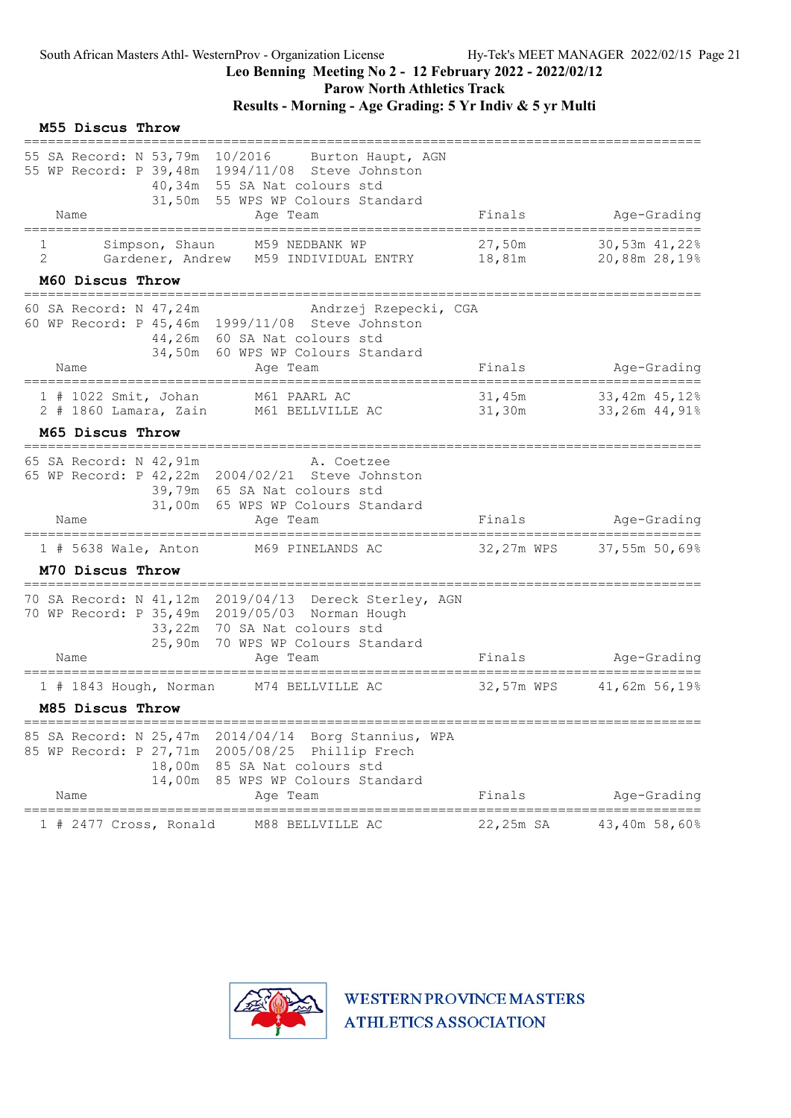Parow North Athletics Track

|        | M55 Discus Throw |                                           |                                                                                                                                                                                          |                                |                                |
|--------|------------------|-------------------------------------------|------------------------------------------------------------------------------------------------------------------------------------------------------------------------------------------|--------------------------------|--------------------------------|
|        | Name             | 55 SA Record: N 53,79m 10/2016            | Burton Haupt, AGN<br>55 WP Record: P 39,48m 1994/11/08 Steve Johnston<br>40,34m 55 SA Nat colours std<br>31,50m 55 WPS WP Colours Standard<br>Age Team                                   | Finals                         | Age-Grading                    |
| 1<br>2 |                  | =======================<br>Simpson, Shaun | .=========================<br>M59 NEDBANK WP<br>Gardener, Andrew M59 INDIVIDUAL ENTRY                                                                                                    | 27,50m<br>18 <b>,</b> 81m      | 30,53m 41,22%<br>20,88m 28,19% |
|        | M60 Discus Throw |                                           | ====================================                                                                                                                                                     |                                |                                |
|        | Name             | 60 SA Record: N 47,24m                    | Andrzej Rzepecki, CGA<br>60 WP Record: P 45,46m 1999/11/08 Steve Johnston<br>44,26m 60 SA Nat colours std<br>34,50m 60 WPS WP Colours Standard<br>Age Team                               | Finals                         | Age-Grading                    |
|        |                  |                                           | ====================================<br>=====================                                                                                                                            |                                | =====================          |
|        |                  | $2$ # 1860 Lamara, Zain                   | 1 # 1022 Smit, Johan M61 PAARL AC<br>M61 BELLVILLE AC                                                                                                                                    | 31,45m<br>31,30m               | 33,42m 45,12%<br>33,26m 44,91% |
|        | M65 Discus Throw |                                           |                                                                                                                                                                                          |                                |                                |
|        |                  | 65 SA Record: N 42,91m                    | A. Coetzee<br>65 WP Record: P 42,22m 2004/02/21 Steve Johnston<br>39,79m 65 SA Nat colours std<br>31,00m 65 WPS WP Colours Standard                                                      |                                |                                |
|        | Name             |                                           | Age Team                                                                                                                                                                                 | Finals                         | Age-Grading<br>=============== |
|        |                  | $1$ # 5638 Wale, Anton                    | M69 PINELANDS AC                                                                                                                                                                         |                                | 32,27m WPS 37,55m 50,69%       |
|        | M70 Discus Throw |                                           |                                                                                                                                                                                          |                                |                                |
|        | Name             |                                           | 70 SA Record: N 41,12m 2019/04/13 Dereck Sterley, AGN<br>70 WP Record: P 35,49m 2019/05/03 Norman Hough<br>33,22m 70 SA Nat colours std<br>25,90m 70 WPS WP Colours Standard<br>Age Team | Finals                         | Age-Grading                    |
|        |                  | 1 # 1843 Hough, Norman                    | M74 BELLVILLE AC                                                                                                                                                                         | 32,57m WPS                     | 41,62m 56,19%                  |
|        | M85 Discus Throw |                                           |                                                                                                                                                                                          |                                |                                |
|        | Name             | 14,00m                                    | 85 SA Record: N 25,47m 2014/04/14 Borg Stannius, WPA<br>85 WP Record: P 27,71m 2005/08/25 Phillip Frech<br>18,00m 85 SA Nat colours std<br>85 WPS WP Colours Standard<br>Age Team        | Finals                         | Age-Grading                    |
|        |                  | 1 # 2477 Cross, Ronald                    | M88 BELLVILLE AC                                                                                                                                                                         | -----------------<br>22,25m SA | ======<br>43,40m 58,60%        |

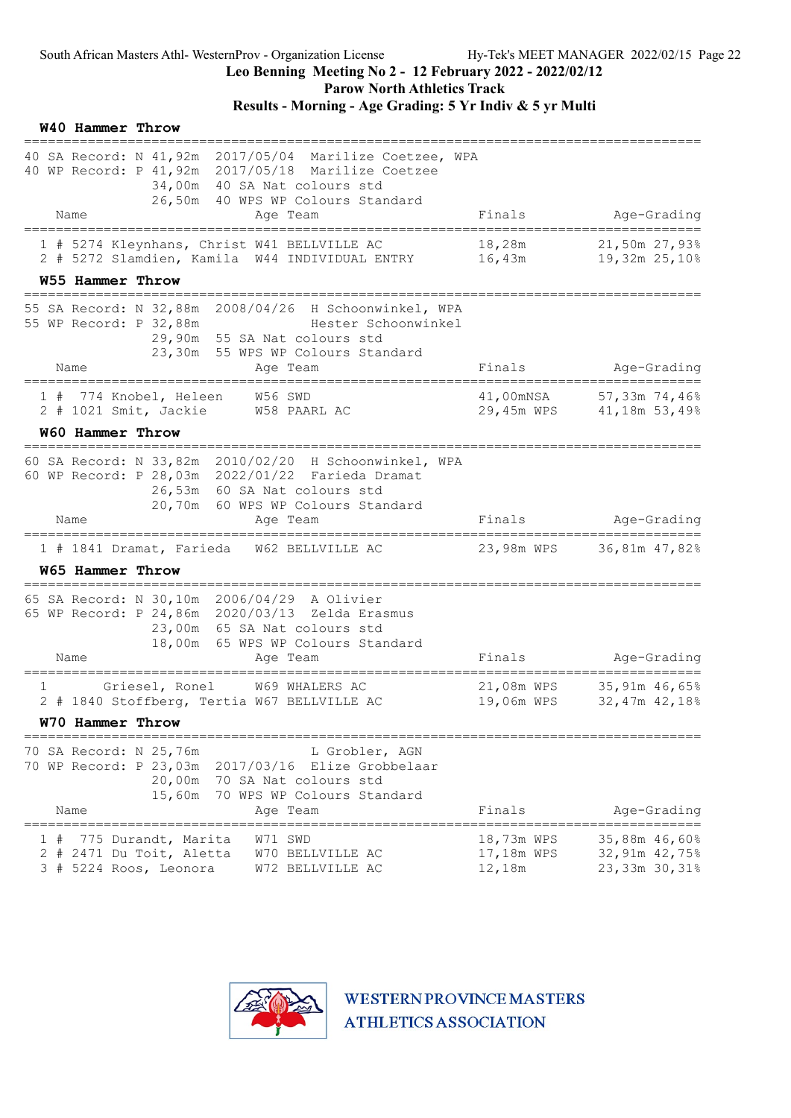Parow North Athletics Track

|    | W40 Hammer Throw                                         |                     |                                                                                                                                                                                     |                                    |                                                          |
|----|----------------------------------------------------------|---------------------|-------------------------------------------------------------------------------------------------------------------------------------------------------------------------------------|------------------------------------|----------------------------------------------------------|
|    |                                                          |                     | 40 SA Record: N 41,92m 2017/05/04 Marilize Coetzee, WPA<br>40 WP Record: P 41, 92m 2017/05/18 Marilize Coetzee<br>34,00m 40 SA Nat colours std<br>26,50m 40 WPS WP Colours Standard |                                    |                                                          |
|    | Name                                                     |                     | Age Team                                                                                                                                                                            | Finals                             | Age-Grading                                              |
|    |                                                          |                     | 1 # 5274 Kleynhans, Christ W41 BELLVILLE AC<br>2 # 5272 Slamdien, Kamila W44 INDIVIDUAL ENTRY                                                                                       | 18,28m                             | 21,50m 27,93%                                            |
|    | W55 Hammer Throw<br>;==========================          |                     |                                                                                                                                                                                     |                                    |                                                          |
|    | 55 WP Record: P 32,88m                                   |                     | 55 SA Record: N 32,88m 2008/04/26 H Schoonwinkel, WPA<br>Hester Schoonwinkel<br>29,90m 55 SA Nat colours std<br>23,30m 55 WPS WP Colours Standard                                   |                                    |                                                          |
|    | Name                                                     |                     | Age Team<br>==================================                                                                                                                                      | Finals                             | Age-Grading                                              |
|    |                                                          |                     | 1 # 774 Knobel, Heleen W56 SWD<br>2 # 1021 Smit, Jackie W58 PAARL AC                                                                                                                |                                    | 41,00mNSA 57,33m 74,46%<br>29,45m WPS 41,18m 53,49%      |
|    | W60 Hammer Throw                                         |                     |                                                                                                                                                                                     |                                    |                                                          |
|    |                                                          |                     | 60 SA Record: N 33,82m 2010/02/20 H Schoonwinkel, WPA<br>60 WP Record: P 28,03m 2022/01/22 Farieda Dramat<br>26,53m 60 SA Nat colours std<br>20,70m 60 WPS WP Colours Standard      |                                    |                                                          |
|    | Name                                                     |                     | Age Team                                                                                                                                                                            |                                    | Finals Age-Grading                                       |
|    | W65 Hammer Throw                                         |                     | 1 # 1841 Dramat, Farieda W62 BELLVILLE AC                                                                                                                                           |                                    | 23,98m WPS 36,81m 47,82%                                 |
|    |                                                          |                     |                                                                                                                                                                                     |                                    |                                                          |
|    |                                                          |                     | 65 SA Record: N 30,10m 2006/04/29 A Olivier<br>65 WP Record: P 24,86m 2020/03/13 Zelda Erasmus<br>23,00m 65 SA Nat colours std<br>18,00m 65 WPS WP Colours Standard                 |                                    |                                                          |
|    | Name                                                     |                     | Age Team<br>==========                                                                                                                                                              | Finals                             | Age-Grading<br>=====================                     |
| 1  |                                                          | Griesel, Ronel      | W69 WHALERS AC<br>2 # 1840 Stoffberg, Tertia W67 BELLVILLE AC                                                                                                                       |                                    | 21,08m WPS 35,91m 46,65%<br>19,06m WPS 32,47m 42,18%     |
|    | W70 Hammer Throw                                         |                     |                                                                                                                                                                                     |                                    |                                                          |
|    | 70 SA Record: N 25,76m<br>70 WP Record: P 23,03m<br>Name | 20,00m<br>15,60m    | L Grobler, AGN<br>2017/03/16<br>Elize Grobbelaar<br>70 SA Nat colours std<br>70 WPS WP Colours Standard<br>Age Team                                                                 | Finals                             | Age-Grading                                              |
| 3# | 2 # 2471 Du Toit, Aletta<br>5224 Roos, Leonora           | 775 Durandt, Marita | W71 SWD<br>W70 BELLVILLE AC<br>W72 BELLVILLE AC                                                                                                                                     | 18,73m WPS<br>17,18m WPS<br>12,18m | =====<br>35,88m 46,60%<br>32,91m 42,75%<br>23,33m 30,31% |

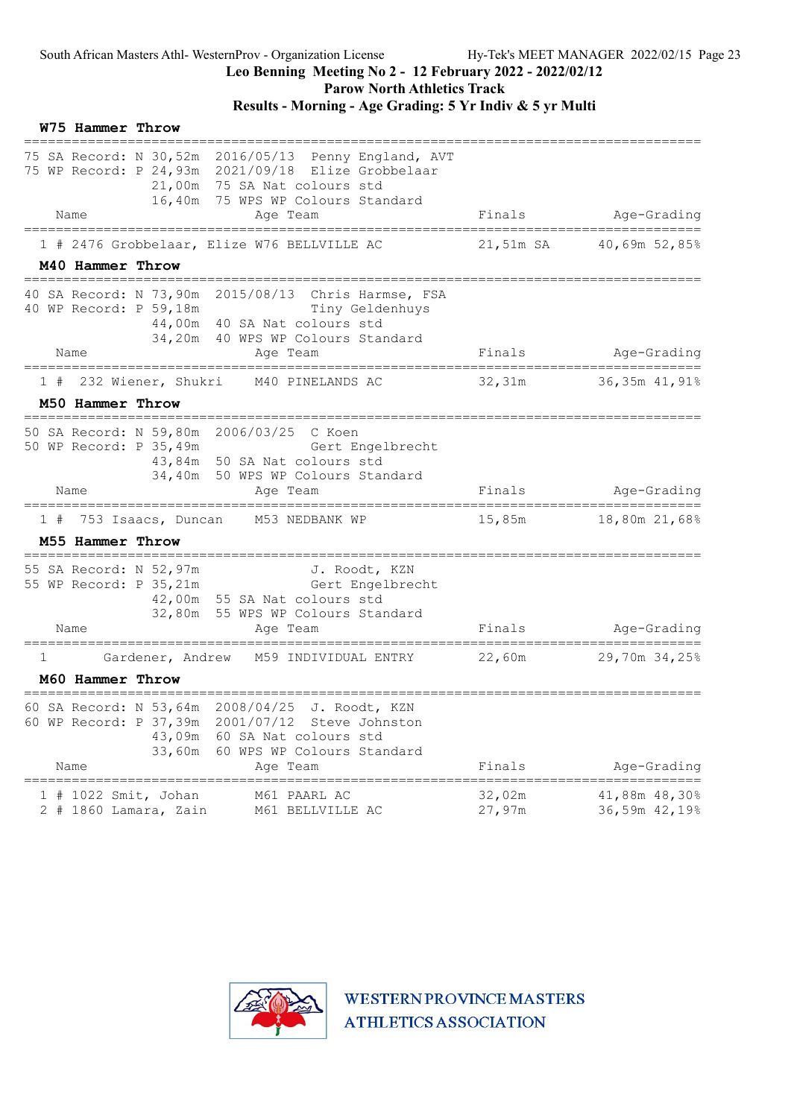Parow North Athletics Track

|   | W75 Hammer Throw |                                               |                                                                                                                                                                                 |                  |                                        |
|---|------------------|-----------------------------------------------|---------------------------------------------------------------------------------------------------------------------------------------------------------------------------------|------------------|----------------------------------------|
|   |                  |                                               | 75 SA Record: N 30,52m 2016/05/13 Penny England, AVT<br>75 WP Record: P 24,93m 2021/09/18 Elize Grobbelaar<br>21,00m 75 SA Nat colours std<br>16,40m 75 WPS WP Colours Standard |                  |                                        |
|   | Name             |                                               | Age Team                                                                                                                                                                        |                  | Finals Age-Grading                     |
|   |                  |                                               | 1 # 2476 Grobbelaar, Elize W76 BELLVILLE AC                                                                                                                                     |                  | 21,51m SA 40,69m 52,85%                |
|   | M40 Hammer Throw |                                               |                                                                                                                                                                                 |                  |                                        |
|   |                  | 40 WP Record: P 59,18m                        | 40 SA Record: N 73,90m 2015/08/13 Chris Harmse, FSA<br>Tiny Geldenhuys<br>44,00m 40 SA Nat colours std<br>34,20m 40 WPS WP Colours Standard                                     |                  |                                        |
|   | Name             | =================================             | Age Team<br>=====================                                                                                                                                               | Finals           | Age-Grading<br>===================     |
|   |                  |                                               | 1 # 232 Wiener, Shukri M40 PINELANDS AC                                                                                                                                         | 32,31m           | 36,35m 41,91%                          |
|   | M50 Hammer Throw |                                               | =====================================                                                                                                                                           |                  |                                        |
|   |                  |                                               | 50 SA Record: N 59,80m 2006/03/25 C Koen<br>50 WP Record: P 35,49m<br>Gert Engelbrecht<br>43,84m 50 SA Nat colours std<br>34,40m 50 WPS WP Colours Standard                     |                  |                                        |
|   | Name             |                                               | Age Team                                                                                                                                                                        | Finals           | Age-Grading                            |
|   |                  |                                               | 1 # 753 Isaacs, Duncan M53 NEDBANK WP                                                                                                                                           | 15,85m           | 18,80m 21,68%                          |
|   | M55 Hammer Throw |                                               |                                                                                                                                                                                 |                  |                                        |
|   | Name             |                                               | 55 SA Record: N 52,97m J. Roodt, KZN<br>55 WP Record: P 35, 21m Gert Engelbrecht<br>42,00m 55 SA Nat colours std<br>32,80m 55 WPS WP Colours Standard<br>Age Team               |                  | Finals Age-Grading<br>================ |
| 1 |                  |                                               | Gardener, Andrew M59 INDIVIDUAL ENTRY                                                                                                                                           |                  | 22,60m 29,70m 34,25%                   |
|   | M60 Hammer Throw |                                               |                                                                                                                                                                                 |                  |                                        |
|   | Name             | 60 WP Record: P 37,39m<br>43,09m<br>33,60m    | 60 SA Record: N 53,64m 2008/04/25 J. Roodt, KZN<br>2001/07/12 Steve Johnston<br>60 SA Nat colours std<br>60 WPS WP Colours Standard<br>Age Team                                 | Finals           | Age-Grading                            |
|   |                  | 1 # 1022 Smit, Johan<br>2 # 1860 Lamara, Zain | M61 PAARL AC<br>M61 BELLVILLE AC                                                                                                                                                | 32,02m<br>27,97m | 41,88m 48,30%<br>36,59m 42,19%         |

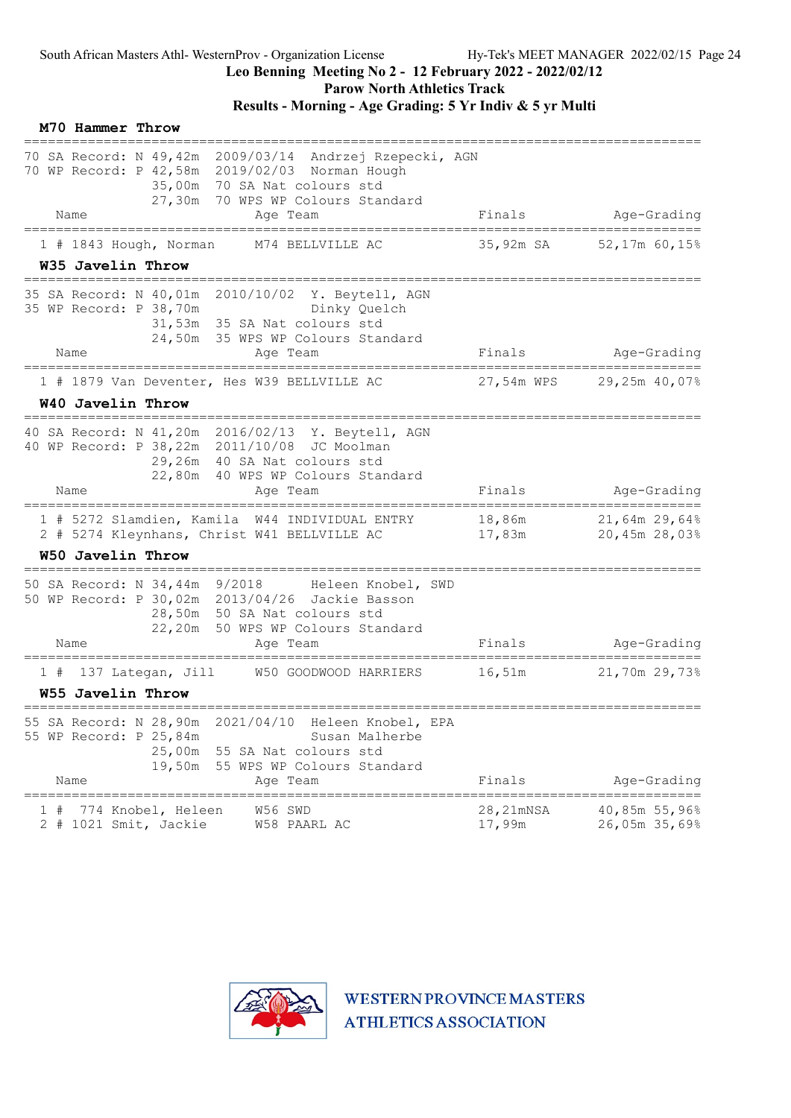### Leo Benning Meeting No 2 - 12 February 2022 - 2022/02/12

Parow North Athletics Track

|    | M70 Hammer Throw  |                                                                      |                                                                                                                                                                                      |                     |                                         |
|----|-------------------|----------------------------------------------------------------------|--------------------------------------------------------------------------------------------------------------------------------------------------------------------------------------|---------------------|-----------------------------------------|
|    |                   |                                                                      | 70 SA Record: N 49,42m 2009/03/14 Andrzej Rzepecki, AGN<br>70 WP Record: P 42,58m 2019/02/03 Norman Hough<br>35,00m 70 SA Nat colours std<br>27,30m 70 WPS WP Colours Standard       |                     |                                         |
|    | Name              |                                                                      | Age Team<br>====================================                                                                                                                                     | Finals              | Age-Grading                             |
|    | W35 Javelin Throw | 1 # 1843 Hough, Norman                                               | M74 BELLVILLE AC                                                                                                                                                                     | 35,92m SA           | 52,17m 60,15%                           |
|    |                   | 35 WP Record: P 38,70m                                               | 35 SA Record: N 40,01m 2010/10/02 Y. Beytell, AGN<br>Dinky Quelch<br>31,53m 35 SA Nat colours std<br>24,50m 35 WPS WP Colours Standard                                               |                     |                                         |
|    | Name              |                                                                      | Age Team                                                                                                                                                                             | Finals              | Age-Grading                             |
|    |                   | ==============================                                       | ====================<br>1 # 1879 Van Deventer, Hes W39 BELLVILLE AC                                                                                                                  |                     | 27,54m WPS 29,25m 40,07%                |
|    | W40 Javelin Throw |                                                                      |                                                                                                                                                                                      |                     |                                         |
|    |                   |                                                                      | 40 SA Record: N 41,20m 2016/02/13 Y. Beytell, AGN<br>40 WP Record: P 38, 22m 2011/10/08 JC Moolman<br>29,26m 40 SA Nat colours std<br>22,80m 40 WPS WP Colours Standard              |                     |                                         |
|    | Name              |                                                                      | Age Team                                                                                                                                                                             | Finals              | Age-Grading                             |
|    |                   |                                                                      | 1 # 5272 Slamdien, Kamila W44 INDIVIDUAL ENTRY<br>2 # 5274 Kleynhans, Christ W41 BELLVILLE AC                                                                                        | 17,83m              | 18,86m 21,64m 29,64%<br>20,45m 28,03%   |
|    | W50 Javelin Throw |                                                                      |                                                                                                                                                                                      |                     |                                         |
|    | Name              |                                                                      | 50 SA Record: N 34,44m 9/2018 Heleen Knobel, SWD<br>50 WP Record: P 30,02m 2013/04/26 Jackie Basson<br>28,50m 50 SA Nat colours std<br>22,20m 50 WPS WP Colours Standard<br>Age Team | Finals              | Age-Grading                             |
|    |                   |                                                                      |                                                                                                                                                                                      |                     |                                         |
| 1# | W55 Javelin Throw | 137 Lategan, Jill                                                    | W50 GOODWOOD HARRIERS                                                                                                                                                                | 16,51m              | 21,70m 29,73%                           |
|    | Name              | 55 SA Record: N 28,90m<br>55 WP Record: P 25,84m<br>25,00m<br>19,50m | 2021/04/10<br>Heleen Knobel, EPA<br>Susan Malherbe<br>55 SA Nat colours std<br>55 WPS WP Colours Standard<br>Age Team                                                                | Finals              | Age-Grading                             |
| ı  |                   | 774 Knobel, Heleen<br>2 # 1021 Smit, Jackie                          | W56 SWD<br>W58 PAARL AC                                                                                                                                                              | 28,21mNSA<br>17,99m | =====<br>40,85m 55,96%<br>26,05m 35,69% |

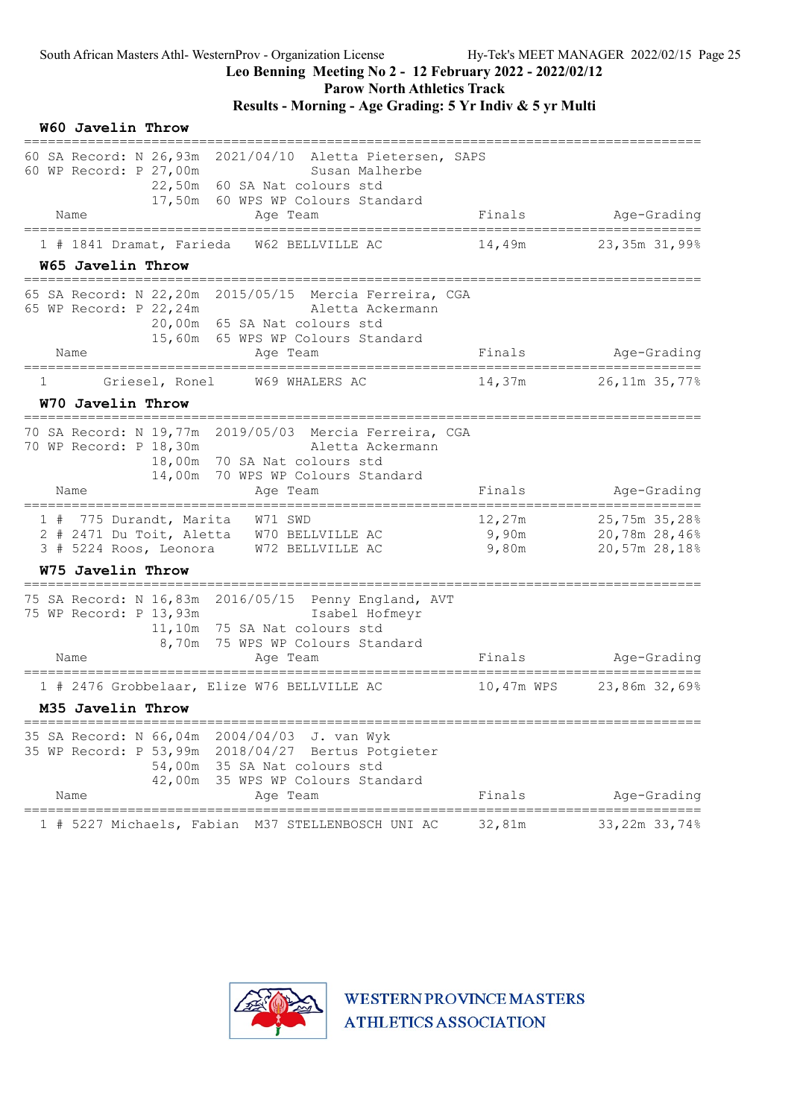Parow North Athletics Track

| W60 Javelin Throw                                                                                                                                                                                      |                                         |                                                 |
|--------------------------------------------------------------------------------------------------------------------------------------------------------------------------------------------------------|-----------------------------------------|-------------------------------------------------|
| 60 SA Record: N 26,93m 2021/04/10 Aletta Pietersen, SAPS<br>60 WP Record: P 27,00m<br>Susan Malherbe<br>22,50m 60 SA Nat colours std<br>17,50m 60 WPS WP Colours Standard                              |                                         |                                                 |
| Name<br>Age Team                                                                                                                                                                                       | Finals                                  | Age-Grading                                     |
| 1 # 1841 Dramat, Farieda<br>W62 BELLVILLE AC<br>W65 Javelin Throw                                                                                                                                      | 14,49m                                  | 23,35m 31,99%                                   |
| 65 SA Record: N 22,20m 2015/05/15 Mercia Ferreira, CGA<br>65 WP Record: P 22, 24m<br>Aletta Ackermann<br>20,00m 65 SA Nat colours std<br>15,60m 65 WPS WP Colours Standard<br>Name<br>Aqe Team         | Finals                                  | Age-Grading                                     |
| ============<br>-----------------                                                                                                                                                                      |                                         |                                                 |
| Griesel, Ronel<br>W69 WHALERS AC<br>1<br>W70 Javelin Throw                                                                                                                                             | 14,37m                                  | 26,11m 35,77%                                   |
| =========================<br>70 SA Record: N 19,77m 2019/05/03 Mercia Ferreira, CGA<br>70 WP Record: P 18,30m<br>Aletta Ackermann<br>18,00m 70 SA Nat colours std<br>14,00m 70 WPS WP Colours Standard |                                         |                                                 |
| Name<br>Aqe Team                                                                                                                                                                                       | Finals                                  | Age-Grading                                     |
| W71 SWD<br>1 # 775 Durandt, Marita<br>2 # 2471 Du Toit, Aletta W70 BELLVILLE AC<br>3 # 5224 Roos, Leonora<br>W72 BELLVILLE AC                                                                          | 12,27m<br>$9$ , 90 $m$<br>9,80m         | 25,75m 35,28%<br>20,78m 28,46%<br>20,57m 28,18% |
| <b>W75 Javelin Throw</b>                                                                                                                                                                               |                                         |                                                 |
| 75 SA Record: N 16,83m 2016/05/15 Penny England, AVT<br>75 WP Record: P 13,93m<br>Isabel Hofmeyr<br>11,10m 75 SA Nat colours std<br>8,70m 75 WPS WP Colours Standard<br>Name<br>Age Team               | Finals                                  | Age-Grading                                     |
| 1 # 2476 Grobbelaar, Elize W76 BELLVILLE AC<br>M35 Javelin Throw                                                                                                                                       | 10,47m WPS                              | 23,86m 32,69%                                   |
| 35 SA Record: N 66,04m 2004/04/03<br>J. van Wyk<br>35 WP Record: P 53,99m 2018/04/27 Bertus Potgieter<br>54,00m 35 SA Nat colours std<br>42,00m 35 WPS WP Colours Standard<br>Name<br>Age Team         | Finals                                  | Age-Grading                                     |
| 1 # 5227 Michaels, Fabian M37 STELLENBOSCH UNI AC                                                                                                                                                      | _____________________________<br>32,81m | 33,22m 33,74%                                   |

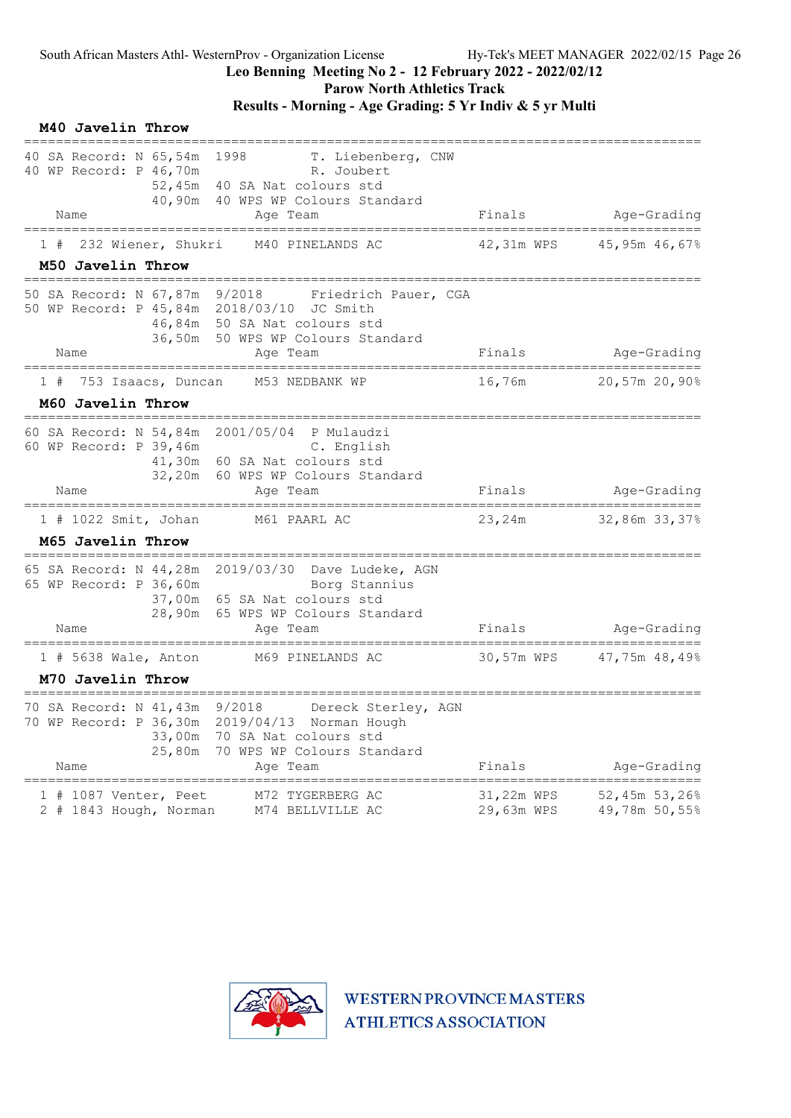### Leo Benning Meeting No 2 - 12 February 2022 - 2022/02/12

Parow North Athletics Track

### Results - Morning - Age Grading: 5 Yr Indiv & 5 yr Multi

|    | M40 Javelin Throw                                                                   |                                                                                                                                                                       |                          |                                |
|----|-------------------------------------------------------------------------------------|-----------------------------------------------------------------------------------------------------------------------------------------------------------------------|--------------------------|--------------------------------|
|    | 40 WP Record: P 46,70m<br>Name<br>===============                                   | 40 SA Record: N 65,54m 1998 T. Liebenberg, CNW<br>R. Joubert<br>52,45m 40 SA Nat colours std<br>40,90m 40 WPS WP Colours Standard<br>Age Team                         | Finals                   | Age-Grading                    |
| 1# | 232 Wiener, Shukri                                                                  | M40 PINELANDS AC                                                                                                                                                      | 42,31m WPS               | 45,95m 46,67%                  |
|    | M50 Javelin Throw                                                                   |                                                                                                                                                                       |                          |                                |
|    |                                                                                     | 50 SA Record: N 67,87m 9/2018 Friedrich Pauer, CGA<br>50 WP Record: P 45,84m 2018/03/10 JC Smith<br>46,84m 50 SA Nat colours std<br>36,50m 50 WPS WP Colours Standard |                          |                                |
|    | Name                                                                                | Age Team                                                                                                                                                              | Finals                   | Age-Grading                    |
|    |                                                                                     | 1 # 753 Isaacs, Duncan M53 NEDBANK WP                                                                                                                                 | 16,76m                   | 20,57m 20,90%                  |
|    | M60 Javelin Throw                                                                   | =====================================                                                                                                                                 |                          |                                |
|    | 60 WP Record: P 39,46m<br>Name                                                      | 60 SA Record: N 54,84m 2001/05/04 P Mulaudzi<br>C. English<br>41,30m 60 SA Nat colours std<br>32,20m 60 WPS WP Colours Standard<br>Age Team                           | Finals                   | Age-Grading                    |
|    | $1$ # 1022 Smit, Johan                                                              | M61 PAARL AC                                                                                                                                                          | 23,24m                   | 32,86m 33,37%                  |
|    | M65 Javelin Throw                                                                   |                                                                                                                                                                       |                          |                                |
|    | 65 WP Record: P 36,60m<br>Name                                                      | 65 SA Record: N 44,28m 2019/03/30 Dave Ludeke, AGN<br>Borg Stannius<br>37,00m 65 SA Nat colours std<br>28,90m 65 WPS WP Colours Standard<br>Age Team                  | Finals                   | Age-Grading                    |
|    | $1$ # 5638 Wale, Anton                                                              | M69 PINELANDS AC                                                                                                                                                      | 30,57m WPS               | 47,75m 48,49%                  |
|    | M70 Javelin Throw                                                                   |                                                                                                                                                                       |                          |                                |
|    | 70 SA Record: N 41,43m 9/2018<br>70 WP Record: P 36,30m<br>33,00m<br>25,80m<br>Name | Dereck Sterley, AGN<br>2019/04/13 Norman Hough<br>70 SA Nat colours std<br>70 WPS WP Colours Standard<br>Age Team                                                     | Finals                   | Age-Grading                    |
| 1# | 1087 Venter, Peet<br>2 # 1843 Hough, Norman                                         | M72 TYGERBERG AC<br>M74 BELLVILLE AC                                                                                                                                  | 31,22m WPS<br>29,63m WPS | 52,45m 53,26%<br>49,78m 50,55% |

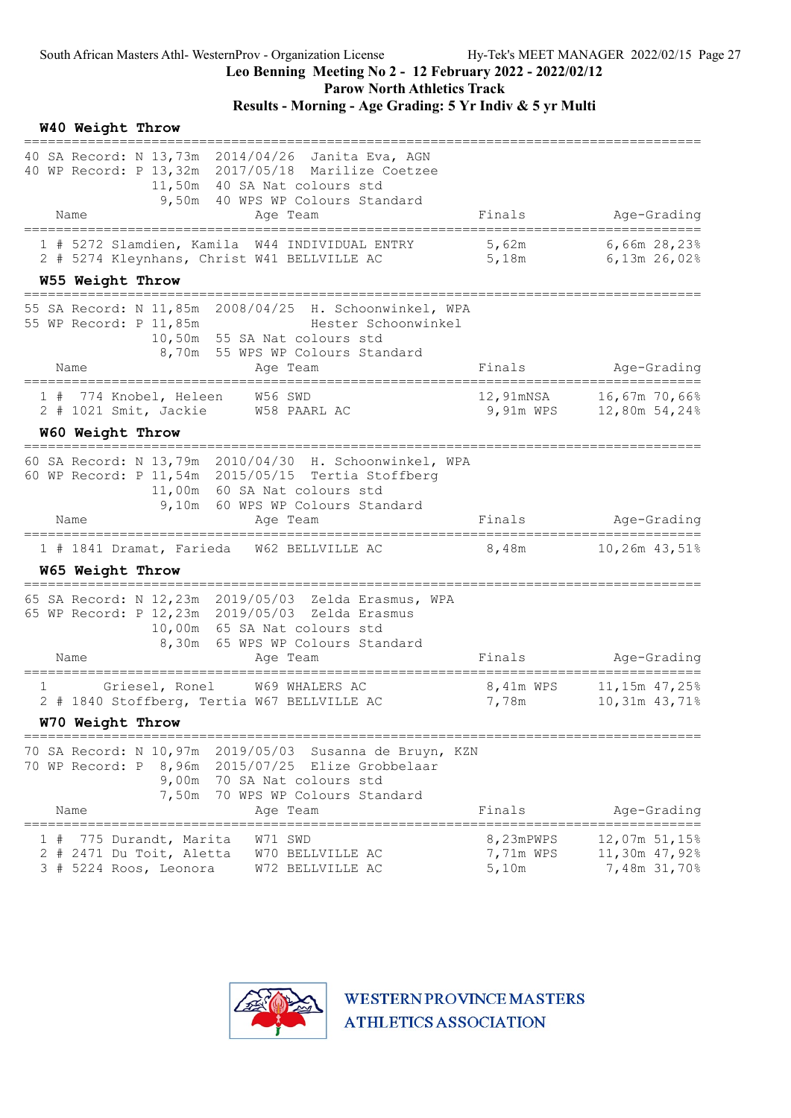Parow North Athletics Track

|   | W40 Weight Throw<br>============== |                                                                           |                                                                                                                                                                                  |                                       |                                                |
|---|------------------------------------|---------------------------------------------------------------------------|----------------------------------------------------------------------------------------------------------------------------------------------------------------------------------|---------------------------------------|------------------------------------------------|
|   |                                    |                                                                           | 40 SA Record: N 13,73m 2014/04/26 Janita Eva, AGN<br>40 WP Record: P 13,32m 2017/05/18 Marilize Coetzee<br>11,50m 40 SA Nat colours std<br>9,50m 40 WPS WP Colours Standard      |                                       |                                                |
|   | Name                               |                                                                           | Age Team                                                                                                                                                                         | Finals                                | Age-Grading                                    |
|   |                                    |                                                                           | 1 # 5272 Slamdien, Kamila W44 INDIVIDUAL ENTRY<br>2 # 5274 Kleynhans, Christ W41 BELLVILLE AC                                                                                    | 5,62m<br>5,18m                        | $6,66m$ 28,23%<br>6,13m 26,02%                 |
|   | W55 Weight Throw                   |                                                                           |                                                                                                                                                                                  |                                       |                                                |
|   |                                    | 55 WP Record: P 11,85m                                                    | 55 SA Record: N 11,85m 2008/04/25 H. Schoonwinkel, WPA<br>Hester Schoonwinkel<br>10,50m 55 SA Nat colours std<br>8,70m 55 WPS WP Colours Standard                                |                                       |                                                |
|   | Name                               |                                                                           | Age Team<br>=============                                                                                                                                                        | Finals                                | Age-Grading                                    |
|   |                                    |                                                                           | 1 # 774 Knobel, Heleen W56 SWD<br>2 # 1021 Smit, Jackie W58 PAARL AC                                                                                                             | 12,91mNSA<br>9,91m WPS                | 16,67m 70,66%<br>12,80m 54,24%                 |
|   | W60 Weight Throw                   |                                                                           |                                                                                                                                                                                  |                                       |                                                |
|   |                                    |                                                                           | 60 SA Record: N 13,79m 2010/04/30 H. Schoonwinkel, WPA<br>60 WP Record: P 11,54m 2015/05/15 Tertia Stoffberg<br>11,00m 60 SA Nat colours std<br>9,10m 60 WPS WP Colours Standard |                                       |                                                |
|   | Name                               |                                                                           | Aqe Team                                                                                                                                                                         | Finals                                | Age-Grading                                    |
|   | W65 Weight Throw                   |                                                                           | 1 # 1841 Dramat, Farieda W62 BELLVILLE AC                                                                                                                                        | 8,48m                                 | $10,26m$ 43,51%                                |
|   |                                    |                                                                           |                                                                                                                                                                                  |                                       |                                                |
|   |                                    |                                                                           | 65 SA Record: N 12,23m 2019/05/03 Zelda Erasmus, WPA<br>65 WP Record: P 12, 23m 2019/05/03 Zelda Erasmus<br>10,00m 65 SA Nat colours std<br>8,30m 65 WPS WP Colours Standard     |                                       |                                                |
|   | Name                               |                                                                           | Age Team                                                                                                                                                                         | Finals                                | Age-Grading                                    |
| 1 |                                    | Griesel, Ronel                                                            | W69 WHALERS AC<br>2 # 1840 Stoffberg, Tertia W67 BELLVILLE AC                                                                                                                    | 8,41m WPS<br>7,78m                    | 11,15m 47,25%<br>10,31m 43,71%                 |
|   | W70 Weight Throw                   |                                                                           |                                                                                                                                                                                  |                                       |                                                |
|   | 70 WP Record: P<br>Name            | 7,50m                                                                     | 70 SA Record: N 10,97m 2019/05/03<br>Susanna de Bruyn, KZN<br>Elize Grobbelaar<br>9,00m 70 SA Nat colours std<br>70 WPS WP Colours Standard<br>Age Team                          | Finals                                | Age-Grading                                    |
| ı |                                    | 775 Durandt, Marita<br>2 # 2471 Du Toit, Aletta<br>3 # 5224 Roos, Leonora | W71 SWD<br>W70 BELLVILLE AC<br>W72 BELLVILLE AC                                                                                                                                  | 8,23mPWPS<br>7,71m WPS<br>$5$ , $10m$ | 12,07m 51,15%<br>11,30m 47,92%<br>7,48m 31,70% |

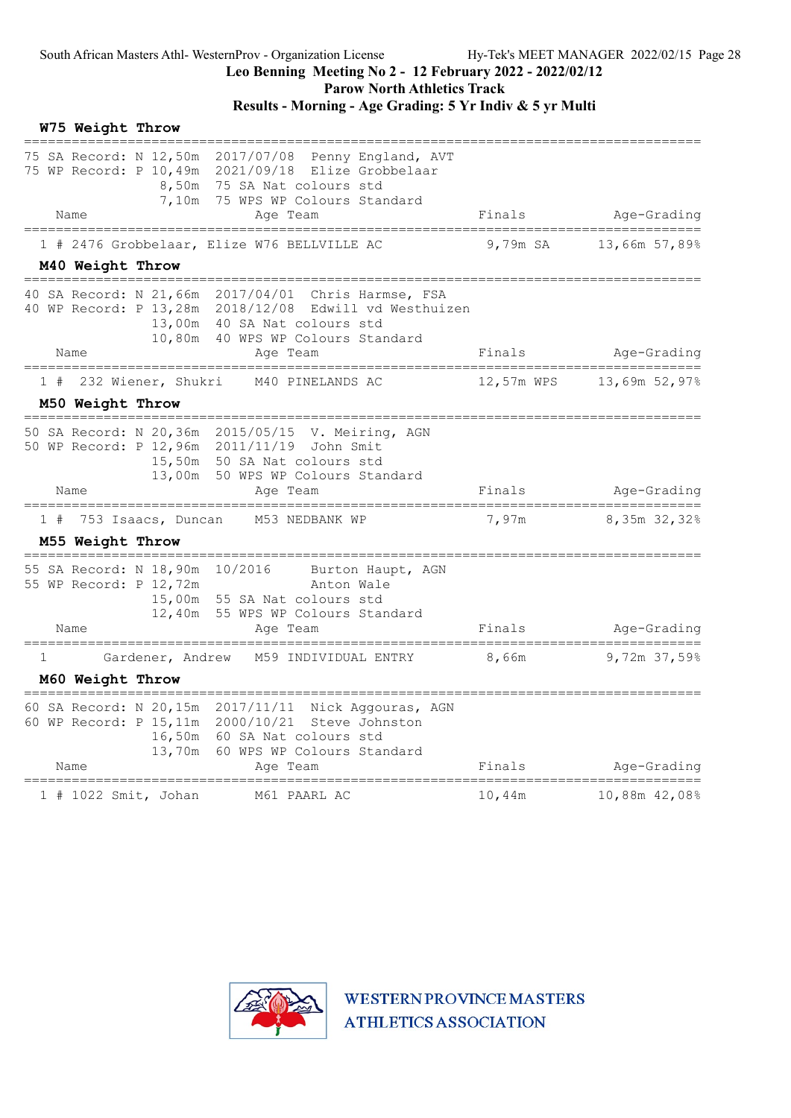Parow North Athletics Track

### Results - Morning - Age Grading: 5 Yr Indiv & 5 yr Multi

|              | W75 Weight Throw    |                                                                              |                                                                                                                                                                                     |            |                                  |
|--------------|---------------------|------------------------------------------------------------------------------|-------------------------------------------------------------------------------------------------------------------------------------------------------------------------------------|------------|----------------------------------|
|              |                     | 8,50m<br>7,10m                                                               | Penny England, AVT<br>75 WP Record: P 10,49m 2021/09/18 Elize Grobbelaar<br>75 SA Nat colours std<br>75 WPS WP Colours Standard                                                     |            |                                  |
|              | Name                |                                                                              | Age Team                                                                                                                                                                            | Finals     | Age-Grading                      |
|              |                     |                                                                              | 1 # 2476 Grobbelaar, Elize W76 BELLVILLE AC                                                                                                                                         | 9,79m SA   | 13,66m 57,89%                    |
|              | M40 Weight Throw    |                                                                              |                                                                                                                                                                                     |            |                                  |
|              |                     |                                                                              | 40 WP Record: P 13,28m 2018/12/08 Edwill vd Westhuizen<br>13,00m 40 SA Nat colours std<br>10,80m 40 WPS WP Colours Standard                                                         |            |                                  |
|              | Name                |                                                                              | Age Team                                                                                                                                                                            | Finals     | Age-Grading<br>================= |
| 1#           |                     | 232 Wiener, Shukri                                                           | M40 PINELANDS AC                                                                                                                                                                    | 12,57m WPS | 13,69m 52,97%                    |
|              | M50 Weight Throw    |                                                                              |                                                                                                                                                                                     |            |                                  |
|              |                     |                                                                              | 50 SA Record: N 20,36m 2015/05/15 V. Meiring, AGN<br>50 WP Record: P 12,96m 2011/11/19 John Smit<br>15,50m 50 SA Nat colours std<br>13,00m 50 WPS WP Colours Standard               |            |                                  |
|              | Name                |                                                                              | Age Team                                                                                                                                                                            | Finals     | Age-Grading                      |
| 1#           |                     | 753 Isaacs, Duncan                                                           | M53 NEDBANK WP                                                                                                                                                                      | 7,97m      | 8,35m 32,32%                     |
|              | M55 Weight Throw    |                                                                              |                                                                                                                                                                                     |            |                                  |
|              |                     | 55 SA Record: N 18,90m 10/2016<br>55 WP Record: P 12,72m<br>15,00m<br>12,40m | Burton Haupt, AGN<br>Anton Wale<br>55 SA Nat colours std<br>55 WPS WP Colours Standard                                                                                              |            |                                  |
|              | Name<br>=========== |                                                                              | Age Team                                                                                                                                                                            | Finals     | Age-Grading                      |
| $\mathbf{1}$ |                     | Gardener, Andrew                                                             | M59 INDIVIDUAL ENTRY                                                                                                                                                                | 8,66m      | 9,72m 37,59%                     |
|              | M60 Weight Throw    |                                                                              |                                                                                                                                                                                     |            |                                  |
|              | Name                | 13,70m                                                                       | 60 SA Record: N 20,15m 2017/11/11 Nick Aggouras, AGN<br>60 WP Record: P 15, 11m 2000/10/21 Steve Johnston<br>16,50m 60 SA Nat colours std<br>60 WPS WP Colours Standard<br>Ace Team | Finals     | Age-Grading                      |
|              |                     |                                                                              |                                                                                                                                                                                     |            |                                  |
|              |                     | 1 # 1022 Smit, Johan                                                         | M61 PAARL AC                                                                                                                                                                        | 10,44m     | 10,88m 42,08%                    |

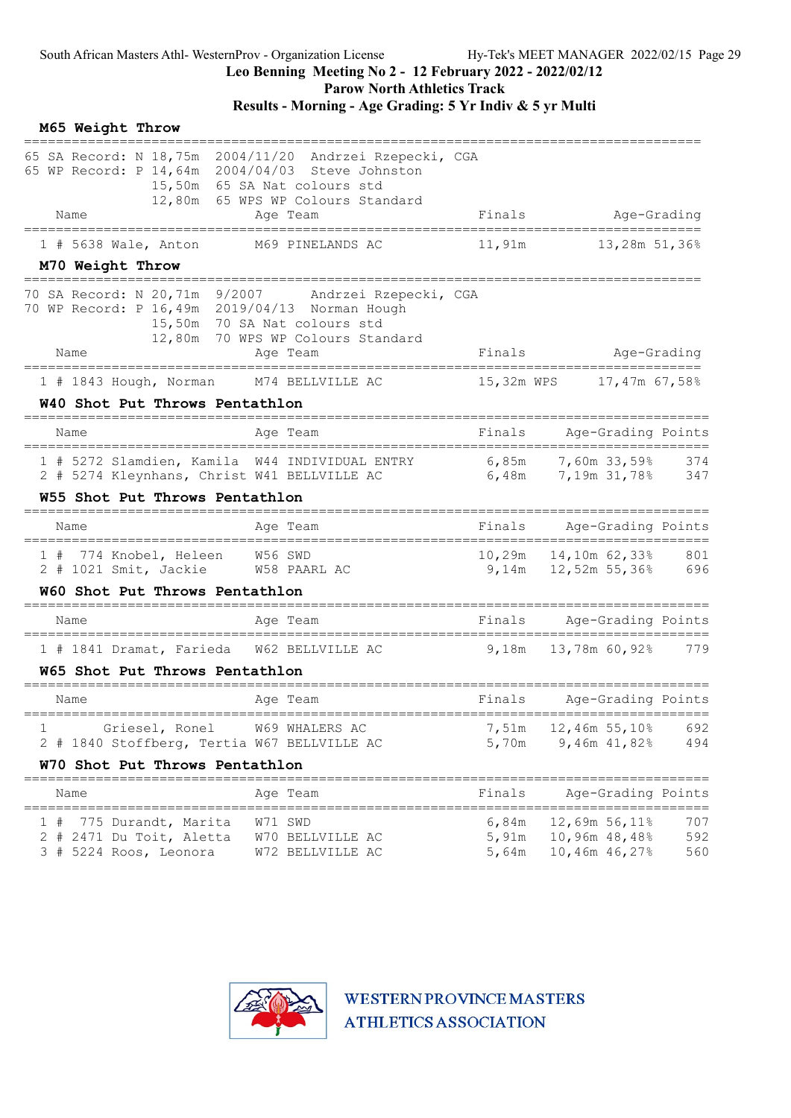Parow North Athletics Track

|   | M65 Weight Throw<br>================ |                                                                           |            |                                                                                                                                                                                        |                         |                                                        |                                                 |                   |
|---|--------------------------------------|---------------------------------------------------------------------------|------------|----------------------------------------------------------------------------------------------------------------------------------------------------------------------------------------|-------------------------|--------------------------------------------------------|-------------------------------------------------|-------------------|
|   |                                      |                                                                           |            | 65 SA Record: N 18,75m 2004/11/20 Andrzei Rzepecki, CGA<br>65 WP Record: P 14,64m 2004/04/03 Steve Johnston<br>15,50m 65 SA Nat colours std<br>12,80m 65 WPS WP Colours Standard       |                         |                                                        |                                                 |                   |
|   | Name                                 |                                                                           |            | Age Team                                                                                                                                                                               |                         | Finals Age-Grading                                     |                                                 |                   |
|   |                                      |                                                                           |            | 1 # 5638 Wale, Anton M69 PINELANDS AC                                                                                                                                                  |                         |                                                        |                                                 |                   |
|   | M70 Weight Throw                     |                                                                           | ========== |                                                                                                                                                                                        |                         |                                                        |                                                 |                   |
|   | Name                                 |                                                                           |            | 70 SA Record: N 20,71m 9/2007 Andrzei Rzepecki, CGA<br>70 WP Record: P 16,49m 2019/04/13 Norman Hough<br>15,50m 70 SA Nat colours std<br>12,80m 70 WPS WP Colours Standard<br>Age Team | Finals                  |                                                        | Age-Grading                                     |                   |
|   |                                      | =====================================                                     |            | __________________________                                                                                                                                                             |                         | ________________________                               |                                                 |                   |
|   |                                      |                                                                           |            | 1 # 1843 Hough, Norman M74 BELLVILLE AC                                                                                                                                                |                         | 15,32m WPS 17,47m 67,58%                               |                                                 |                   |
|   |                                      | W40 Shot Put Throws Pentathlon                                            |            |                                                                                                                                                                                        |                         |                                                        |                                                 |                   |
|   | Name                                 |                                                                           |            | Age Team                                                                                                                                                                               | Finals                  |                                                        | Age-Grading Points                              |                   |
|   |                                      |                                                                           |            | 1 # 5272 Slamdien, Kamila W44 INDIVIDUAL ENTRY 6,85m 7,60m 33,59% 374<br>2 # 5274 Kleynhans, Christ W41 BELLVILLE AC 6,48m 7,19m 31,78% 347                                            |                         |                                                        |                                                 |                   |
|   |                                      | W55 Shot Put Throws Pentathlon                                            |            |                                                                                                                                                                                        |                         |                                                        |                                                 |                   |
|   | Name                                 |                                                                           |            | Age Team                                                                                                                                                                               |                         | Finals Age-Grading Points                              |                                                 |                   |
|   |                                      | 1 # 774 Knobel, Heleen W56 SWD<br>2 # 1021 Smit, Jackie W58 PAARL AC      |            |                                                                                                                                                                                        |                         | 10,29m  14,10m  62,33%  801<br>9,14m 12,52m 55,36% 696 |                                                 |                   |
|   |                                      | W60 Shot Put Throws Pentathlon<br>==================================      |            |                                                                                                                                                                                        |                         |                                                        |                                                 |                   |
|   | Name                                 |                                                                           |            | Age Team                                                                                                                                                                               |                         | Finals Age-Grading Points                              |                                                 |                   |
|   |                                      |                                                                           |            | 1 # 1841 Dramat, Farieda W62 BELLVILLE AC                                                                                                                                              |                         | 9,18m 13,78m 60,92% 779                                |                                                 |                   |
|   |                                      | W65 Shot Put Throws Pentathlon<br>==================================      |            |                                                                                                                                                                                        |                         |                                                        |                                                 |                   |
|   | Name                                 |                                                                           |            | Age Team                                                                                                                                                                               |                         | Finals Age-Grading Points                              |                                                 |                   |
| 1 |                                      | Griesel, Ronel                                                            |            | W69 WHALERS AC<br>2 # 1840 Stoffberg, Tertia W67 BELLVILLE AC                                                                                                                          | 7,51m<br>5,70m          | 12,46m 55,10%                                          | 9,46m 41,82%                                    | 692<br>494        |
|   |                                      | W70 Shot Put Throws Pentathlon<br>===================                     |            |                                                                                                                                                                                        |                         |                                                        | ____________________                            |                   |
|   | Name                                 |                                                                           |            | Age Team                                                                                                                                                                               | Finals                  |                                                        | Age-Grading Points                              |                   |
|   |                                      | 775 Durandt, Marita<br>2 # 2471 Du Toit, Aletta<br>3 # 5224 Roos, Leonora |            | W71 SWD<br>W70 BELLVILLE AC<br>W72 BELLVILLE AC                                                                                                                                        | 6,84m<br>5,91m<br>5,64m |                                                        | 12,69m 56,11%<br>10,96m 48,48%<br>10,46m 46,27% | 707<br>592<br>560 |

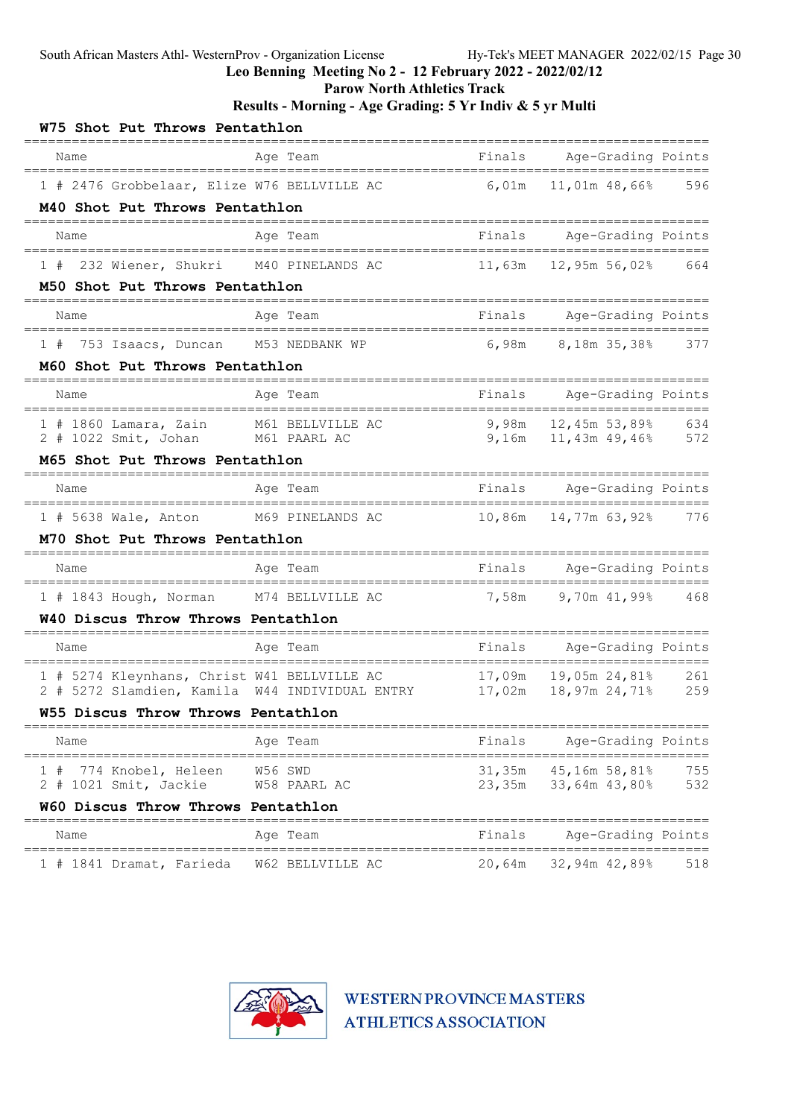Leo Benning Meeting No 2 - 12 February 2022 - 2022/02/12

Parow North Athletics Track

Results - Morning - Age Grading: 5 Yr Indiv & 5 yr Multi

| W75 Shot Put Throws Pentathlon                                                       |                          |        |                                                            |       |
|--------------------------------------------------------------------------------------|--------------------------|--------|------------------------------------------------------------|-------|
| Name                                                                                 | Age Team                 | Finals | Age-Grading Points<br>==============                       |       |
| 1 # 2476 Grobbelaar, Elize W76 BELLVILLE AC                                          |                          | 6,01m  | 11,01m 48,66%                                              | 596   |
| M40 Shot Put Throws Pentathlon                                                       |                          |        |                                                            |       |
| Name                                                                                 | Age Team                 | Finals | Age-Grading Points                                         |       |
| 232 Wiener, Shukri M40 PINELANDS AC<br>1#                                            |                          | 11,63m | 12,95m 56,02% 664                                          |       |
| M50 Shot Put Throws Pentathlon                                                       |                          |        |                                                            |       |
| Name                                                                                 | Age Team                 | Finals | Age-Grading Points                                         |       |
| 753 Isaacs, Duncan M53 NEDBANK WP<br>1#                                              |                          | 6,98m  | 8,18m 35,38%                                               | 377   |
| M60 Shot Put Throws Pentathlon                                                       |                          |        |                                                            |       |
| Name                                                                                 | Age Team                 | Finals | Age-Grading Points<br>=======================              |       |
| $1$ # 1860 Lamara, Zain<br>2 # 1022 Smit, Johan M61 PAARL AC                         | M61 BELLVILLE AC         |        | 9,98m 12,45m 53,89% 634<br>9,16m   11,43m   49,46%   572   |       |
| M65 Shot Put Throws Pentathlon                                                       |                          |        |                                                            |       |
| Name                                                                                 | Age Team                 | Finals | Age-Grading Points                                         |       |
| 1 # 5638 Wale, Anton                                                                 | M69 PINELANDS AC         | 10,86m | ======<br>14,77m 63,92% 776                                |       |
| M70 Shot Put Throws Pentathlon                                                       |                          |        |                                                            |       |
| Name<br>----------------------------------                                           | Age Team                 |        | Finals Age-Grading Points<br>========<br>=============     |       |
| 1 # 1843 Hough, Norman M74 BELLVILLE AC                                              |                          | 7,58m  | 9,70m 41,99% 468                                           |       |
| W40 Discus Throw Throws Pentathlon                                                   |                          |        |                                                            |       |
| Name                                                                                 | Age Team                 |        | Finals Age-Grading Points                                  | ----- |
| 1 # 5274 Kleynhans, Christ W41 BELLVILLE AC                                          |                          |        | 17,09m    19,05m    24,81%                                 | 261   |
| 2 # 5272 Slamdien, Kamila W44 INDIVIDUAL ENTRY<br>W55 Discus Throw Throws Pentathlon |                          |        |                                                            | 259   |
| Name                                                                                 | ============<br>Age Team | Finals | ====================================<br>Age-Grading Points |       |
| 1#<br>774 Knobel, Heleen                                                             | W56 SWD                  | 31,35m | 45,16m 58,81%                                              | 755   |
| 2 # 1021 Smit, Jackie                                                                | W58 PAARL AC             |        | 23,35m 33,64m 43,80%                                       | 532   |
| W60 Discus Throw Throws Pentathlon                                                   |                          |        |                                                            |       |
| Name                                                                                 | Age Team                 | Finals | Age-Grading Points                                         |       |
| 1 # 1841 Dramat, Farieda                                                             | W62 BELLVILLE AC         | 20,64m | 32,94m 42,89%                                              | 518   |

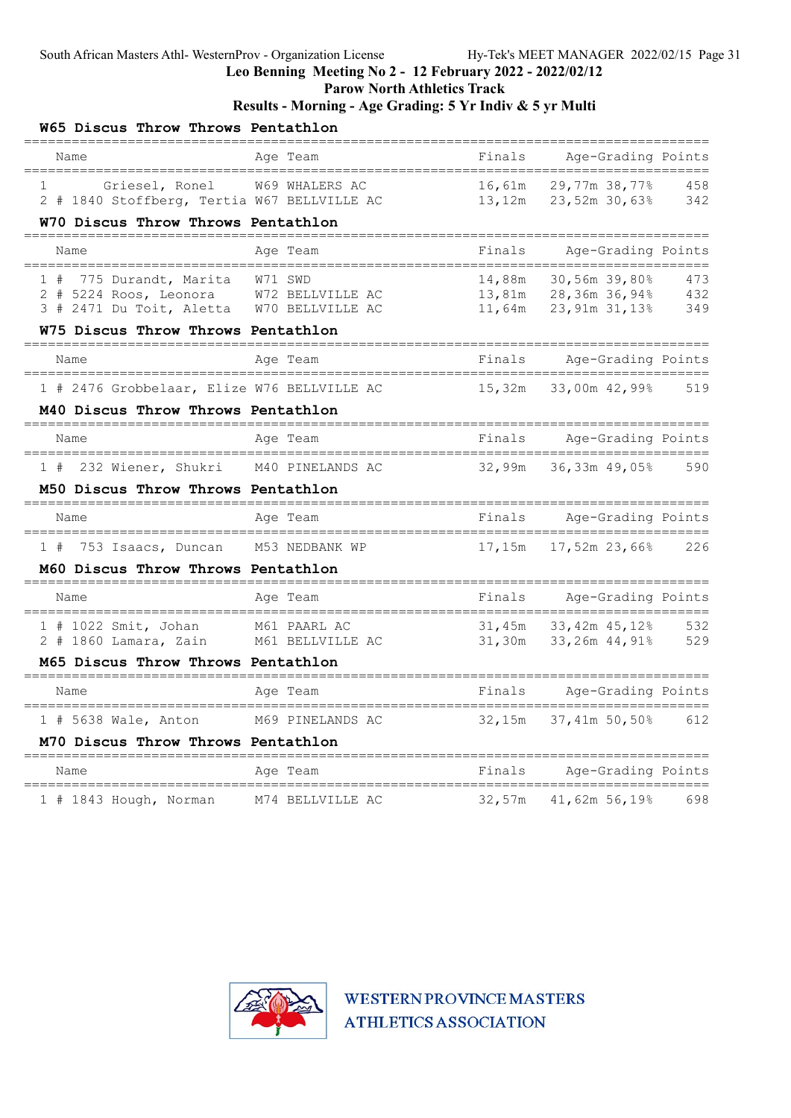Parow North Athletics Track

### Results - Morning - Age Grading: 5 Yr Indiv & 5 yr Multi

| W65 Discus Throw Throws Pentathlon                                                                                |                  |                                     |                                                 |                   |
|-------------------------------------------------------------------------------------------------------------------|------------------|-------------------------------------|-------------------------------------------------|-------------------|
| Name                                                                                                              | Age Team         | Finals                              | Age-Grading Points                              |                   |
| Griesel, Ronel<br>1<br>2 # 1840 Stoffberg, Tertia W67 BELLVILLE AC<br>W70 Discus Throw Throws Pentathlon          | W69 WHALERS AC   | 16,61m<br>13,12m                    | 29,77m 38,77%<br>23,52m 30,63%                  | 458<br>342        |
| ===============<br>Name                                                                                           | Age Team         | Finals                              | Age-Grading Points                              |                   |
|                                                                                                                   |                  |                                     |                                                 |                   |
| 775 Durandt, Marita<br>1#<br>2 # 5224 Roos, Leonora W72 BELLVILLE AC<br>3 # 2471 Du Toit, Aletta W70 BELLVILLE AC | W71 SWD          | 14,88m<br>13 <b>,</b> 81m<br>11,64m | 30,56m 39,80%<br>28,36m 36,94%<br>23,91m 31,13% | 473<br>432<br>349 |
| W75 Discus Throw Throws Pentathlon                                                                                |                  |                                     |                                                 |                   |
| Name                                                                                                              | Age Team         | Finals                              | Age-Grading Points                              |                   |
| 1 # 2476 Grobbelaar, Elize W76 BELLVILLE AC                                                                       |                  | 15,32m                              | 33,00m 42,99%                                   | 519               |
| M40 Discus Throw Throws Pentathlon                                                                                |                  |                                     |                                                 |                   |
| Name                                                                                                              | Age Team         | Finals                              | Age-Grading Points                              |                   |
| 1 # 232 Wiener, Shukri M40 PINELANDS AC                                                                           |                  | 32,99m                              | 36,33m 49,05%                                   | 590               |
| M50 Discus Throw Throws Pentathlon                                                                                |                  |                                     |                                                 |                   |
| Name                                                                                                              | Age Team         | Finals                              | Age-Grading Points                              |                   |
| 1 # 753 Isaacs, Duncan                                                                                            | M53 NEDBANK WP   | 17,15m                              | 17,52m 23,66%                                   | 226               |
| M60 Discus Throw Throws Pentathlon                                                                                |                  |                                     |                                                 |                   |
| Name                                                                                                              | Age Team         | Finals                              | Age-Grading Points                              |                   |
| 1 # 1022 Smit, Johan                                                                                              | M61 PAARL AC     | 31,45m                              | 33,42m 45,12%                                   | 532               |
| 2 # 1860 Lamara, Zain<br>M65 Discus Throw Throws Pentathlon                                                       | M61 BELLVILLE AC | 31,30m                              | 33,26m 44,91%                                   | 529               |
| Name                                                                                                              | Age Team         | Finals                              | Age-Grading Points                              |                   |
| 1 # 5638 Wale, Anton                                                                                              | M69 PINELANDS AC | 32,15m                              | 37,41m 50,50%                                   | 612               |
| M70 Discus Throw Throws Pentathlon                                                                                |                  |                                     |                                                 |                   |
| Name                                                                                                              | Aqe Team         | Finals                              | Age-Grading Points                              |                   |
| 1 # 1843 Hough, Norman                                                                                            | M74 BELLVILLE AC | 32,57m                              | 41,62m 56,19%                                   | 698               |

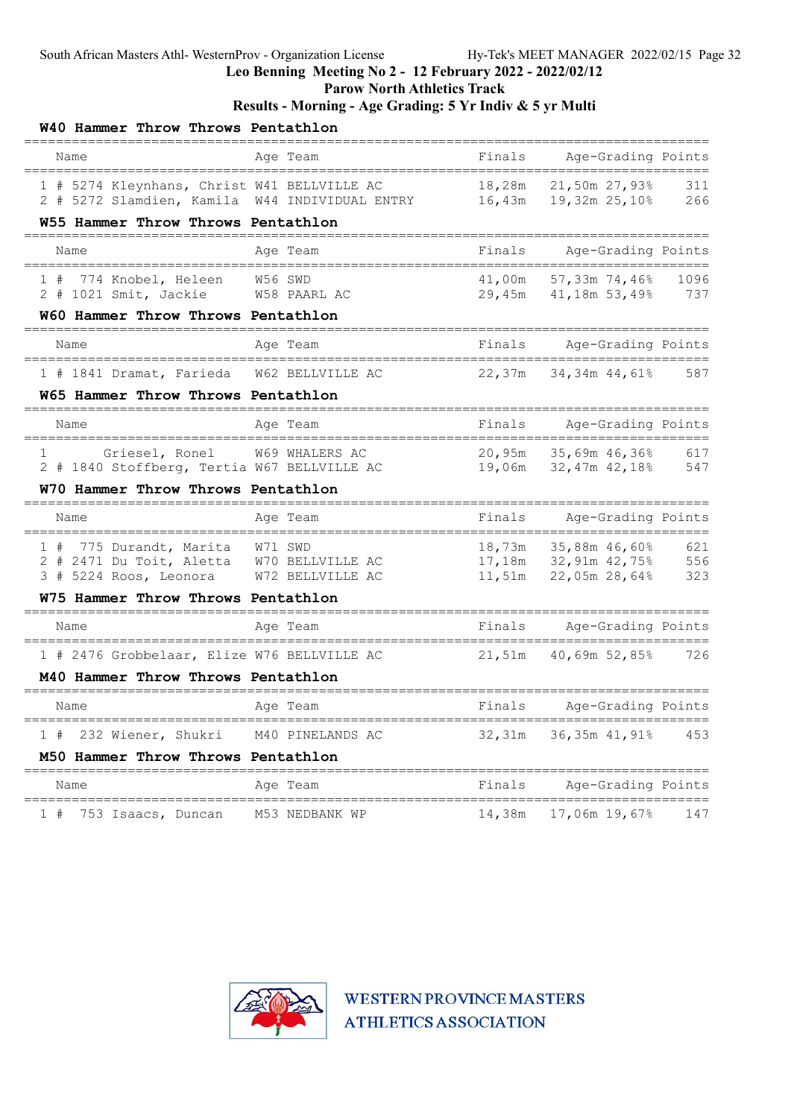Parow North Athletics Track

Results - Morning - Age Grading: 5 Yr Indiv & 5 yr Multi

| W40 Hammer Throw Throws Pentathlon                                                                                |                  |        |                                                    |                   |
|-------------------------------------------------------------------------------------------------------------------|------------------|--------|----------------------------------------------------|-------------------|
| Name                                                                                                              | Age Team         | Finals | Age-Grading Points<br>______________________       |                   |
| 1 # 5274 Kleynhans, Christ W41 BELLVILLE AC<br>2 # 5272 Slamdien, Kamila W44 INDIVIDUAL ENTRY                     |                  | 18,28m | 21,50m 27,93%<br>16,43m    19,32m    25,10%        | 311<br>266        |
| W55 Hammer Throw Throws Pentathlon                                                                                |                  |        |                                                    |                   |
| Name                                                                                                              | Age Team         | Finals | Age-Grading Points<br>============================ |                   |
| 774 Knobel, Heleen<br>1#<br>2 # 1021 Smit, Jackie W58 PAARL AC                                                    | W56 SWD          | 41,00m | 57,33m 74,46%<br>29,45m 41,18m 53,49% 737          | 1096              |
| W60 Hammer Throw Throws Pentathlon                                                                                |                  |        |                                                    |                   |
| Name<br>===================================                                                                       | Age Team         | Finals | Age-Grading Points                                 |                   |
| 1 # 1841 Dramat, Farieda                                                                                          | W62 BELLVILLE AC | 22,37m | 34,34m 44,61%                                      | 587               |
| W65 Hammer Throw Throws Pentathlon                                                                                |                  |        |                                                    |                   |
| Name                                                                                                              | Age Team         | Finals | Age-Grading Points                                 |                   |
| Griesel, Ronel<br>1<br>2 # 1840 Stoffberg, Tertia W67 BELLVILLE AC                                                | W69 WHALERS AC   |        | 20,95m 35,69m 46,36%<br>19,06m 32,47m 42,18%       | 617<br>547        |
| W70 Hammer Throw Throws Pentathlon<br>===============================                                             |                  |        |                                                    |                   |
| Name                                                                                                              | Age Team         | Finals | Age-Grading Points                                 |                   |
| 775 Durandt, Marita<br>1#<br>2 # 2471 Du Toit, Aletta W70 BELLVILLE AC<br>3 # 5224 Roos, Leonora W72 BELLVILLE AC | W71 SWD          |        | 18,73m 35,88m 46,60%<br>11,51m 22,05m 28,64%       | 621<br>556<br>323 |
| W75 Hammer Throw Throws Pentathlon                                                                                |                  |        |                                                    |                   |
| Name                                                                                                              | Age Team         | Finals | Age-Grading Points                                 |                   |
| 1 # 2476 Grobbelaar, Elize W76 BELLVILLE AC<br>M40 Hammer Throw Throws Pentathlon                                 |                  |        | 21,51m 40,69m 52,85%                               | 726               |
| Name                                                                                                              | Age Team         | Finals | Age-Grading Points                                 |                   |
| 232 Wiener, Shukri M40 PINELANDS AC<br>1#                                                                         |                  |        | 32,31m 36,35m 41,91% 453                           |                   |
| M50 Hammer Throw Throws Pentathlon                                                                                |                  |        |                                                    |                   |
| Name                                                                                                              | Age Team         | Finals | Age-Grading Points                                 |                   |
| 753 Isaacs, Duncan<br>1#                                                                                          | M53 NEDBANK WP   |        | 14,38m 17,06m 19,67%                               | 147               |

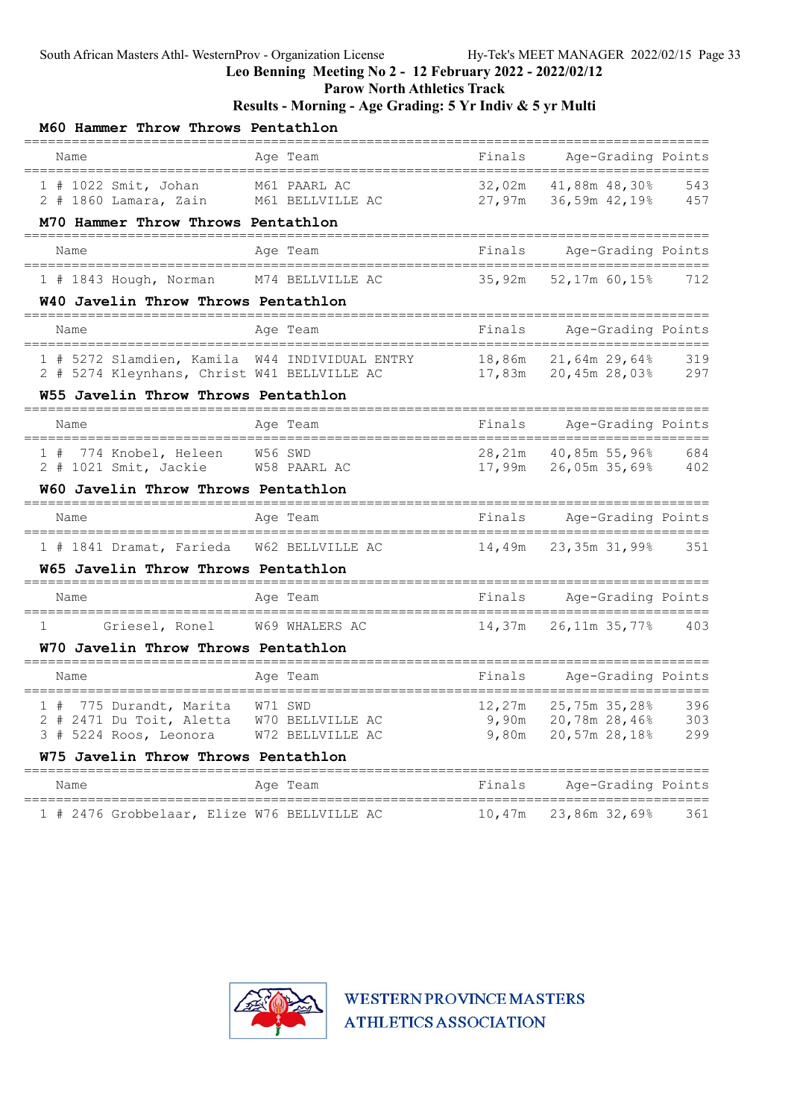Parow North Athletics Track

Results - Morning - Age Grading: 5 Yr Indiv & 5 yr Multi

| M60 Hammer Throw Throws Pentathlon                                                                     |                                        |        |                                                                  |            |
|--------------------------------------------------------------------------------------------------------|----------------------------------------|--------|------------------------------------------------------------------|------------|
| Name<br>------------------------------------                                                           | Age Team                               | Finals | Age-Grading Points                                               |            |
| 1 # 1022 Smit, Johan M61 PAARL AC<br>2 # 1860 Lamara, Zain M61 BELLVILLE AC                            |                                        |        | $32,02m$ $41,88m$ $48,30%$ 543<br>27,97m $36,59m$ $42,19%$ 457   |            |
| M70 Hammer Throw Throws Pentathlon                                                                     |                                        |        |                                                                  |            |
| Name<br>====================================                                                           | Age Team<br>========================== | Finals | Age-Grading Points<br>========================                   |            |
| 1 # 1843 Hough, Norman M74 BELLVILLE AC                                                                |                                        | 35,92m | 52,17m 60,15%                                                    | 712        |
| W40 Javelin Throw Throws Pentathlon                                                                    |                                        |        |                                                                  |            |
| Name                                                                                                   | Age Team                               | Finals | Age-Grading Points                                               |            |
| 1 # 5272 Slamdien, Kamila W44 INDIVIDUAL ENTRY<br>2 # 5274 Kleynhans, Christ W41 BELLVILLE AC          |                                        |        | 17,83m  20,45m  28,03%  297                                      | 319        |
| W55 Javelin Throw Throws Pentathlon                                                                    |                                        |        |                                                                  |            |
| Name                                                                                                   | Age Team                               |        | Finals Age-Grading Points                                        |            |
| 1 # 774 Knobel, Heleen<br>2 # 1021 Smit, Jackie W58 PAARL AC                                           | W56 SWD                                |        | 28,21m 40,85m 55,96% 684<br>17,99m  26,05m  35,69%  402          |            |
| W60 Javelin Throw Throws Pentathlon                                                                    |                                        |        |                                                                  |            |
| Name                                                                                                   | Age Team                               | Finals | Age-Grading Points                                               |            |
| 1 # 1841 Dramat, Farieda W62 BELLVILLE AC                                                              |                                        |        | 14,49m 23,35m 31,99% 351                                         |            |
| W65 Javelin Throw Throws Pentathlon                                                                    |                                        |        |                                                                  |            |
| Name                                                                                                   | Age Team                               |        | Finals Age-Grading Points                                        |            |
| Griesel, Ronel W69 WHALERS AC<br>1                                                                     |                                        |        | 14,37m 26,11m 35,77% 403                                         |            |
| W70 Javelin Throw Throws Pentathlon                                                                    |                                        |        | ------------------                                               |            |
| Name                                                                                                   | Age Team                               |        | Finals Age-Grading Points                                        |            |
| 1 # 775 Durandt, Marita W71 SWD<br>2 # 2471 Du Toit, Aletta W70 BELLVILLE AC<br>3 # 5224 Roos, Leonora | W72 BELLVILLE AC                       | 9,80m  | 12,27m 25,75m 35,28%<br>9,90m 20,78m 28,46% 303<br>20,57m 28,18% | 396<br>299 |
| W75 Javelin Throw Throws Pentathlon                                                                    |                                        |        |                                                                  |            |
| Name                                                                                                   | Age Team                               | Finals | Age-Grading Points                                               |            |
| 1 # 2476 Grobbelaar, Elize W76 BELLVILLE AC                                                            |                                        | 10,47m | 23,86m 32,69%                                                    | 361        |

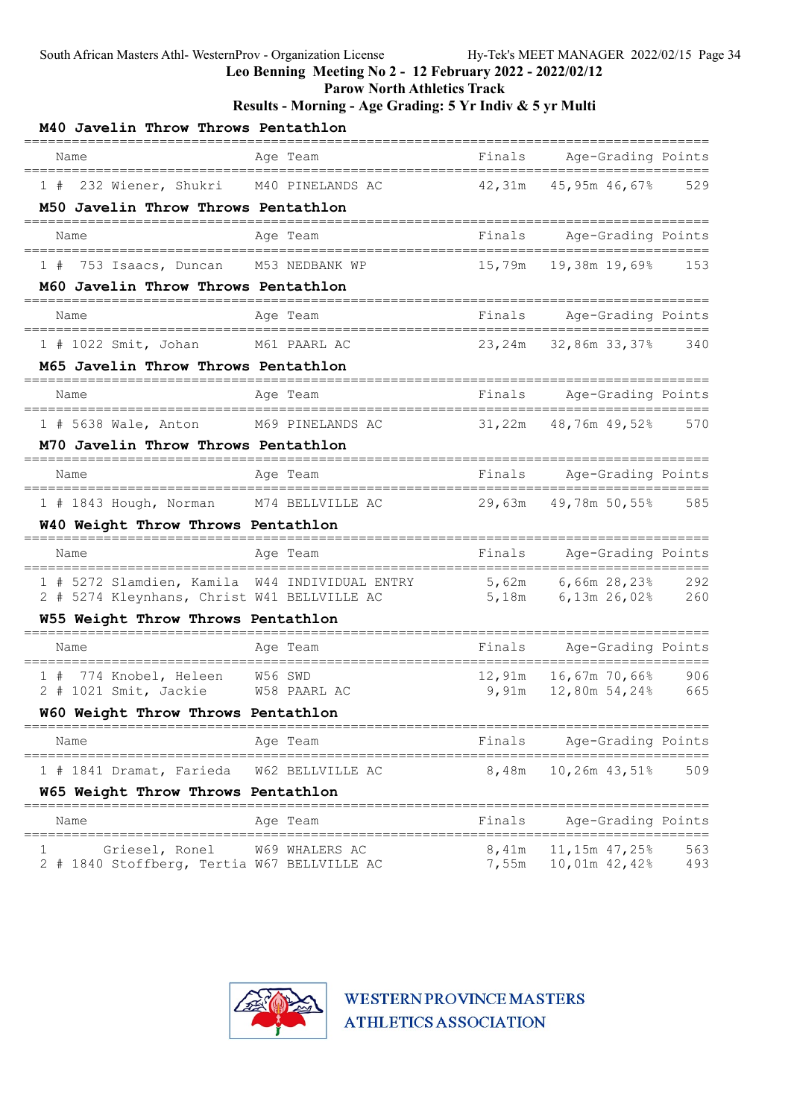Leo Benning Meeting No 2 - 12 February 2022 - 2022/02/12

Parow North Athletics Track

Results - Morning - Age Grading: 5 Yr Indiv & 5 yr Multi

| M40 Javelin Throw Throws Pentathlon                                               |                               |                |                                               |            |
|-----------------------------------------------------------------------------------|-------------------------------|----------------|-----------------------------------------------|------------|
| Name                                                                              | Aqe Team                      | Finals         | Age-Grading Points                            |            |
| 232 Wiener, Shukri<br>1#                                                          | M40 PINELANDS AC              | 42,31m         | 45,95m 46,67%                                 | 529        |
| M50 Javelin Throw Throws Pentathlon                                               |                               |                |                                               |            |
| Name                                                                              | Aqe Team                      | Finals         | Age-Grading Points                            |            |
| 753 Isaacs, Duncan M53 NEDBANK WP<br>1#                                           |                               | 15,79m         | 19,38m 19,69%                                 | 153        |
| M60 Javelin Throw Throws Pentathlon                                               |                               |                |                                               |            |
| Name                                                                              | Age Team                      | Finals         | Age-Grading Points                            |            |
| 1 # 1022 Smit, Johan M61 PAARL AC                                                 |                               | 23,24m         | 32,86m 33,37% 340                             |            |
| M65 Javelin Throw Throws Pentathlon                                               |                               |                |                                               |            |
| Name                                                                              | Age Team                      | Finals         | Age-Grading Points<br>======================= |            |
| 1 # 5638 Wale, Anton M69 PINELANDS AC                                             |                               | 31,22m         | 48,76m 49,52% 570                             |            |
| M70 Javelin Throw Throws Pentathlon                                               |                               |                |                                               |            |
| Name                                                                              | Age Team                      | Finals         | Age-Grading Points<br>======================= |            |
| 1 # 1843 Hough, Norman M74 BELLVILLE AC                                           |                               |                | 29,63m 49,78m 50,55% 585                      |            |
| W40 Weight Throw Throws Pentathlon                                                |                               |                |                                               |            |
| Name                                                                              | Age Team                      | Finals         | Age-Grading Points                            | =====      |
| 1 # 5272 Slamdien, Kamila W44 INDIVIDUAL ENTRY                                    |                               |                | 5,62m 6,66m 28,23% 292<br>5,18m 6,13m 26,02%  |            |
| 2 # 5274 Kleynhans, Christ W41 BELLVILLE AC<br>W55 Weight Throw Throws Pentathlon |                               |                |                                               | 260        |
| Name                                                                              | Age Team                      |                | Finals Age-Grading Points                     |            |
| 774 Knobel, Heleen<br>1#                                                          | W56 SWD                       | 12,91m         | 16,67m 70,66%                                 | 906        |
| 2 # 1021 Smit, Jackie                                                             | W58 PAARL AC                  | 9,91m          | 12,80m 54,24%                                 | 665        |
| W60 Weight Throw Throws Pentathlon                                                |                               |                |                                               |            |
| Name<br>=====================================                                     | Age Team                      |                | Finals Age-Grading Points                     |            |
| 1 # 1841 Dramat, Farieda                                                          | W62 BELLVILLE AC              | 8,48m          | $10,26m$ 43,51%                               | 509        |
| W65 Weight Throw Throws Pentathlon                                                | =========<br>================ |                | ________________________________              |            |
| Name<br>=====================================                                     | Age Team                      | Finals         | Age-Grading Points                            |            |
| Griesel, Ronel<br>1<br>2 # 1840 Stoffberg, Tertia W67 BELLVILLE AC                | W69 WHALERS AC                | 8 <b>,</b> 41m | 11,15m 47,25%<br>7,55m 10,01m 42,42%          | 563<br>493 |

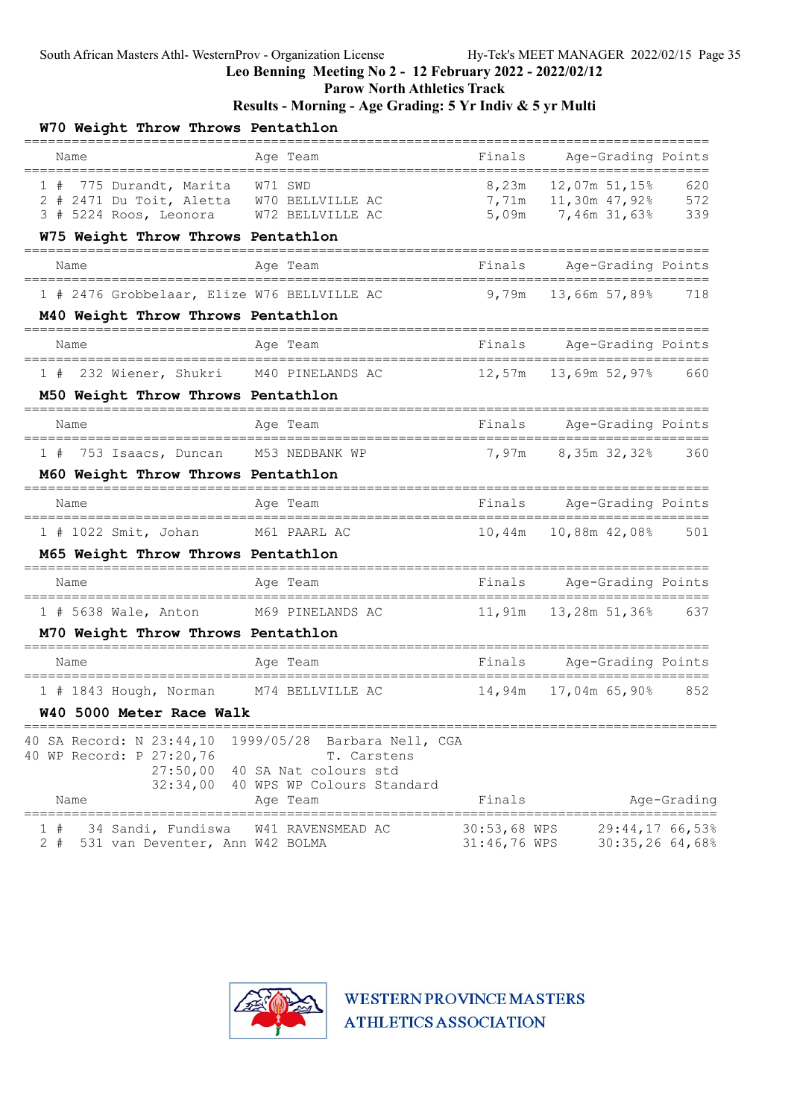Parow North Athletics Track

| W70 Weight Throw Throws Pentathlon                                                                                      |                                                                                                                   |                              |                                                                                |             |
|-------------------------------------------------------------------------------------------------------------------------|-------------------------------------------------------------------------------------------------------------------|------------------------------|--------------------------------------------------------------------------------|-------------|
| Name<br>===================================                                                                             | Age Team<br>=====================                                                                                 | Finals                       | Age-Grading Points                                                             |             |
| 1 # 775 Durandt, Marita W71 SWD<br>2 # 2471 Du Toit, Aletta W70 BELLVILLE AC<br>3 # 5224 Roos, Leonora W72 BELLVILLE AC |                                                                                                                   |                              | 8,23m 12,07m 51,15% 620<br>7,71m   11,30m   47,92%   572<br>5,09m 7,46m 31,63% | 339         |
| W75 Weight Throw Throws Pentathlon<br>============================                                                      |                                                                                                                   |                              |                                                                                |             |
| Name                                                                                                                    | Age Team                                                                                                          |                              | Finals Age-Grading Points                                                      |             |
| 1 # 2476 Grobbelaar, Elize W76 BELLVILLE AC                                                                             |                                                                                                                   | 9,79m                        | 13,66m 57,89%                                                                  | 718         |
| M40 Weight Throw Throws Pentathlon                                                                                      |                                                                                                                   |                              |                                                                                |             |
| Name<br>;==============================                                                                                 | Age Team<br>-----------------------                                                                               |                              | Finals Age-Grading Points<br>=======================                           |             |
| 1 # 232 Wiener, Shukri M40 PINELANDS AC                                                                                 |                                                                                                                   |                              | $12,57m$ $13,69m$ $52,97\%$ 660                                                |             |
| M50 Weight Throw Throws Pentathlon                                                                                      |                                                                                                                   |                              |                                                                                |             |
| Name                                                                                                                    | Age Team                                                                                                          |                              | Finals Age-Grading Points                                                      |             |
| 1 # 753 Isaacs, Duncan M53 NEDBANK WP                                                                                   |                                                                                                                   |                              | 7,97m 8,35m 32,32%                                                             | 360         |
| M60 Weight Throw Throws Pentathlon                                                                                      |                                                                                                                   |                              |                                                                                |             |
| Name                                                                                                                    | Age Team                                                                                                          |                              | Finals Age-Grading Points                                                      |             |
| 1 # 1022 Smit, Johan M61 PAARL AC                                                                                       |                                                                                                                   |                              |                                                                                | 501         |
| M65 Weight Throw Throws Pentathlon                                                                                      |                                                                                                                   |                              |                                                                                |             |
| Name                                                                                                                    | Age Team                                                                                                          |                              | Finals Age-Grading Points                                                      |             |
| 1 # 5638 Wale, Anton M69 PINELANDS AC                                                                                   |                                                                                                                   | 11,91m                       | 13,28m 51,36% 637                                                              |             |
| M70 Weight Throw Throws Pentathlon                                                                                      |                                                                                                                   |                              |                                                                                |             |
| Name                                                                                                                    | Age Team                                                                                                          |                              | Finals Age-Grading Points                                                      |             |
| $1$ # 1843 Hough, Norman                                                                                                | M74 BELLVILLE AC                                                                                                  | 14,94m                       | ========================<br>17,04m 65,90%                                      | 852         |
| W40 5000 Meter Race Walk                                                                                                |                                                                                                                   |                              |                                                                                |             |
| 40 SA Record: N 23:44,10<br>40 WP Record: P 27:20,76<br>27:50,00<br>32:34,00<br>Name                                    | 1999/05/28<br>Barbara Nell, CGA<br>T. Carstens<br>40 SA Nat colours std<br>40 WPS WP Colours Standard<br>Age Team | Finals                       |                                                                                | Age-Grading |
| 1#<br>34 Sandi, Fundiswa<br>$2 +$<br>531 van Deventer, Ann W42 BOLMA                                                    | W41 RAVENSMEAD AC                                                                                                 | 30:53,68 WPS<br>31:46,76 WPS | 29:44,1766,53%<br>30:35,2664,68%                                               |             |

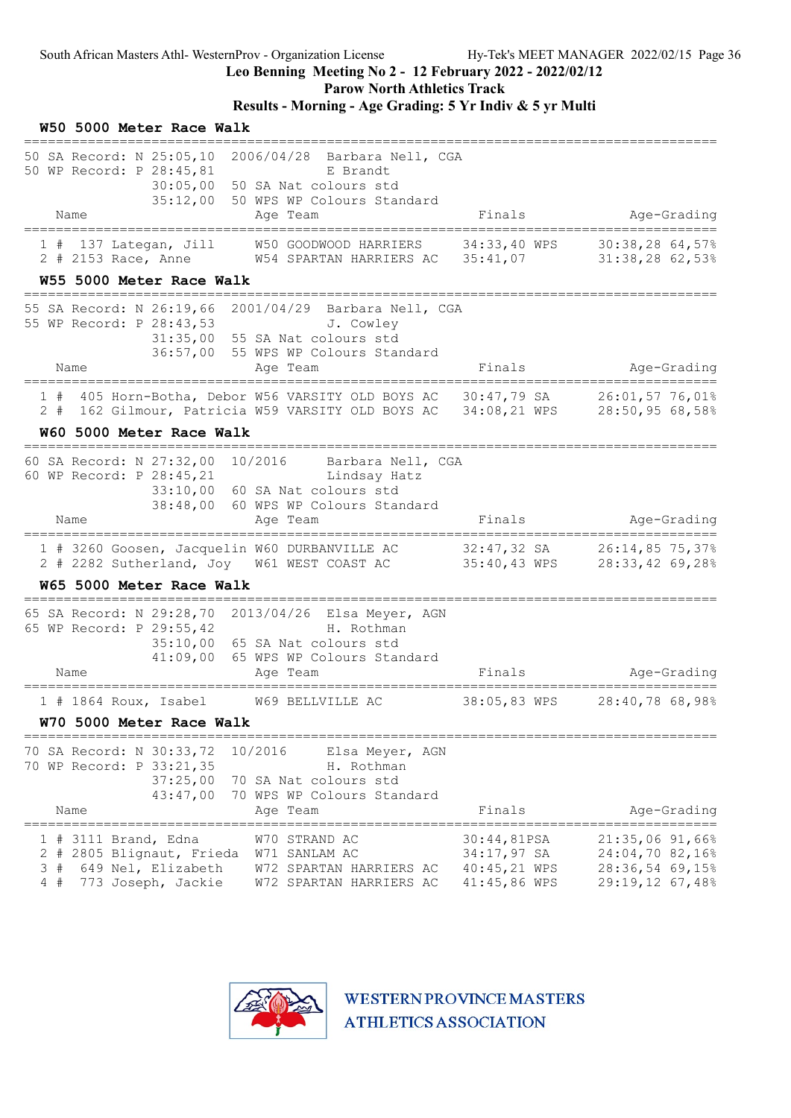Leo Benning Meeting No 2 - 12 February 2022 - 2022/02/12

Parow North Athletics Track

### Results - Morning - Age Grading: 5 Yr Indiv & 5 yr Multi

| W50 5000 Meter Race Walk                                                                                                             |                                                                                                                                         |                                                              |                                                                                      |
|--------------------------------------------------------------------------------------------------------------------------------------|-----------------------------------------------------------------------------------------------------------------------------------------|--------------------------------------------------------------|--------------------------------------------------------------------------------------|
| 50 SA Record: N 25:05,10 2006/04/28 Barbara Nell, CGA<br>50 WP Record: P 28:45,81<br>30:05,00<br>35:12,00                            | E Brandt<br>50 SA Nat colours std<br>50 WPS WP Colours Standard                                                                         |                                                              |                                                                                      |
| Name                                                                                                                                 | Age Team                                                                                                                                | Finals                                                       | Age-Grading                                                                          |
| $1$ # 137 Lategan, Jill<br>2 # 2153 Race, Anne                                                                                       | W50 GOODWOOD HARRIERS<br>W54 SPARTAN HARRIERS AC 35:41,07                                                                               | 34:33,40 WPS                                                 | $30:38,28$ 64,57%<br>$31:38,28$ 62,53%                                               |
| W55 5000 Meter Race Walk                                                                                                             |                                                                                                                                         |                                                              |                                                                                      |
| 55 SA Record: N 26:19,66 2001/04/29 Barbara Nell, CGA<br>55 WP Record: P 28:43,53                                                    | J. Cowley<br>31:35,00 55 SA Nat colours std<br>36:57,00 55 WPS WP Colours Standard                                                      |                                                              |                                                                                      |
| Name<br>-------------------------                                                                                                    | Age Team<br>=====================================                                                                                       | Finals                                                       | Age-Grading<br>=========================                                             |
| 1#<br>2#                                                                                                                             | 405 Horn-Botha, Debor W56 VARSITY OLD BOYS AC 30:47,79 SA<br>162 Gilmour, Patricia W59 VARSITY OLD BOYS AC 34:08,21 WPS 28:50,95 68,58% |                                                              | 26:01,57 76,01%                                                                      |
| W60 5000 Meter Race Walk                                                                                                             |                                                                                                                                         |                                                              |                                                                                      |
| 60 SA Record: N 27:32,00 10/2016<br>60 WP Record: P 28:45,21<br>38:48,00<br>Name                                                     | Barbara Nell, CGA<br>Lindsay Hatz<br>33:10,00 60 SA Nat colours std<br>60 WPS WP Colours Standard<br>Age Team                           | Finals                                                       | Age-Grading                                                                          |
| 1 # 3260 Goosen, Jacquelin W60 DURBANVILLE AC 32:47,32 SA 26:14,85 75,37%<br>2 # 2282 Sutherland, Joy W61 WEST COAST AC 35:40,43 WPS |                                                                                                                                         |                                                              | 28:33,42 69,28%                                                                      |
| W65 5000 Meter Race Walk                                                                                                             |                                                                                                                                         |                                                              |                                                                                      |
| 65 SA Record: N 29:28,70 2013/04/26 Elsa Meyer, AGN<br>65 WP Record: P 29:55,42<br>35:10,00<br>41:09,00<br>Name                      | H. Rothman<br>65 SA Nat colours std<br>65 WPS WP Colours Standard<br>Age Team                                                           | Finals                                                       | Age-Grading                                                                          |
| $1$ # 1864 Roux, Isabel                                                                                                              | W69 BELLVILLE AC                                                                                                                        | 38:05,83 WPS                                                 | 28:40,78 68,98%                                                                      |
| W70 5000 Meter Race Walk                                                                                                             |                                                                                                                                         |                                                              |                                                                                      |
| ===============<br>70 SA Record: N 30:33,72<br>70 WP Record: P 33:21,35<br>37:25,00<br>43:47,00<br>Name                              | 10/2016<br>Elsa Meyer, AGN<br>H. Rothman<br>70 SA Nat colours std<br>70 WPS WP Colours Standard<br>Age Team                             | Finals                                                       | Age-Grading                                                                          |
| 3111 Brand, Edna<br>1<br>#<br>2 # 2805 Blignaut, Frieda<br>3<br>#<br>649 Nel, Elizabeth<br>4#<br>773 Joseph, Jackie                  | W70 STRAND AC<br>W71 SANLAM AC<br>W72 SPARTAN HARRIERS AC<br>W72 SPARTAN HARRIERS AC                                                    | 30:44,81PSA<br>$34:17,97$ SA<br>40:45,21 WPS<br>41:45,86 WPS | ======<br>$21:35,06$ 91,66%<br>24:04,70 82,16%<br>28:36,54 69,15%<br>29:19,12 67,48% |

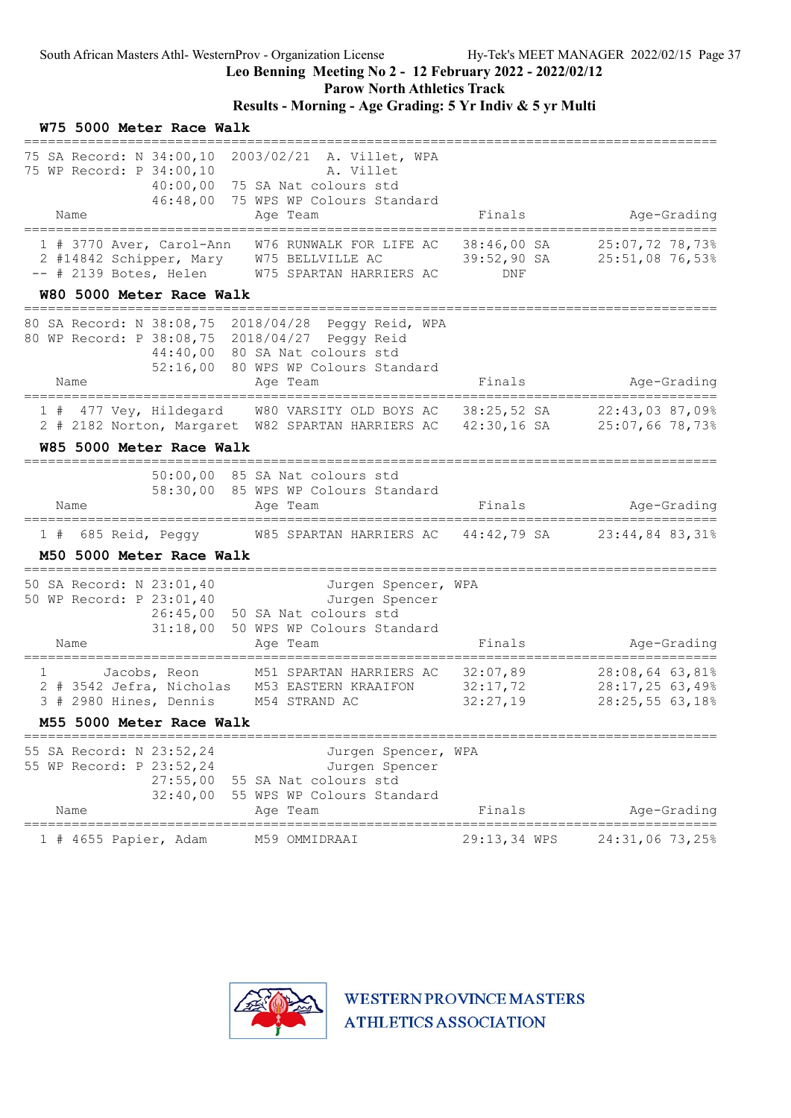#### Leo Benning Meeting No 2 - 12 February 2022 - 2022/02/12

Parow North Athletics Track

### Results - Morning - Age Grading: 5 Yr Indiv & 5 yr Multi

| W75 5000 Meter Race Walk                                                                                                                                                                |                                                                                                          |                                              |                                                      |
|-----------------------------------------------------------------------------------------------------------------------------------------------------------------------------------------|----------------------------------------------------------------------------------------------------------|----------------------------------------------|------------------------------------------------------|
| 75 SA Record: N 34:00,10 2003/02/21 A. Villet, WPA<br>75 WP Record: P 34:00,10<br>40:00,00<br>46:48,00<br>Name                                                                          | A. Villet<br>75 SA Nat colours std<br>75 WPS WP Colours Standard<br>Age Team                             | Finals                                       | Age-Grading                                          |
| 1 # 3770 Aver, Carol-Ann<br>2 #14842 Schipper, Mary W75 BELLVILLE AC<br>-- # 2139 Botes, Helen W75 SPARTAN HARRIERS AC<br>W80 5000 Meter Race Walk                                      | W76 RUNWALK FOR LIFE AC                                                                                  | 38:46,00 SA<br>$39:52,90$ SA<br>DNF          | 25:07,72 78,73%<br>25:51,08 76,53%                   |
| 80 SA Record: N 38:08,75 2018/04/28 Peggy Reid, WPA<br>80 WP Record: P 38:08,75 2018/04/27 Peggy Reid<br>52:16,00<br>Name                                                               | 44:40,00 80 SA Nat colours std<br>80 WPS WP Colours Standard<br>Age Team                                 | Finals                                       | Age-Grading                                          |
| 1 # 477 Vey, Hildegard W80 VARSITY OLD BOYS AC 38:25,52 SA 22:43,03 87,09%<br>2 # 2182 Norton, Margaret W82 SPARTAN HARRIERS AC 42:30,16 SA 25:07,66 78,73%<br>W85 5000 Meter Race Walk |                                                                                                          |                                              |                                                      |
| Name                                                                                                                                                                                    | 50:00,00 85 SA Nat colours std<br>58:30,00 85 WPS WP Colours Standard<br>Age Team                        | Finals                                       | Age-Grading                                          |
| 1 # 685 Reid, Peggy M85 SPARTAN HARRIERS AC 44:42,79 SA 23:44,84 83,31%<br>M50 5000 Meter Race Walk                                                                                     |                                                                                                          |                                              |                                                      |
| 50 SA Record: N 23:01,40<br>50 WP Record: P 23:01,40<br>26:45,00<br>31:18,00<br>Name                                                                                                    | Jurgen Spencer, WPA<br>Jurgen Spencer<br>50 SA Nat colours std<br>50 WPS WP Colours Standard<br>Age Team | Finals                                       | Age-Grading<br>===============                       |
| 1<br>Jacobs, Reon<br>2 # 3542 Jefra, Nicholas M53 EASTERN KRAAIFON<br>3 # 2980 Hines, Dennis M54 STRAND AC<br>M55 5000 Meter Race Walk                                                  | M51 SPARTAN HARRIERS AC                                                                                  | 32:07,89<br>32:17,72<br>32:27,19             | 28:08,64 63,81%<br>28:17,2563,49%<br>28:25,55 63,18% |
| 55 SA Record: N 23:52,24<br>55 WP Record: P 23:52,24<br>27:55,00<br>32:40,00<br>Name                                                                                                    | Jurgen Spencer, WPA<br>Jurgen Spencer<br>55 SA Nat colours std<br>55 WPS WP Colours Standard<br>Age Team | Finals                                       | Age-Grading                                          |
| ======================<br>$1$ # 4655 Papier, Adam                                                                                                                                       | M59 OMMIDRAAI                                                                                            | ____________________________<br>29:13,34 WPS | 24:31,06 73,25%                                      |